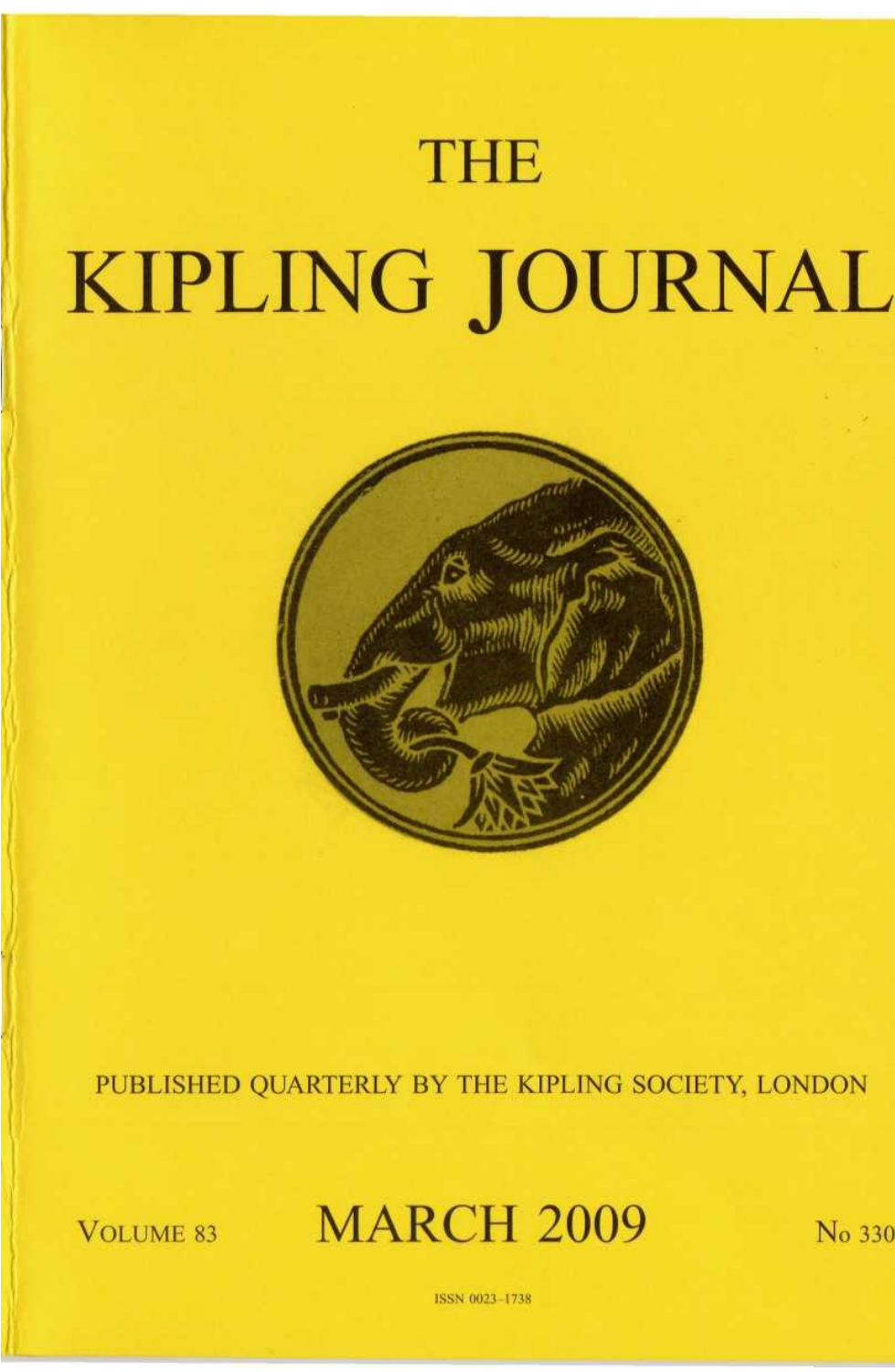# **THE** KIPLING JOURNAL



PUBLISHED QUARTERLY BY THE KIPLING SOCIETY, LONDON

**VOLUME 83** 

**MARCH 2009** 

No 330

**ISSN 0023-1738**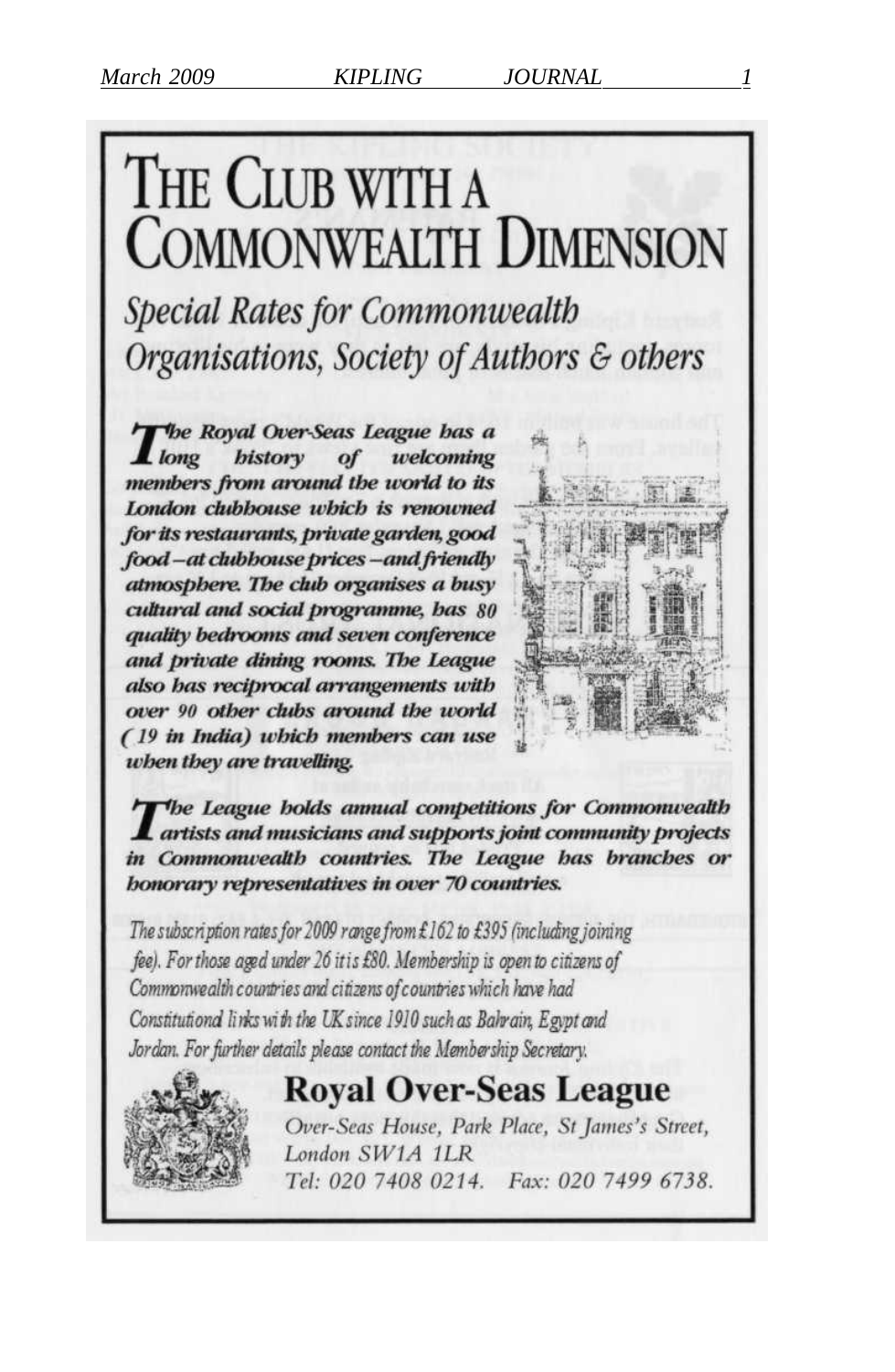## THE CLUB WITH A **COMMONWEALTH DIMENSION**

**Special Rates for Commonwealth** Organisations, Society of Authors & others

The Royal Over-Seas League has a . long bistory of welcoming members from around the world to its London clubbouse which is renowned for its restaurants, private garden, good food-at clubbouse prices-and friendly atmosphere. The club organises a busy cultural and social programme, bas 80 quality bedrooms and seven conference and private dining rooms. The League also has reciprocal arrangements with over 90 other clubs around the world (19 in India) which members can use when they are travelling.



The League holds annual competitions for Commonwealth artists and musicians and supports joint community projects in Commonwealth countries. The League has branches or **bonorary representatives in over 70 countries.** 

The subscription rates for 2009 range from £162 to £395 (including joining fee). For those aged under 26 it is £80. Membership is open to citizens of Commonwealth countries and citizens of countries which have had Constitutional links with the UK since 1910 such as Bahrain, Egypt and Jordan. For further details please contact the Membership Secretary.

## **Royal Over-Seas League**



Over-Seas House, Park Place, St James's Street, London SW1A 1LR Tel: 020 7408 0214. Fax: 020 7499 6738.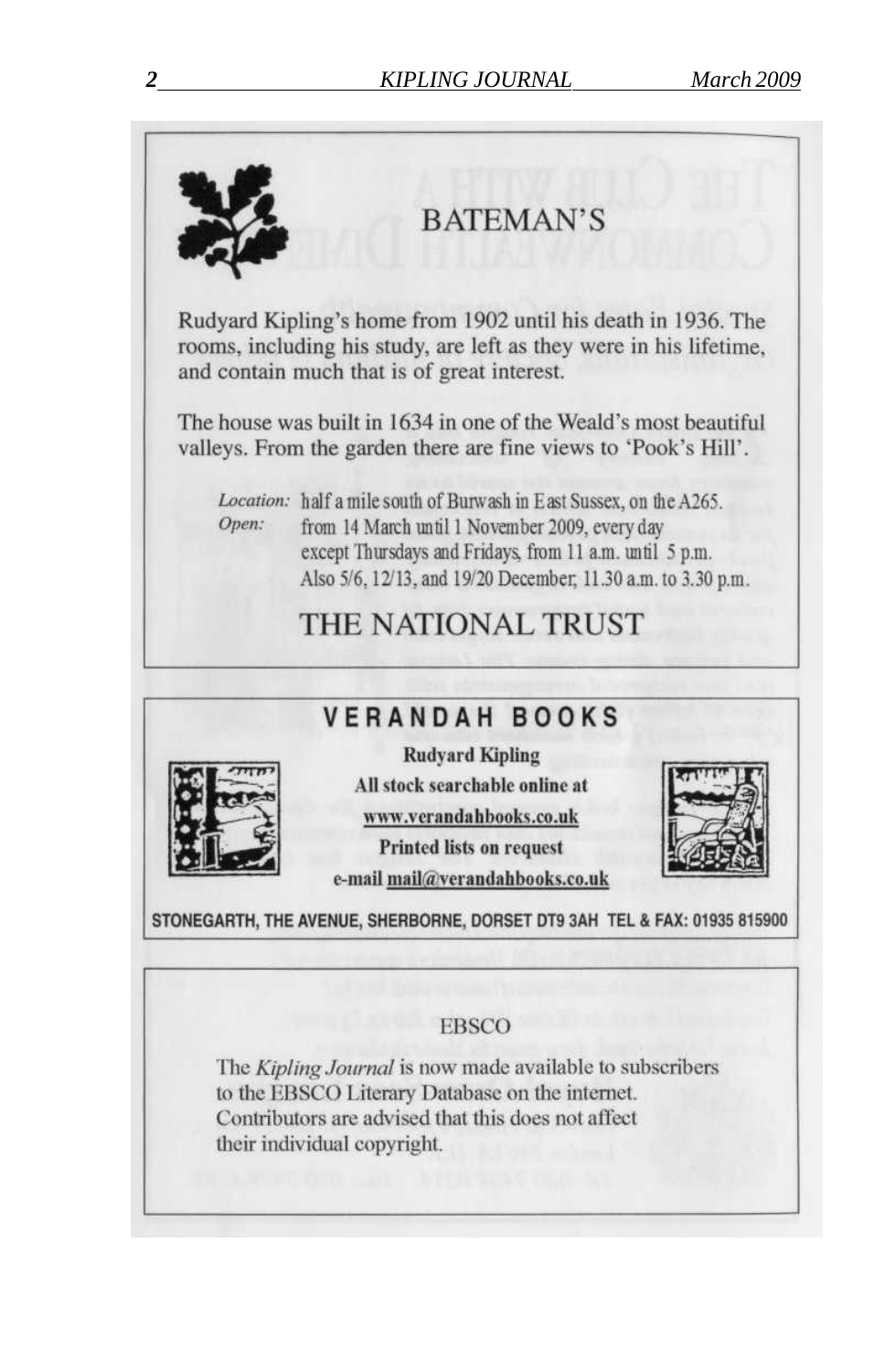

their individual copyright.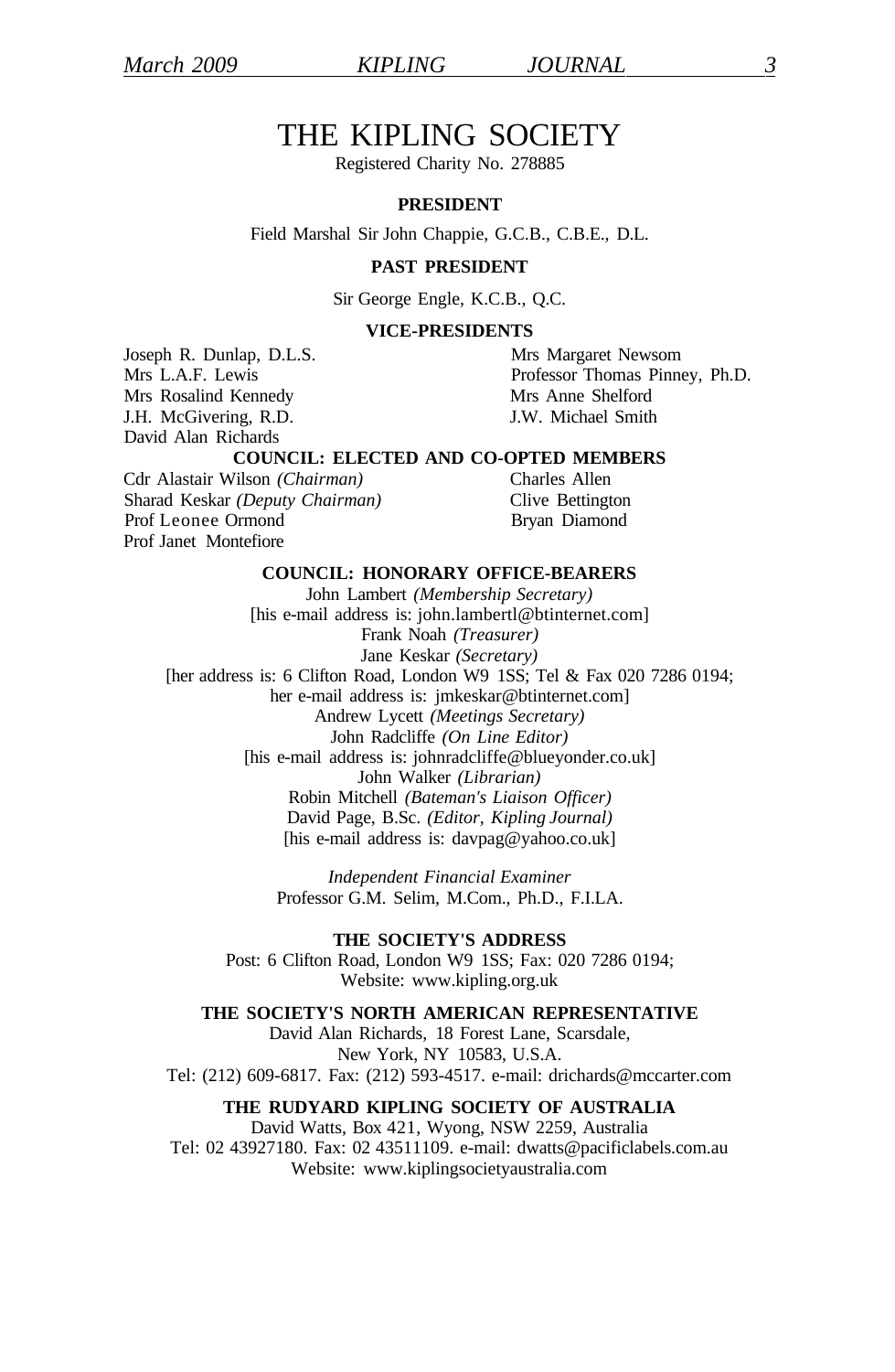## THE KIPLING SOCIETY

Registered Charity No. 278885

#### **PRESIDENT**

Field Marshal Sir John Chappie, G.C.B., C.B.E., D.L.

#### **PAST PRESIDENT**

Sir George Engle, K.C.B., Q.C.

#### **VICE-PRESIDENTS**

Joseph R. Dunlap, D.L.S. Mrs Margaret Newsom Mrs Rosalind Kennedy<br>
I Mrs Anne Shelford<br>
I W Michael Smith<br>
I W Michael Smith J.H. McGivering, R.D. David Alan Richards

Mrs L.A.F. Lewis Professor Thomas Pinney, Ph.D.

#### **COUNCIL: ELECTED AND CO-OPTED MEMBERS**

Cdr Alastair Wilson *(Chairman)* Charles Allen Sharad Keskar *(Deputy Chairman)* Clive Bettington Prof Leonee Ormond Bryan Diamond Prof Janet Montefiore

#### **COUNCIL: HONORARY OFFICE-BEARERS**

John Lambert *(Membership Secretary)*  [his e-mail address is: john.lambertl@btinternet.com] Frank Noah *(Treasurer)*  Jane Keskar *(Secretary)*  [her address is: 6 Clifton Road, London W9 1SS; Tel & Fax 020 7286 0194; her e-mail address is: jmkeskar@btinternet.com] Andrew Lycett *(Meetings Secretary)*  John Radcliffe *(On Line Editor)*  [his e-mail address is: johnradcliffe@blueyonder.co.uk] John Walker *(Librarian)*  Robin Mitchell *(Bateman's Liaison Officer)*  David Page, B.Sc. *(Editor, Kipling Journal)*  [his e-mail address is: davpag@yahoo.co.uk]

> *Independent Financial Examiner*  Professor G.M. Selim, M.Com., Ph.D., F.I.LA.

**THE SOCIETY'S ADDRESS**  Post: 6 Clifton Road, London W9 1SS; Fax: 020 7286 0194; Website: www.kipling.org.uk

#### **THE SOCIETY'S NORTH AMERICAN REPRESENTATIVE**

David Alan Richards, 18 Forest Lane, Scarsdale, New York, NY 10583, U.S.A. Tel: (212) 609-6817. Fax: (212) 593-4517. e-mail: drichards@mccarter.com

#### **THE RUDYARD KIPLING SOCIETY OF AUSTRALIA**

David Watts, Box 421, Wyong, NSW 2259, Australia Tel: 02 43927180. Fax: 02 43511109. e-mail: dwatts@pacificlabels.com.au Website: www.kiplingsocietyaustralia.com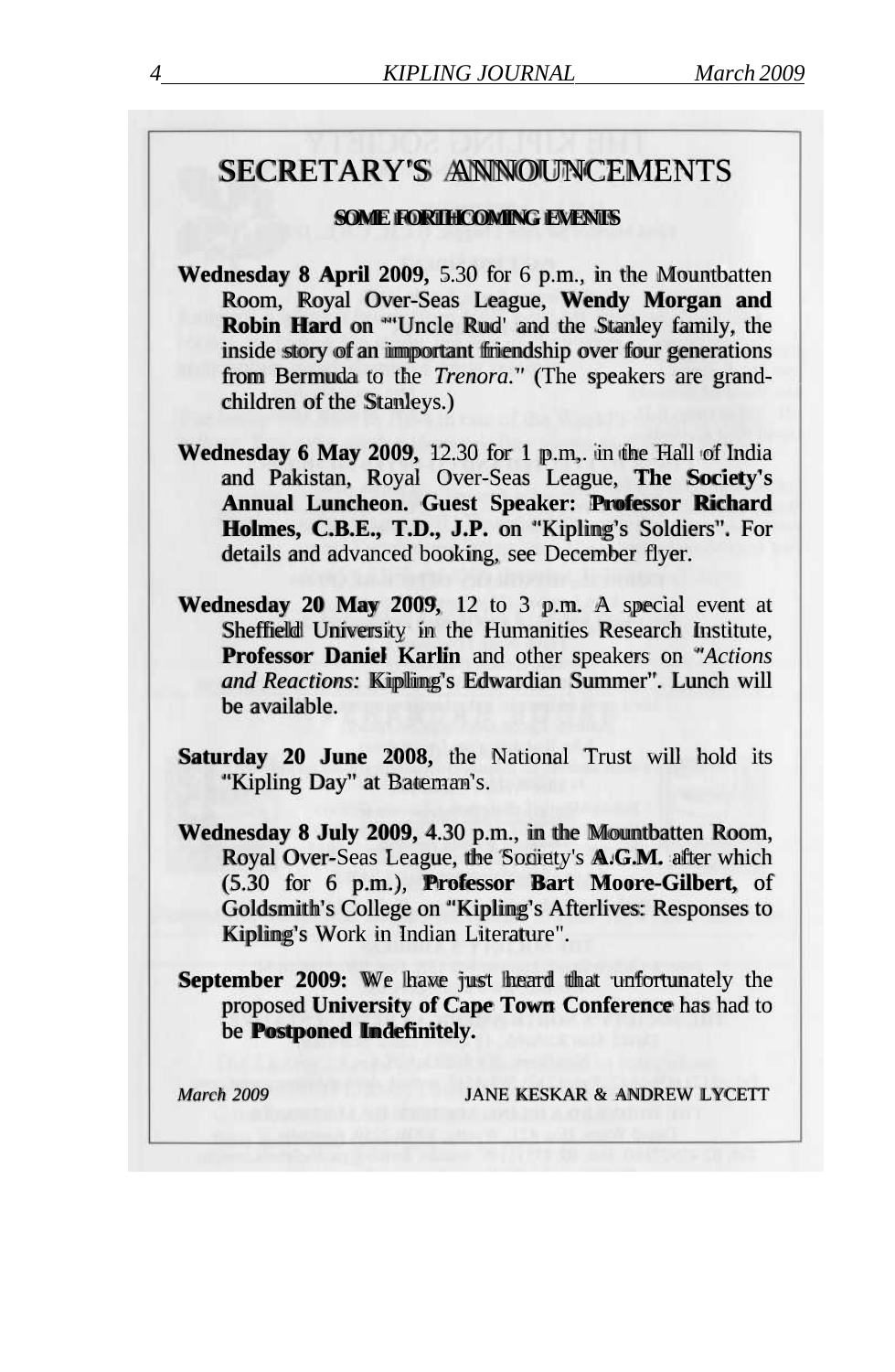## SECRETARY'S ANNOUNCEMENTS

#### **SOME FORTHCOMING EVENTS**

- **Wednesday 8 April 2009,** 5.30 for 6 p.m., in the Mountbatten Room, Royal Over-Seas League, **Wendy Morgan and Robin Hard** on '"Uncle Rud' and the Stanley family, the inside story of an important friendship over four generations from Bermuda to the *Trenora."* (The speakers are grandchildren of the Stanleys.)
- **Wednesday 6 May 2009,** 12.30 for 1 p.m,. in the Hall of India and Pakistan, Royal Over-Seas League, **The Society's Annual Luncheon. Guest Speaker: Professor Richard Holmes, C.B.E., T.D., J.P.** on "Kipling's Soldiers". For details and advanced booking, see December flyer.
- **Wednesday 20 May 2009,** 12 to 3 p.m. A special event at Sheffield University in the Humanities Research Institute, **Professor Daniel Karlin** and other speakers on *"Actions and Reactions:* Kipling's Edwardian Summer". Lunch will be available.
- **Saturday 20 June 2008,** the National Trust will hold its "Kipling Day" at Bateman's.
- **Wednesday 8 July 2009,** 4.30 p.m., in the Mountbatten Room, Royal Over-Seas League, the Society's **A.G.M.** after which (5.30 for 6 p.m.), **Professor Bart Moore-Gilbert,** of Goldsmith's College on "Kipling's Afterlives: Responses to Kipling's Work in Indian Literature".

**September 2009:** We have just heard that unfortunately the proposed **University of Cape Town Conference** has had to be **Postponed Indefinitely.** 

*March 2009* JANE KESKAR & ANDREW LYCETT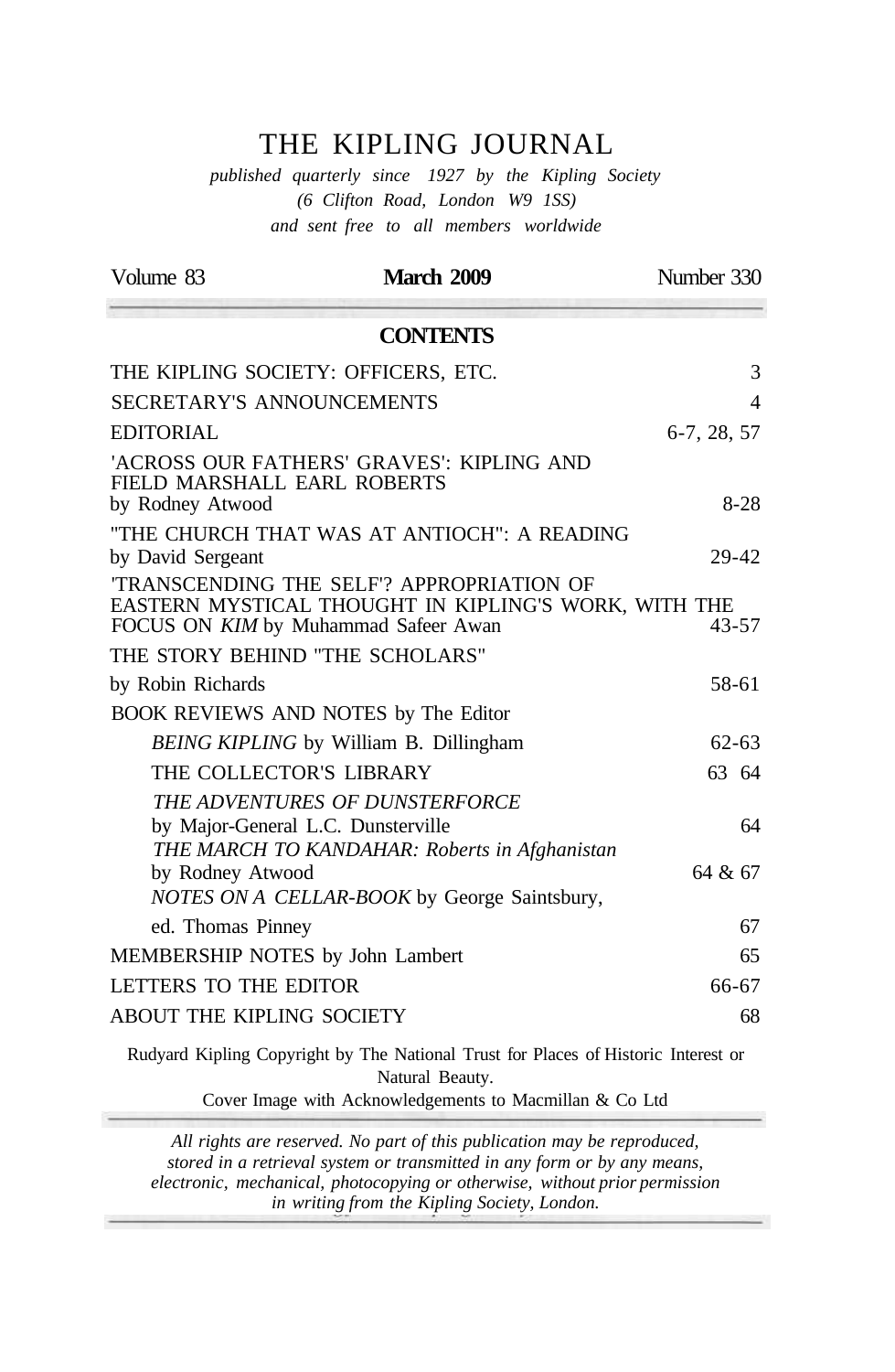## THE KIPLING JOURNAL

*published quarterly since 1927 by the Kipling Society (6 Clifton Road, London W9 1SS) and sent free to all members worldwide* 

| Volume 83                                       | <b>March 2009</b>                                                                                                                              | Number 330    |
|-------------------------------------------------|------------------------------------------------------------------------------------------------------------------------------------------------|---------------|
|                                                 | <b>CONTENTS</b>                                                                                                                                |               |
|                                                 | THE KIPLING SOCIETY: OFFICERS, ETC.                                                                                                            | 3             |
| SECRETARY'S ANNOUNCEMENTS                       |                                                                                                                                                | 4             |
| EDITORIAL                                       |                                                                                                                                                | $6-7, 28, 57$ |
| FIELD MARSHALL EARL ROBERTS<br>by Rodney Atwood | 'ACROSS OUR FATHERS' GRAVES': KIPLING AND                                                                                                      | $8-28$        |
|                                                 | "THE CHURCH THAT WAS AT ANTIOCH": A READING                                                                                                    |               |
| by David Sergeant                               |                                                                                                                                                | 29-42         |
|                                                 | <b>TRANSCENDING THE SELF? APPROPRIATION OF</b><br>EASTERN MYSTICAL THOUGHT IN KIPLING'S WORK, WITH THE<br>FOCUS ON KIM by Muhammad Safeer Awan | $43 - 57$     |
| THE STORY BEHIND "THE SCHOLARS"                 |                                                                                                                                                |               |
| by Robin Richards                               |                                                                                                                                                | 58-61         |
|                                                 | BOOK REVIEWS AND NOTES by The Editor                                                                                                           |               |
|                                                 | <b>BEING KIPLING</b> by William B. Dillingham                                                                                                  | $62 - 63$     |
| THE COLLECTOR'S LIBRARY                         |                                                                                                                                                | 63 64         |
|                                                 | THE ADVENTURES OF DUNSTERFORCE                                                                                                                 |               |
|                                                 | by Major-General L.C. Dunsterville                                                                                                             | 64            |
| by Rodney Atwood                                | THE MARCH TO KANDAHAR: Roberts in Afghanistan<br>NOTES ON A CELLAR-BOOK by George Saintsbury,                                                  | 64 & 67       |
| ed. Thomas Pinney                               |                                                                                                                                                | 67            |
| MEMBERSHIP NOTES by John Lambert                |                                                                                                                                                | 65            |
| LETTERS TO THE EDITOR                           |                                                                                                                                                | 66-67         |
| ABOUT THE KIPLING SOCIETY                       |                                                                                                                                                | 68            |
|                                                 | Rudyard Kipling Copyright by The National Trust for Places of Historic Interest or                                                             |               |

Natural Beauty.

 $\overline{\phantom{a}}$ 

Cover Image with Acknowledgements to Macmillan & Co Ltd

*All rights are reserved. No part of this publication may be reproduced, stored in a retrieval system or transmitted in any form or by any means, electronic, mechanical, photocopying or otherwise, without prior permission in writing from the Kipling Society, London.*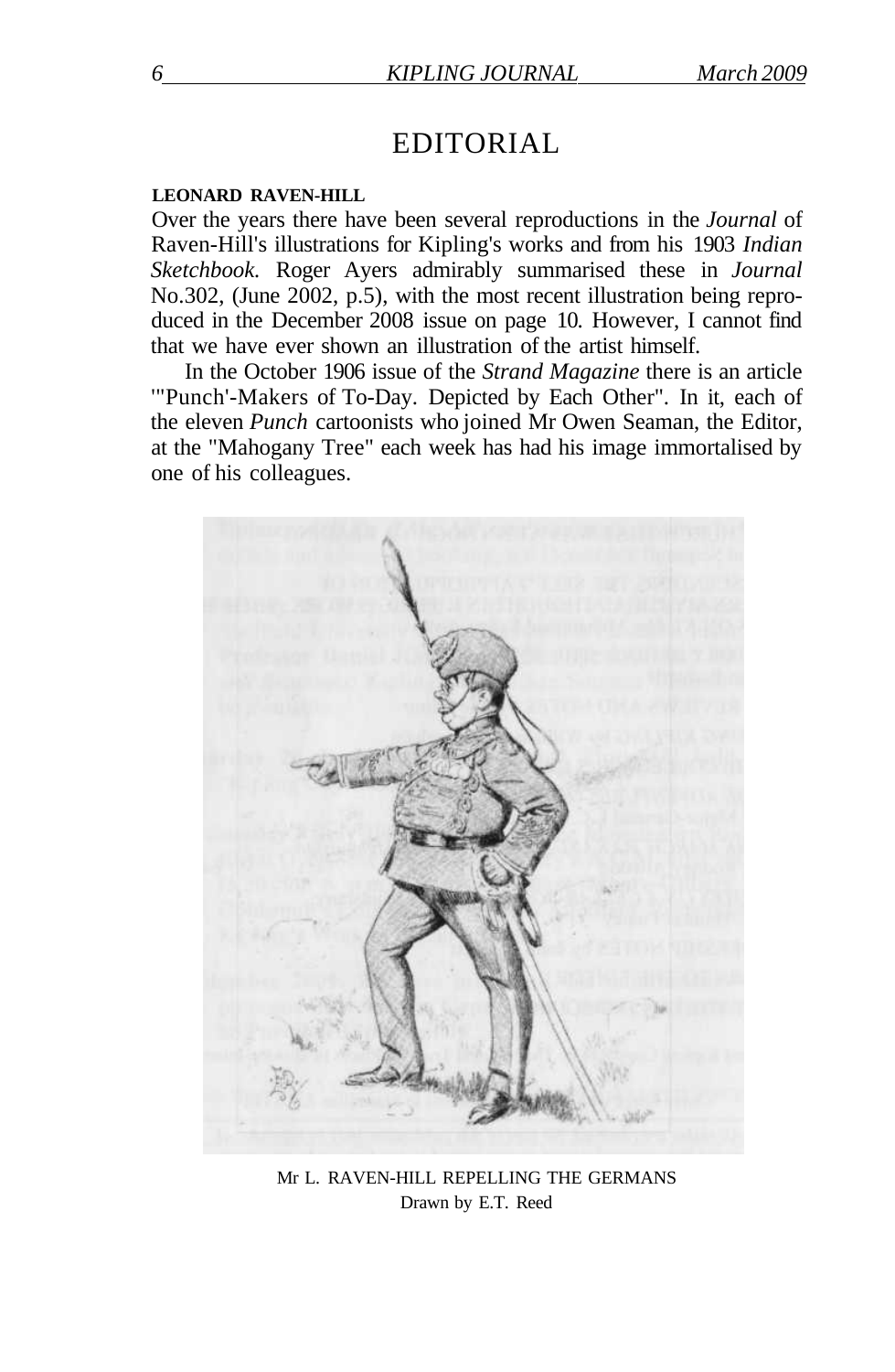## EDITORIAL

#### **LEONARD RAVEN-HILL**

Over the years there have been several reproductions in the *Journal* of Raven-Hill's illustrations for Kipling's works and from his 1903 *Indian Sketchbook.* Roger Ayers admirably summarised these in *Journal*  No.302, (June 2002, p.5), with the most recent illustration being reproduced in the December 2008 issue on page 10. However, I cannot find that we have ever shown an illustration of the artist himself.

In the October 1906 issue of the *Strand Magazine* there is an article '"Punch'-Makers of To-Day. Depicted by Each Other". In it, each of the eleven *Punch* cartoonists who joined Mr Owen Seaman, the Editor, at the "Mahogany Tree" each week has had his image immortalised by one of his colleagues.



Mr L. RAVEN-HILL REPELLING THE GERMANS Drawn by E.T. Reed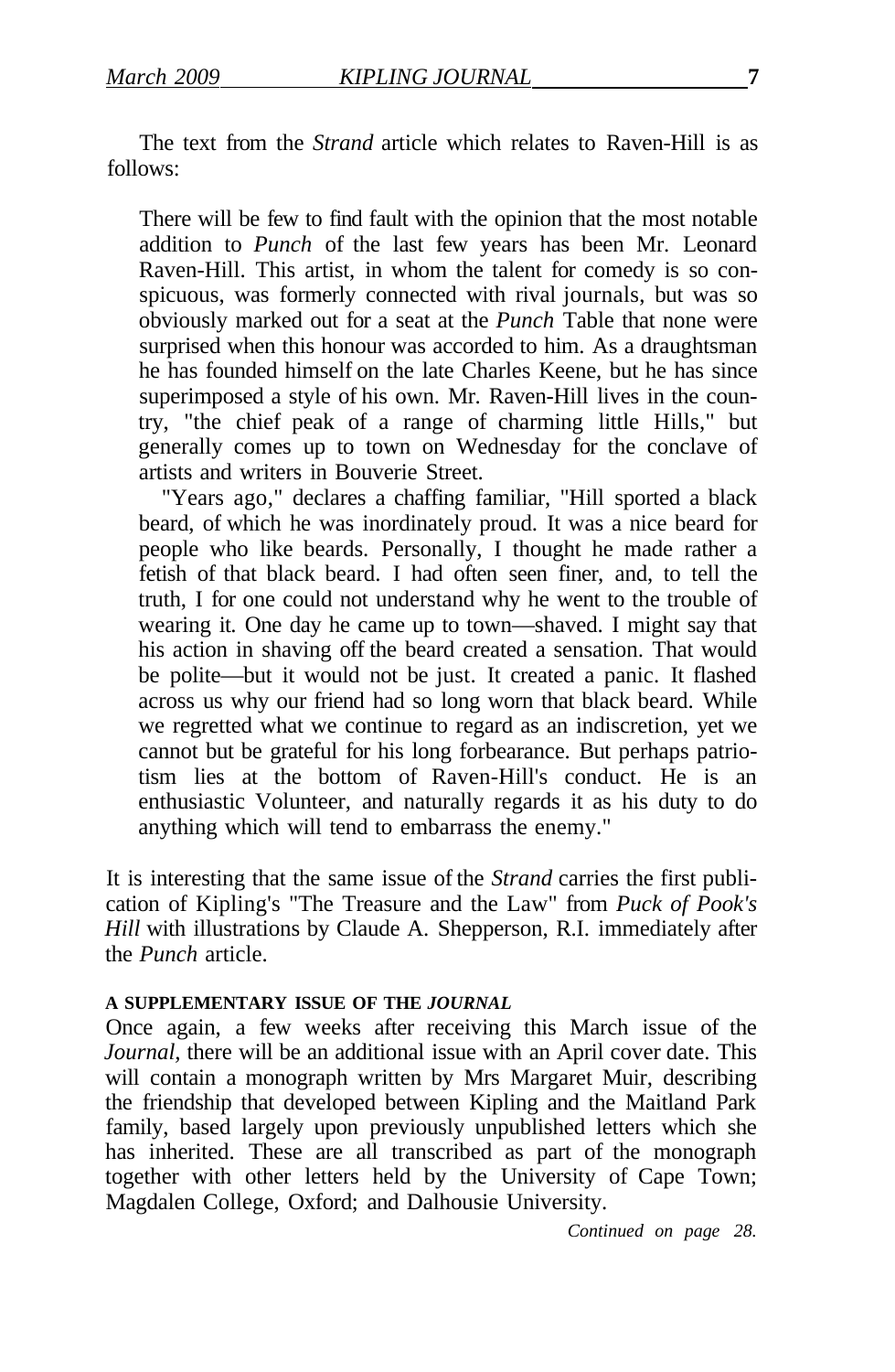The text from the *Strand* article which relates to Raven-Hill is as follows:

There will be few to find fault with the opinion that the most notable addition to *Punch* of the last few years has been Mr. Leonard Raven-Hill. This artist, in whom the talent for comedy is so conspicuous, was formerly connected with rival journals, but was so obviously marked out for a seat at the *Punch* Table that none were surprised when this honour was accorded to him. As a draughtsman he has founded himself on the late Charles Keene, but he has since superimposed a style of his own. Mr. Raven-Hill lives in the country, "the chief peak of a range of charming little Hills," but generally comes up to town on Wednesday for the conclave of artists and writers in Bouverie Street.

"Years ago," declares a chaffing familiar, "Hill sported a black beard, of which he was inordinately proud. It was a nice beard for people who like beards. Personally, I thought he made rather a fetish of that black beard. I had often seen finer, and, to tell the truth, I for one could not understand why he went to the trouble of wearing it. One day he came up to town—shaved. I might say that his action in shaving off the beard created a sensation. That would be polite—but it would not be just. It created a panic. It flashed across us why our friend had so long worn that black beard. While we regretted what we continue to regard as an indiscretion, yet we cannot but be grateful for his long forbearance. But perhaps patriotism lies at the bottom of Raven-Hill's conduct. He is an enthusiastic Volunteer, and naturally regards it as his duty to do anything which will tend to embarrass the enemy."

It is interesting that the same issue of the *Strand* carries the first publication of Kipling's "The Treasure and the Law" from *Puck of Pook's Hill* with illustrations by Claude A. Shepperson, R.I. immediately after the *Punch* article.

#### **A SUPPLEMENTARY ISSUE OF THE** *JOURNAL*

Once again, a few weeks after receiving this March issue of the *Journal*, there will be an additional issue with an April cover date. This will contain a monograph written by Mrs Margaret Muir, describing the friendship that developed between Kipling and the Maitland Park family, based largely upon previously unpublished letters which she has inherited. These are all transcribed as part of the monograph together with other letters held by the University of Cape Town; Magdalen College, Oxford; and Dalhousie University.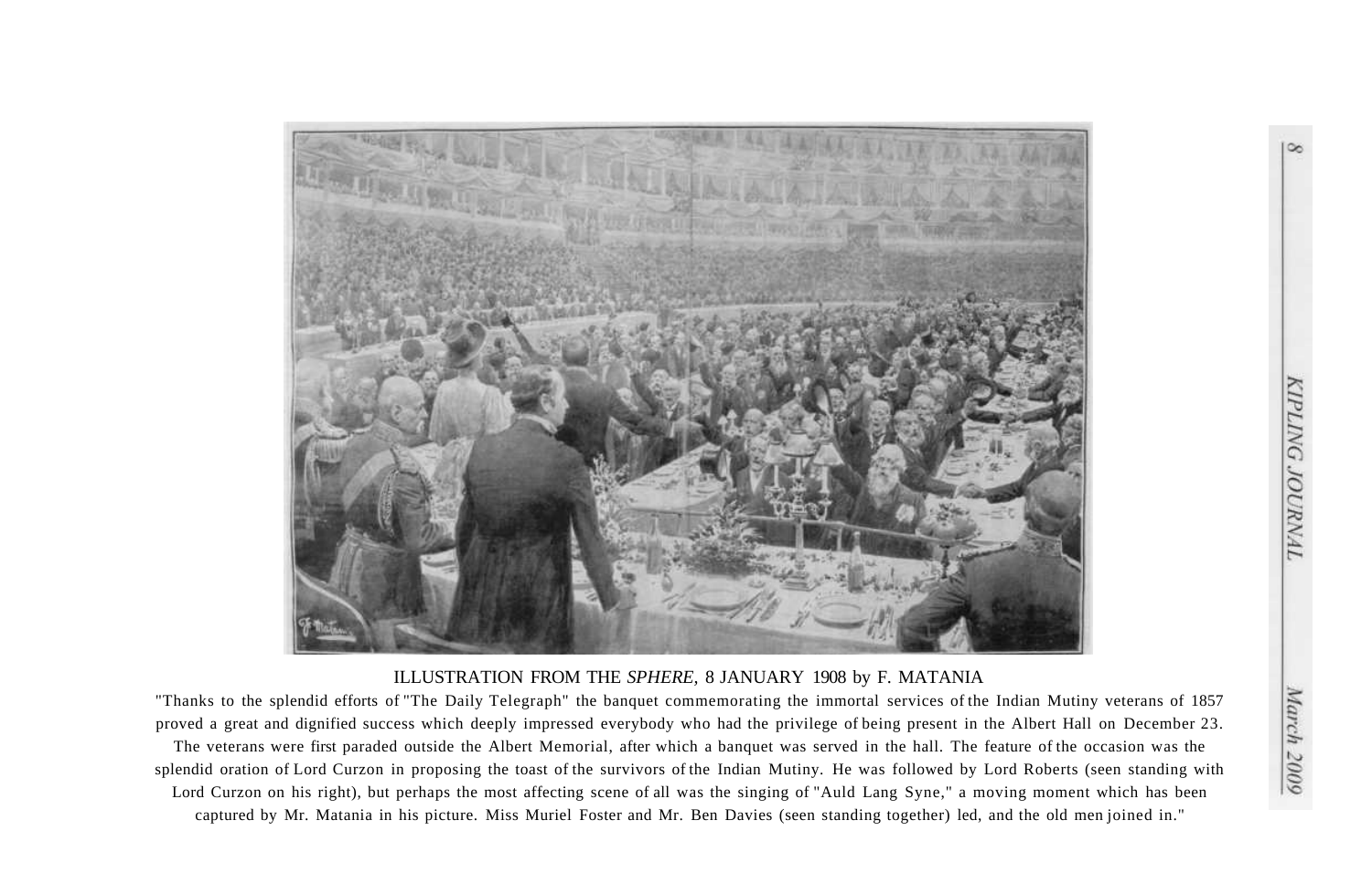

#### ILLUSTRATION FROM THE *SPHERE,* 8 JANUARY 1908 by F. MATANIA

"Thanks to the splendid efforts of "The Daily Telegraph" the banquet commemorating the immortal services of the Indian Mutiny veterans of 1857 proved a great and dignified success which deeply impressed everybody who had the privilege of being present in the Albert Hall on December 23. The veterans were first paraded outside the Albert Memorial, after which a banquet was served in the hall. The feature of the occasion was the splendid oration of Lord Curzon in proposing the toast of the survivors of the Indian Mutiny. He was followed by Lord Roberts (seen standing with Lord Curzon on his right), but perhaps the most affecting scene of all was the singing of "Auld Lang Syne," a moving moment which has been captured by Mr. Matania in his picture. Miss Muriel Foster and Mr. Ben Davies (seen standing together) led, and the old men joined in."

**KIPLING JOURNAL**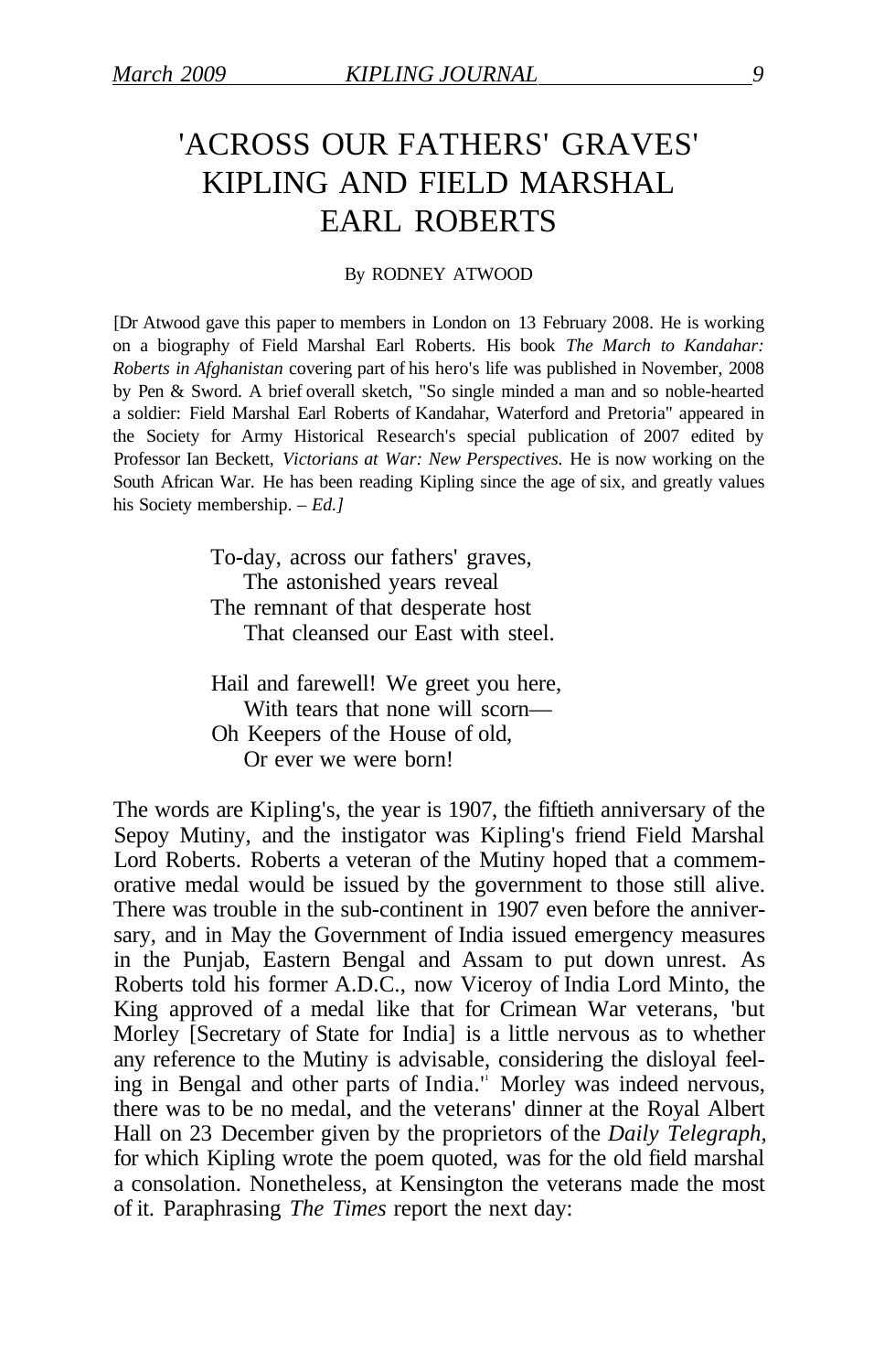## 'ACROSS OUR FATHERS' GRAVES' KIPLING AND FIELD MARSHAL EARL ROBERTS

#### By RODNEY ATWOOD

[Dr Atwood gave this paper to members in London on 13 February 2008. He is working on a biography of Field Marshal Earl Roberts. His book *The March to Kandahar: Roberts in Afghanistan* covering part of his hero's life was published in November, 2008 by Pen & Sword. A brief overall sketch, "So single minded a man and so noble-hearted a soldier: Field Marshal Earl Roberts of Kandahar, Waterford and Pretoria" appeared in the Society for Army Historical Research's special publication of 2007 edited by Professor Ian Beckett, *Victorians at War: New Perspectives.* He is now working on the South African War. He has been reading Kipling since the age of six, and greatly values his Society membership. – *Ed.]* 

> To-day, across our fathers' graves, The astonished years reveal The remnant of that desperate host That cleansed our East with steel.

Hail and farewell! We greet you here, With tears that none will scorn— Oh Keepers of the House of old, Or ever we were born!

The words are Kipling's, the year is 1907, the fiftieth anniversary of the Sepoy Mutiny, and the instigator was Kipling's friend Field Marshal Lord Roberts. Roberts a veteran of the Mutiny hoped that a commemorative medal would be issued by the government to those still alive. There was trouble in the sub-continent in 1907 even before the anniversary, and in May the Government of India issued emergency measures in the Punjab, Eastern Bengal and Assam to put down unrest. As Roberts told his former A.D.C., now Viceroy of India Lord Minto, the King approved of a medal like that for Crimean War veterans, 'but Morley [Secretary of State for India] is a little nervous as to whether any reference to the Mutiny is advisable, considering the disloyal feeling in Bengal and other parts of India." Morley was indeed nervous, there was to be no medal, and the veterans' dinner at the Royal Albert Hall on 23 December given by the proprietors of the *Daily Telegraph,*  for which Kipling wrote the poem quoted, was for the old field marshal a consolation. Nonetheless, at Kensington the veterans made the most of it. Paraphrasing *The Times* report the next day: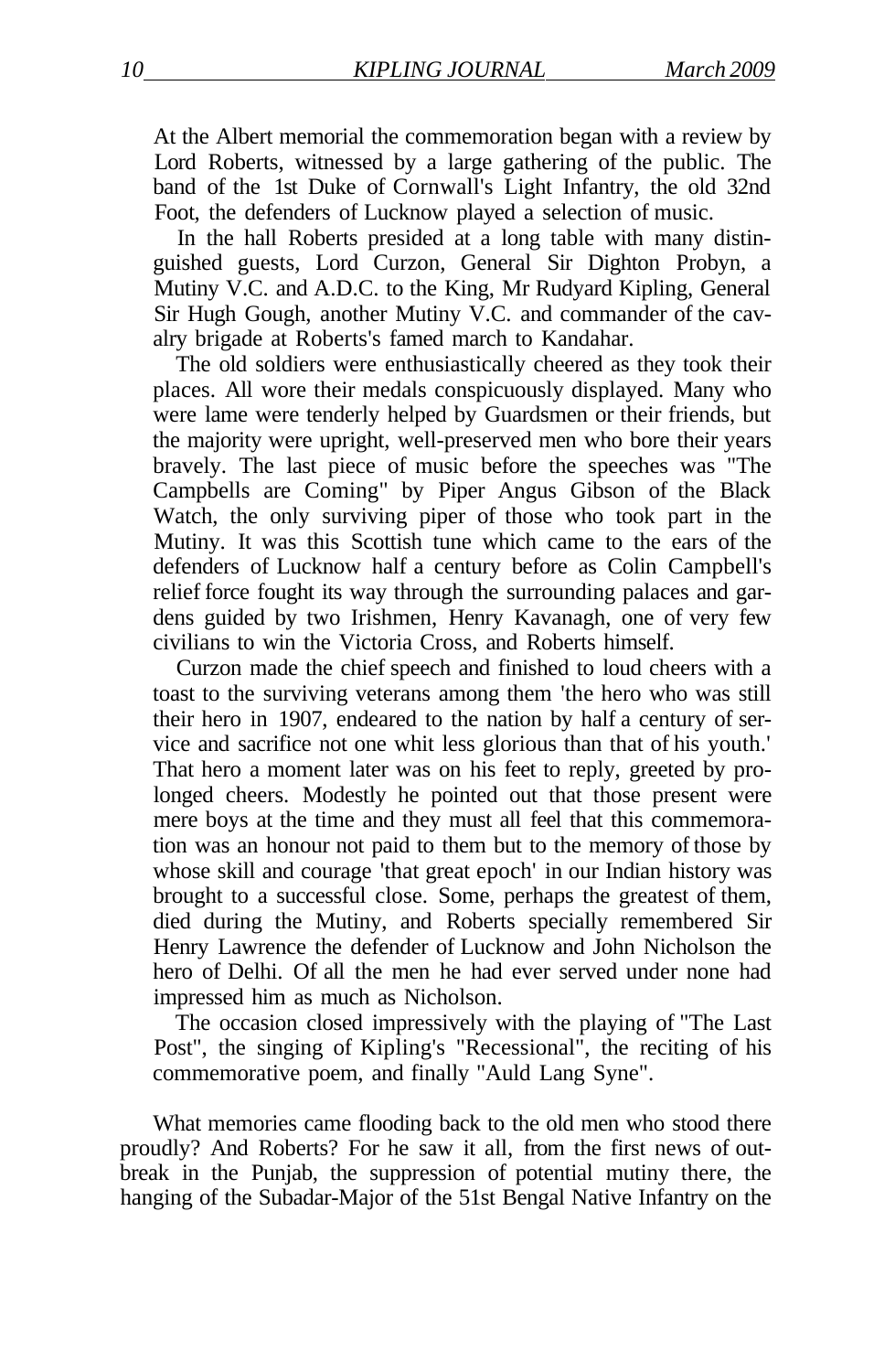At the Albert memorial the commemoration began with a review by Lord Roberts, witnessed by a large gathering of the public. The band of the 1st Duke of Cornwall's Light Infantry, the old 32nd Foot, the defenders of Lucknow played a selection of music.

In the hall Roberts presided at a long table with many distinguished guests, Lord Curzon, General Sir Dighton Probyn, a Mutiny V.C. and A.D.C. to the King, Mr Rudyard Kipling, General Sir Hugh Gough, another Mutiny V.C. and commander of the cavalry brigade at Roberts's famed march to Kandahar.

The old soldiers were enthusiastically cheered as they took their places. All wore their medals conspicuously displayed. Many who were lame were tenderly helped by Guardsmen or their friends, but the majority were upright, well-preserved men who bore their years bravely. The last piece of music before the speeches was "The Campbells are Coming" by Piper Angus Gibson of the Black Watch, the only surviving piper of those who took part in the Mutiny. It was this Scottish tune which came to the ears of the defenders of Lucknow half a century before as Colin Campbell's relief force fought its way through the surrounding palaces and gardens guided by two Irishmen, Henry Kavanagh, one of very few civilians to win the Victoria Cross, and Roberts himself.

Curzon made the chief speech and finished to loud cheers with a toast to the surviving veterans among them 'the hero who was still their hero in 1907, endeared to the nation by half a century of service and sacrifice not one whit less glorious than that of his youth.' That hero a moment later was on his feet to reply, greeted by prolonged cheers. Modestly he pointed out that those present were mere boys at the time and they must all feel that this commemoration was an honour not paid to them but to the memory of those by whose skill and courage 'that great epoch' in our Indian history was brought to a successful close. Some, perhaps the greatest of them, died during the Mutiny, and Roberts specially remembered Sir Henry Lawrence the defender of Lucknow and John Nicholson the hero of Delhi. Of all the men he had ever served under none had impressed him as much as Nicholson.

The occasion closed impressively with the playing of "The Last Post", the singing of Kipling's "Recessional", the reciting of his commemorative poem, and finally "Auld Lang Syne".

What memories came flooding back to the old men who stood there proudly? And Roberts? For he saw it all, from the first news of outbreak in the Punjab, the suppression of potential mutiny there, the hanging of the Subadar-Major of the 51st Bengal Native Infantry on the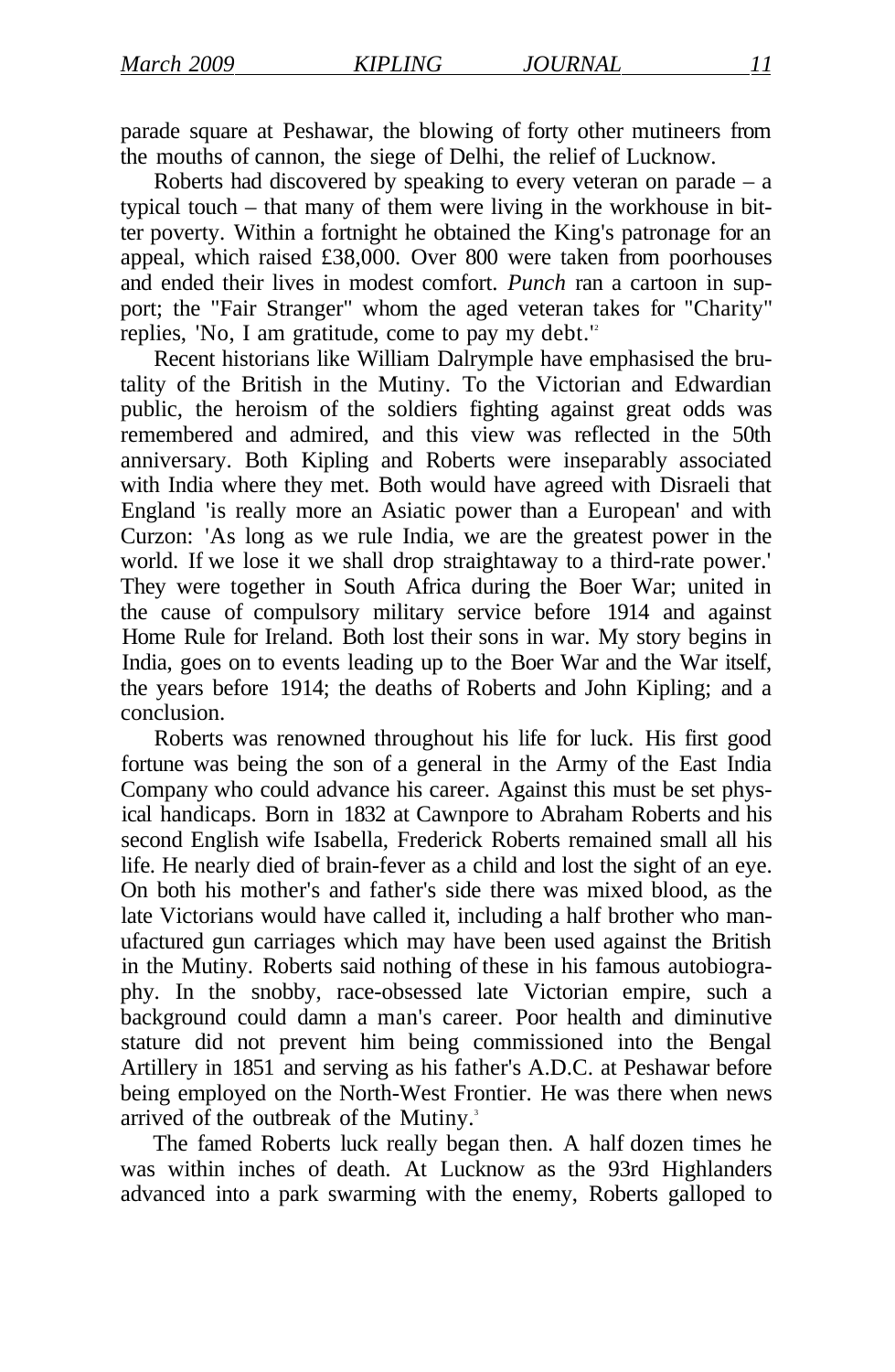parade square at Peshawar, the blowing of forty other mutineers from the mouths of cannon, the siege of Delhi, the relief of Lucknow.

Roberts had discovered by speaking to every veteran on parade  $-$  a typical touch – that many of them were living in the workhouse in bitter poverty. Within a fortnight he obtained the King's patronage for an appeal, which raised £38,000. Over 800 were taken from poorhouses and ended their lives in modest comfort. *Punch* ran a cartoon in support; the "Fair Stranger" whom the aged veteran takes for "Charity" replies, 'No, I am gratitude, come to pay my debt.'<sup>2</sup>

Recent historians like William Dalrymple have emphasised the brutality of the British in the Mutiny. To the Victorian and Edwardian public, the heroism of the soldiers fighting against great odds was remembered and admired, and this view was reflected in the 50th anniversary. Both Kipling and Roberts were inseparably associated with India where they met. Both would have agreed with Disraeli that England 'is really more an Asiatic power than a European' and with Curzon: 'As long as we rule India, we are the greatest power in the world. If we lose it we shall drop straightaway to a third-rate power.' They were together in South Africa during the Boer War; united in the cause of compulsory military service before 1914 and against Home Rule for Ireland. Both lost their sons in war. My story begins in India, goes on to events leading up to the Boer War and the War itself, the years before 1914; the deaths of Roberts and John Kipling; and a conclusion.

Roberts was renowned throughout his life for luck. His first good fortune was being the son of a general in the Army of the East India Company who could advance his career. Against this must be set physical handicaps. Born in 1832 at Cawnpore to Abraham Roberts and his second English wife Isabella, Frederick Roberts remained small all his life. He nearly died of brain-fever as a child and lost the sight of an eye. On both his mother's and father's side there was mixed blood, as the late Victorians would have called it, including a half brother who manufactured gun carriages which may have been used against the British in the Mutiny. Roberts said nothing of these in his famous autobiography. In the snobby, race-obsessed late Victorian empire, such a background could damn a man's career. Poor health and diminutive stature did not prevent him being commissioned into the Bengal Artillery in 1851 and serving as his father's A.D.C. at Peshawar before being employed on the North-West Frontier. He was there when news arrived of the outbreak of the Mutiny.<sup>3</sup>

The famed Roberts luck really began then. A half dozen times he was within inches of death. At Lucknow as the 93rd Highlanders advanced into a park swarming with the enemy, Roberts galloped to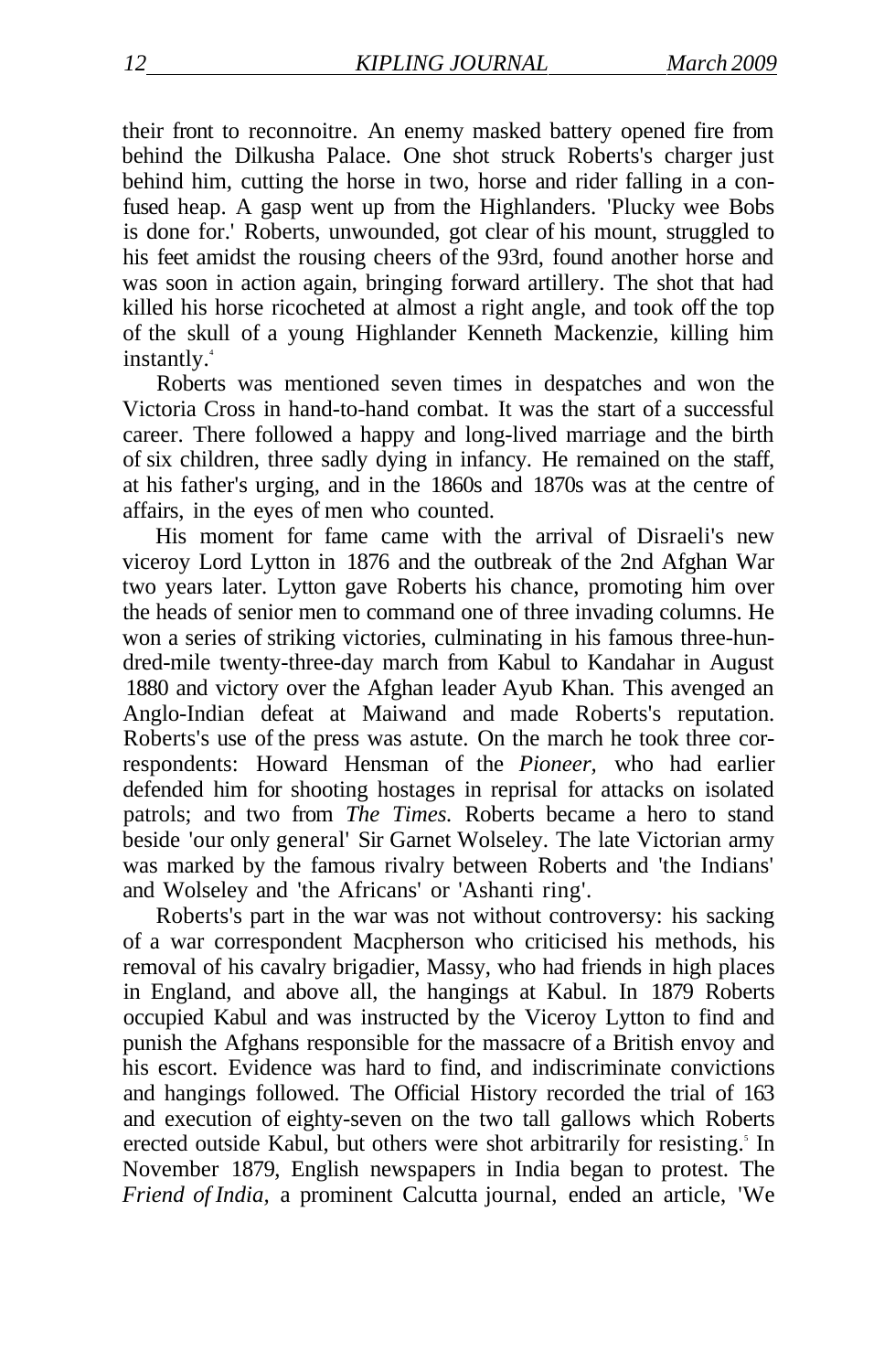their front to reconnoitre. An enemy masked battery opened fire from behind the Dilkusha Palace. One shot struck Roberts's charger just behind him, cutting the horse in two, horse and rider falling in a confused heap. A gasp went up from the Highlanders. 'Plucky wee Bobs is done for.' Roberts, unwounded, got clear of his mount, struggled to his feet amidst the rousing cheers of the 93rd, found another horse and was soon in action again, bringing forward artillery. The shot that had killed his horse ricocheted at almost a right angle, and took off the top of the skull of a young Highlander Kenneth Mackenzie, killing him instantly.<sup>4</sup>

Roberts was mentioned seven times in despatches and won the Victoria Cross in hand-to-hand combat. It was the start of a successful career. There followed a happy and long-lived marriage and the birth of six children, three sadly dying in infancy. He remained on the staff, at his father's urging, and in the 1860s and 1870s was at the centre of affairs, in the eyes of men who counted.

His moment for fame came with the arrival of Disraeli's new viceroy Lord Lytton in 1876 and the outbreak of the 2nd Afghan War two years later. Lytton gave Roberts his chance, promoting him over the heads of senior men to command one of three invading columns. He won a series of striking victories, culminating in his famous three-hundred-mile twenty-three-day march from Kabul to Kandahar in August 1880 and victory over the Afghan leader Ayub Khan. This avenged an Anglo-Indian defeat at Maiwand and made Roberts's reputation. Roberts's use of the press was astute. On the march he took three correspondents: Howard Hensman of the *Pioneer,* who had earlier defended him for shooting hostages in reprisal for attacks on isolated patrols; and two from *The Times.* Roberts became a hero to stand beside 'our only general' Sir Garnet Wolseley. The late Victorian army was marked by the famous rivalry between Roberts and 'the Indians' and Wolseley and 'the Africans' or 'Ashanti ring'.

Roberts's part in the war was not without controversy: his sacking of a war correspondent Macpherson who criticised his methods, his removal of his cavalry brigadier, Massy, who had friends in high places in England, and above all, the hangings at Kabul. In 1879 Roberts occupied Kabul and was instructed by the Viceroy Lytton to find and punish the Afghans responsible for the massacre of a British envoy and his escort. Evidence was hard to find, and indiscriminate convictions and hangings followed. The Official History recorded the trial of 163 and execution of eighty-seven on the two tall gallows which Roberts erected outside Kabul, but others were shot arbitrarily for resisting.<sup>5</sup> In November 1879, English newspapers in India began to protest. The *Friend of India,* a prominent Calcutta journal, ended an article, 'We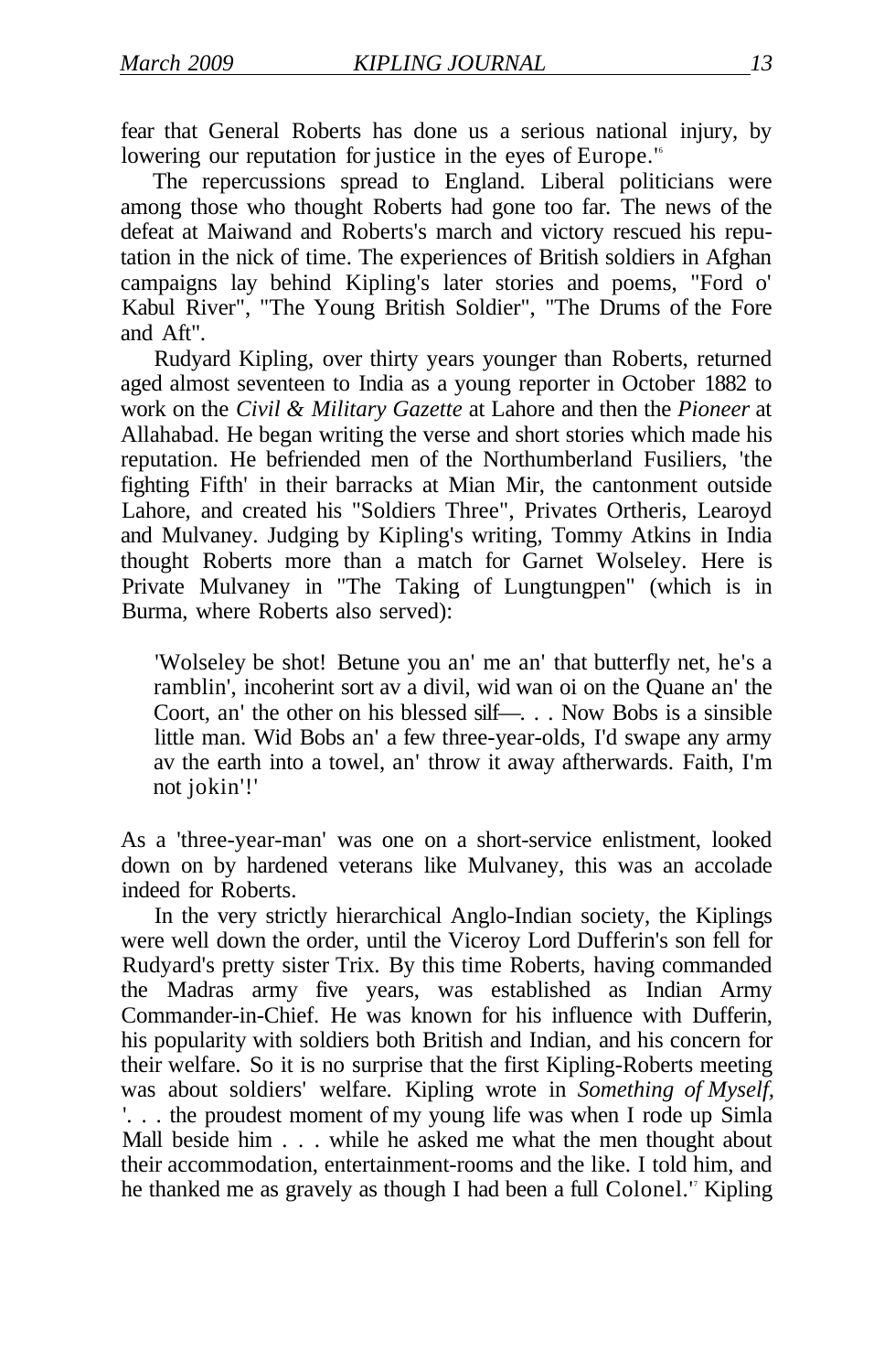fear that General Roberts has done us a serious national injury, by lowering our reputation for justice in the eyes of Europe.<sup>16</sup>

The repercussions spread to England. Liberal politicians were among those who thought Roberts had gone too far. The news of the defeat at Maiwand and Roberts's march and victory rescued his reputation in the nick of time. The experiences of British soldiers in Afghan campaigns lay behind Kipling's later stories and poems, "Ford o' Kabul River", "The Young British Soldier", "The Drums of the Fore and Aft".

Rudyard Kipling, over thirty years younger than Roberts, returned aged almost seventeen to India as a young reporter in October 1882 to work on the *Civil & Military Gazette* at Lahore and then the *Pioneer* at Allahabad. He began writing the verse and short stories which made his reputation. He befriended men of the Northumberland Fusiliers, 'the fighting Fifth' in their barracks at Mian Mir, the cantonment outside Lahore, and created his "Soldiers Three", Privates Ortheris, Learoyd and Mulvaney. Judging by Kipling's writing, Tommy Atkins in India thought Roberts more than a match for Garnet Wolseley. Here is Private Mulvaney in "The Taking of Lungtungpen" (which is in Burma, where Roberts also served):

'Wolseley be shot! Betune you an' me an' that butterfly net, he's a ramblin', incoherint sort av a divil, wid wan oi on the Quane an' the Coort, an' the other on his blessed silf—. . . Now Bobs is a sinsible little man. Wid Bobs an' a few three-year-olds, I'd swape any army av the earth into a towel, an' throw it away aftherwards. Faith, I'm not jokin'!'

As a 'three-year-man' was one on a short-service enlistment, looked down on by hardened veterans like Mulvaney, this was an accolade indeed for Roberts.

In the very strictly hierarchical Anglo-Indian society, the Kiplings were well down the order, until the Viceroy Lord Dufferin's son fell for Rudyard's pretty sister Trix. By this time Roberts, having commanded the Madras army five years, was established as Indian Army Commander-in-Chief. He was known for his influence with Dufferin, his popularity with soldiers both British and Indian, and his concern for their welfare. So it is no surprise that the first Kipling-Roberts meeting was about soldiers' welfare. Kipling wrote in *Something of Myself,*  '. . . the proudest moment of my young life was when I rode up Simla Mall beside him . . . while he asked me what the men thought about their accommodation, entertainment-rooms and the like. I told him, and he thanked me as gravely as though I had been a full Colonel." Kipling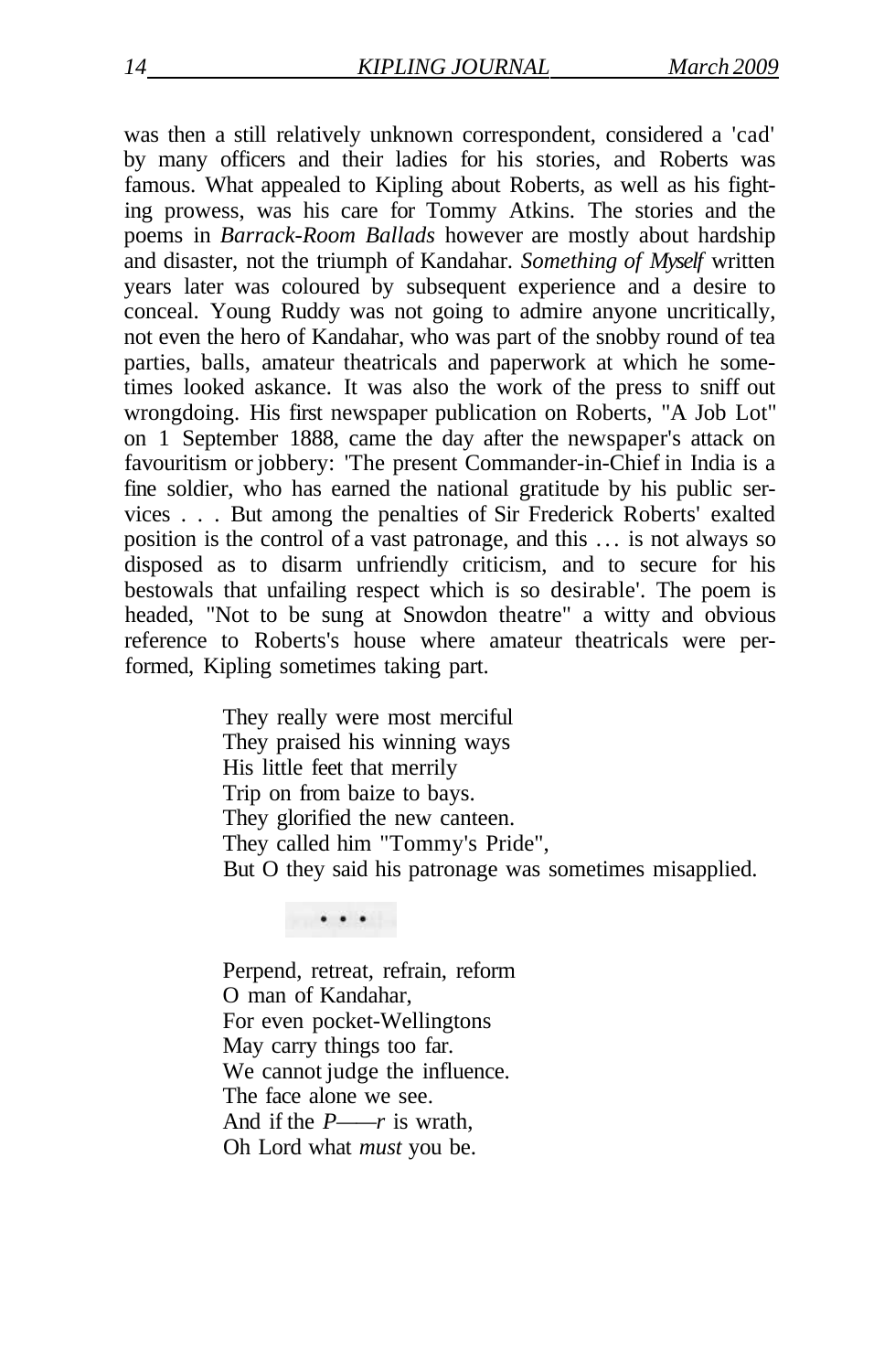was then a still relatively unknown correspondent, considered a 'cad' by many officers and their ladies for his stories, and Roberts was famous. What appealed to Kipling about Roberts, as well as his fighting prowess, was his care for Tommy Atkins. The stories and the poems in *Barrack-Room Ballads* however are mostly about hardship and disaster, not the triumph of Kandahar. *Something of Myself* written years later was coloured by subsequent experience and a desire to conceal. Young Ruddy was not going to admire anyone uncritically, not even the hero of Kandahar, who was part of the snobby round of tea parties, balls, amateur theatricals and paperwork at which he sometimes looked askance. It was also the work of the press to sniff out wrongdoing. His first newspaper publication on Roberts, "A Job Lot" on 1 September 1888, came the day after the newspaper's attack on favouritism or jobbery: 'The present Commander-in-Chief in India is a fine soldier, who has earned the national gratitude by his public services . . . But among the penalties of Sir Frederick Roberts' exalted position is the control of a vast patronage, and this .. . is not always so disposed as to disarm unfriendly criticism, and to secure for his bestowals that unfailing respect which is so desirable'. The poem is headed, "Not to be sung at Snowdon theatre" a witty and obvious reference to Roberts's house where amateur theatricals were performed, Kipling sometimes taking part.

> They really were most merciful They praised his winning ways His little feet that merrily Trip on from baize to bays. They glorified the new canteen. They called him "Tommy's Pride", But O they said his patronage was sometimes misapplied.

Perpend, retreat, refrain, reform O man of Kandahar, For even pocket-Wellingtons May carry things too far. We cannot judge the influence. The face alone we see. And if the *P——r* is wrath, Oh Lord what *must* you be.

. . .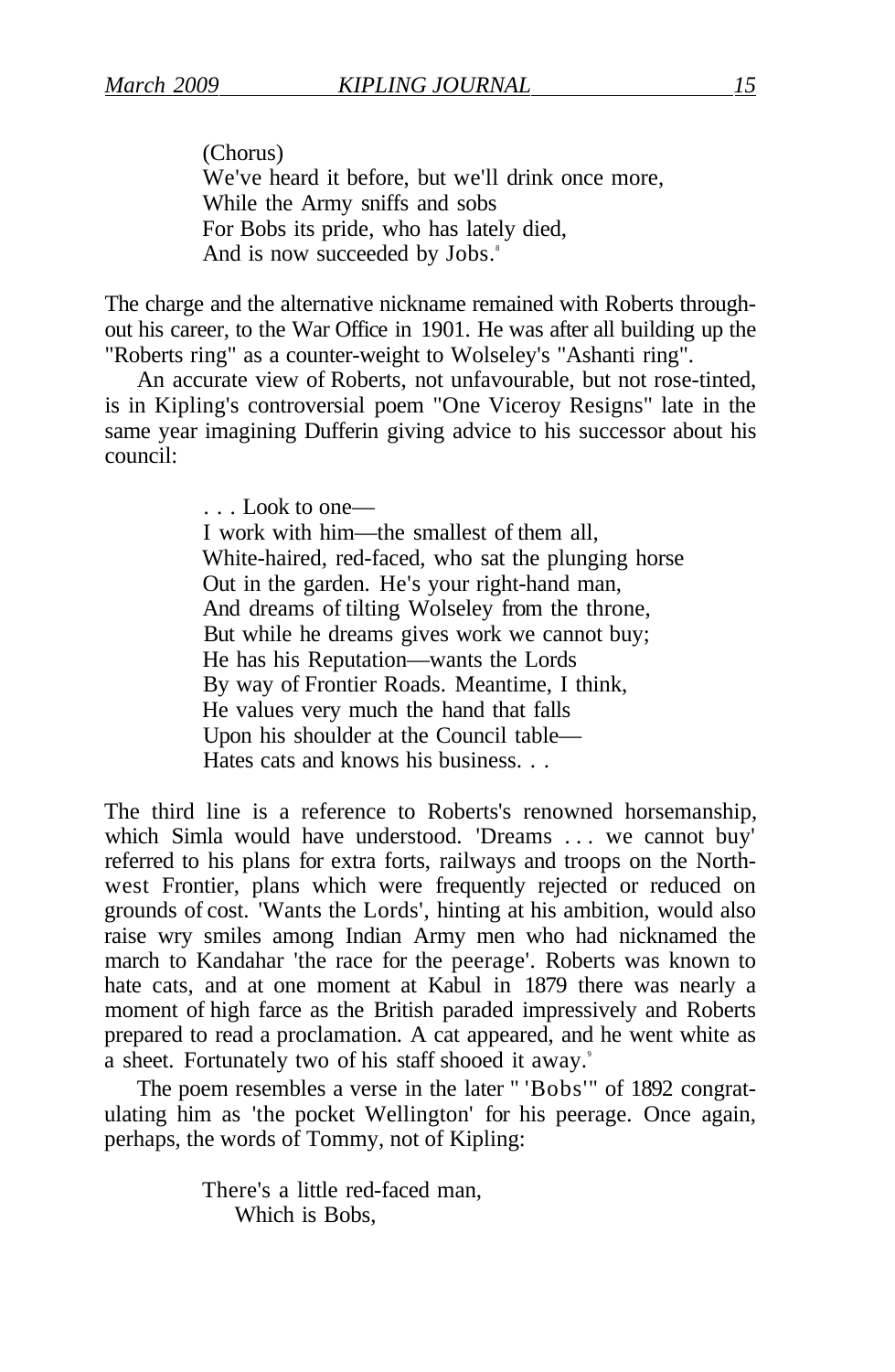(Chorus) We've heard it before, but we'll drink once more, While the Army sniffs and sobs For Bobs its pride, who has lately died, And is now succeeded by Jobs.<sup>8</sup>

The charge and the alternative nickname remained with Roberts throughout his career, to the War Office in 1901. He was after all building up the "Roberts ring" as a counter-weight to Wolseley's "Ashanti ring".

An accurate view of Roberts, not unfavourable, but not rose-tinted, is in Kipling's controversial poem "One Viceroy Resigns" late in the same year imagining Dufferin giving advice to his successor about his council:

> . . . Look to one— I work with him—the smallest of them all, White-haired, red-faced, who sat the plunging horse Out in the garden. He's your right-hand man, And dreams of tilting Wolseley from the throne, But while he dreams gives work we cannot buy; He has his Reputation—wants the Lords By way of Frontier Roads. Meantime, I think, He values very much the hand that falls Upon his shoulder at the Council table— Hates cats and knows his business. . .

The third line is a reference to Roberts's renowned horsemanship, which Simla would have understood. 'Dreams .. . we cannot buy' referred to his plans for extra forts, railways and troops on the Northwest Frontier, plans which were frequently rejected or reduced on grounds of cost. 'Wants the Lords', hinting at his ambition, would also raise wry smiles among Indian Army men who had nicknamed the march to Kandahar 'the race for the peerage'. Roberts was known to hate cats, and at one moment at Kabul in 1879 there was nearly a moment of high farce as the British paraded impressively and Roberts prepared to read a proclamation. A cat appeared, and he went white as a sheet. Fortunately two of his staff shooed it away.<sup>9</sup>

The poem resembles a verse in the later " 'Bobs'" of 1892 congratulating him as 'the pocket Wellington' for his peerage. Once again, perhaps, the words of Tommy, not of Kipling:

> There's a little red-faced man, Which is Bobs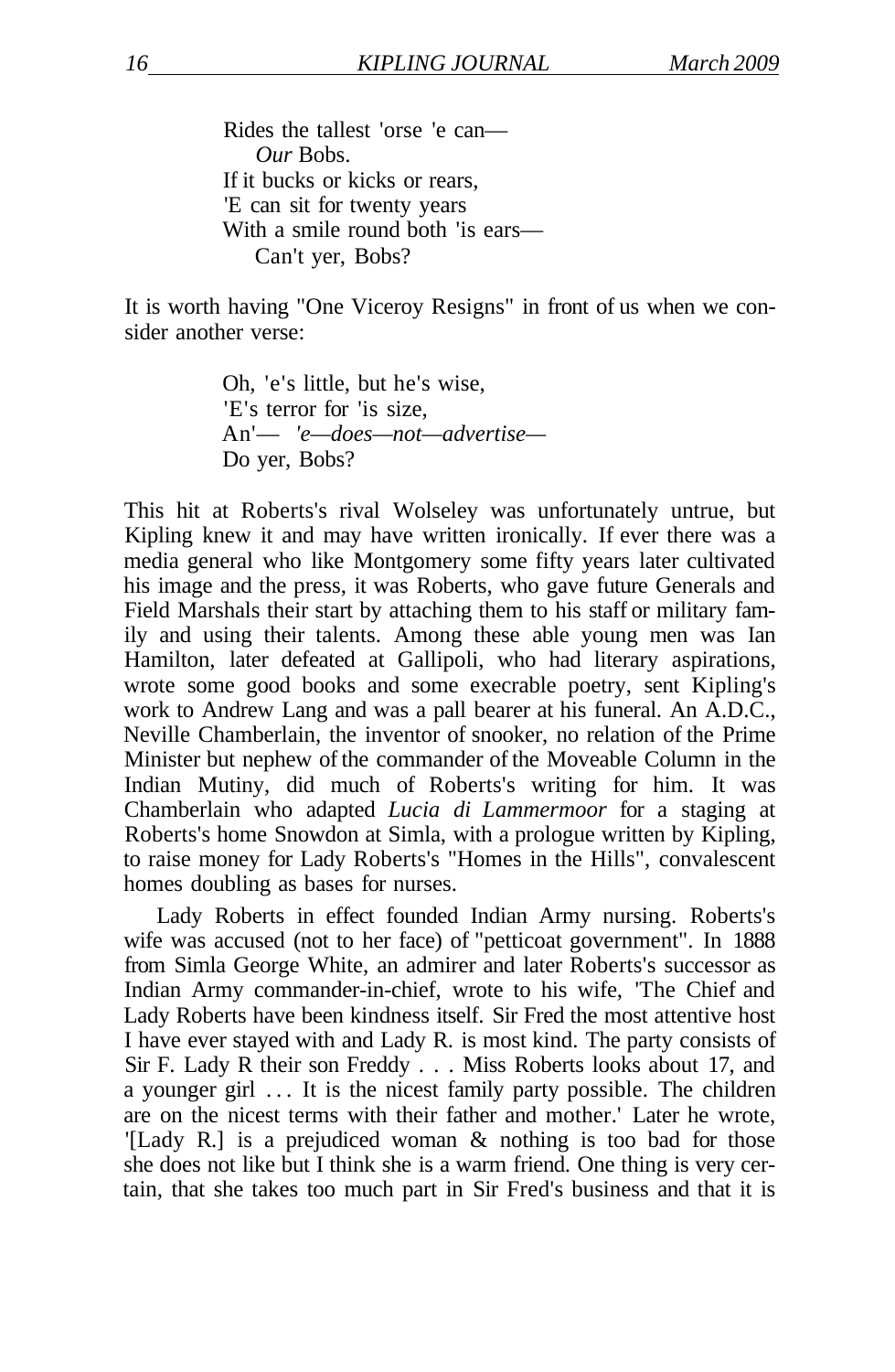Rides the tallest 'orse 'e can— *Our* Bobs. If it bucks or kicks or rears, 'E can sit for twenty years With a smile round both 'is ears— Can't yer, Bobs?

It is worth having "One Viceroy Resigns" in front of us when we consider another verse:

> Oh, 'e's little, but he's wise, 'E's terror for 'is size, An'— *'e—does—not—advertise—*  Do yer, Bobs?

This hit at Roberts's rival Wolseley was unfortunately untrue, but Kipling knew it and may have written ironically. If ever there was a media general who like Montgomery some fifty years later cultivated his image and the press, it was Roberts, who gave future Generals and Field Marshals their start by attaching them to his staff or military family and using their talents. Among these able young men was Ian Hamilton, later defeated at Gallipoli, who had literary aspirations, wrote some good books and some execrable poetry, sent Kipling's work to Andrew Lang and was a pall bearer at his funeral. An A.D.C., Neville Chamberlain, the inventor of snooker, no relation of the Prime Minister but nephew of the commander of the Moveable Column in the Indian Mutiny, did much of Roberts's writing for him. It was Chamberlain who adapted *Lucia di Lammermoor* for a staging at Roberts's home Snowdon at Simla, with a prologue written by Kipling, to raise money for Lady Roberts's "Homes in the Hills", convalescent homes doubling as bases for nurses.

Lady Roberts in effect founded Indian Army nursing. Roberts's wife was accused (not to her face) of "petticoat government". In 1888 from Simla George White, an admirer and later Roberts's successor as Indian Army commander-in-chief, wrote to his wife, 'The Chief and Lady Roberts have been kindness itself. Sir Fred the most attentive host I have ever stayed with and Lady R. is most kind. The party consists of Sir F. Lady R their son Freddy . . . Miss Roberts looks about 17, and a younger girl .. . It is the nicest family party possible. The children are on the nicest terms with their father and mother.' Later he wrote, '[Lady R.] is a prejudiced woman & nothing is too bad for those she does not like but I think she is a warm friend. One thing is very certain, that she takes too much part in Sir Fred's business and that it is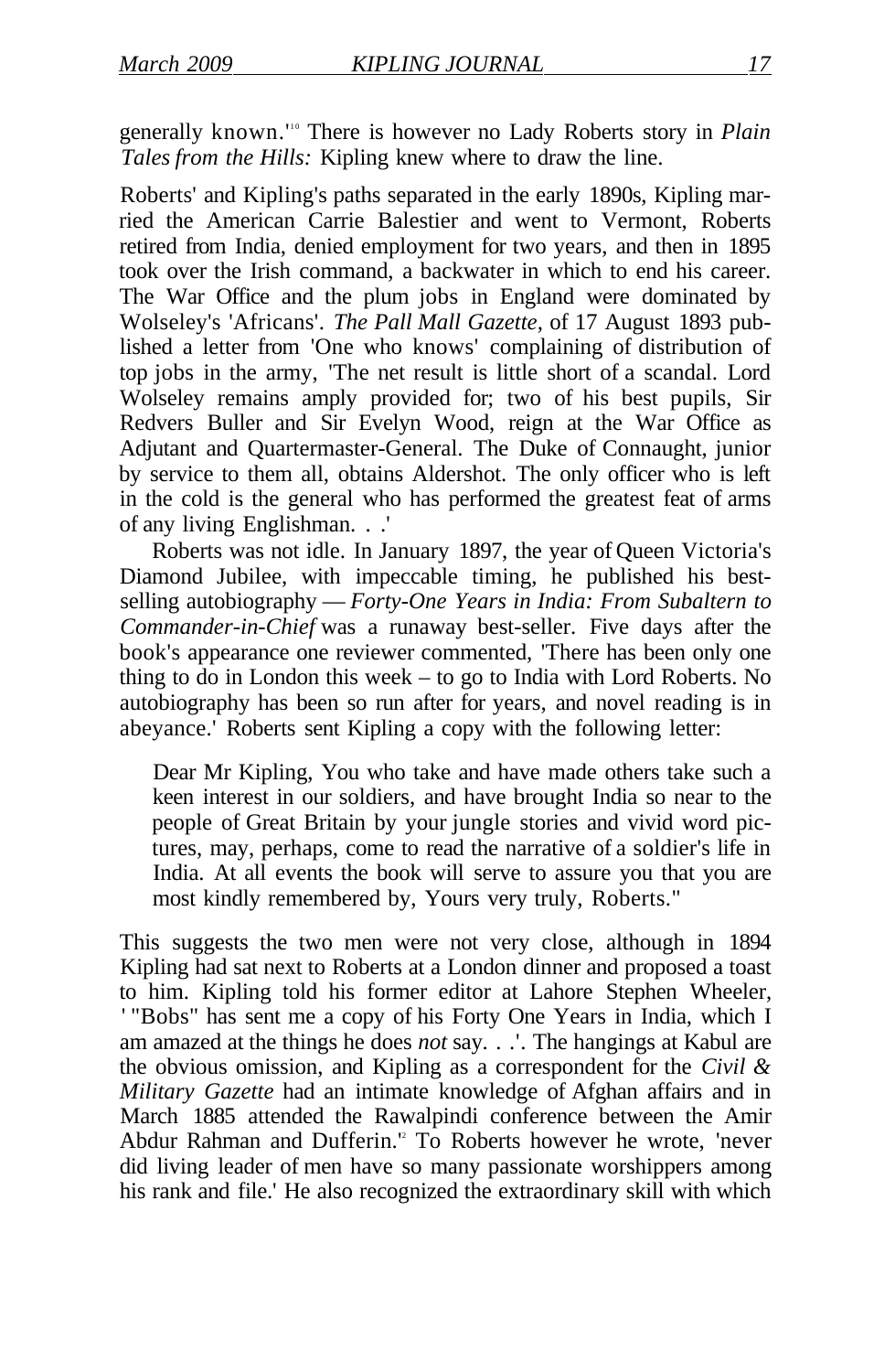generally known.<sup>110</sup> There is however no Lady Roberts story in *Plain Tales from the Hills:* Kipling knew where to draw the line.

Roberts' and Kipling's paths separated in the early 1890s, Kipling married the American Carrie Balestier and went to Vermont, Roberts retired from India, denied employment for two years, and then in 1895 took over the Irish command, a backwater in which to end his career. The War Office and the plum jobs in England were dominated by Wolseley's 'Africans'. *The Pall Mall Gazette,* of 17 August 1893 published a letter from 'One who knows' complaining of distribution of top jobs in the army, 'The net result is little short of a scandal. Lord Wolseley remains amply provided for; two of his best pupils, Sir Redvers Buller and Sir Evelyn Wood, reign at the War Office as Adjutant and Quartermaster-General. The Duke of Connaught, junior by service to them all, obtains Aldershot. The only officer who is left in the cold is the general who has performed the greatest feat of arms of any living Englishman. . .'

Roberts was not idle. In January 1897, the year of Queen Victoria's Diamond Jubilee, with impeccable timing, he published his bestselling autobiography — *Forty-One Years in India: From Subaltern to Commander-in-Chief* was a runaway best-seller. Five days after the book's appearance one reviewer commented, 'There has been only one thing to do in London this week – to go to India with Lord Roberts. No autobiography has been so run after for years, and novel reading is in abeyance.' Roberts sent Kipling a copy with the following letter:

Dear Mr Kipling, You who take and have made others take such a keen interest in our soldiers, and have brought India so near to the people of Great Britain by your jungle stories and vivid word pictures, may, perhaps, come to read the narrative of a soldier's life in India. At all events the book will serve to assure you that you are most kindly remembered by, Yours very truly, Roberts."

This suggests the two men were not very close, although in 1894 Kipling had sat next to Roberts at a London dinner and proposed a toast to him. Kipling told his former editor at Lahore Stephen Wheeler, ' "Bobs" has sent me a copy of his Forty One Years in India, which I am amazed at the things he does *not* say. . .'. The hangings at Kabul are the obvious omission, and Kipling as a correspondent for the *Civil & Military Gazette* had an intimate knowledge of Afghan affairs and in March 1885 attended the Rawalpindi conference between the Amir Abdur Rahman and Dufferin.<sup>12</sup> To Roberts however he wrote, 'never did living leader of men have so many passionate worshippers among his rank and file.' He also recognized the extraordinary skill with which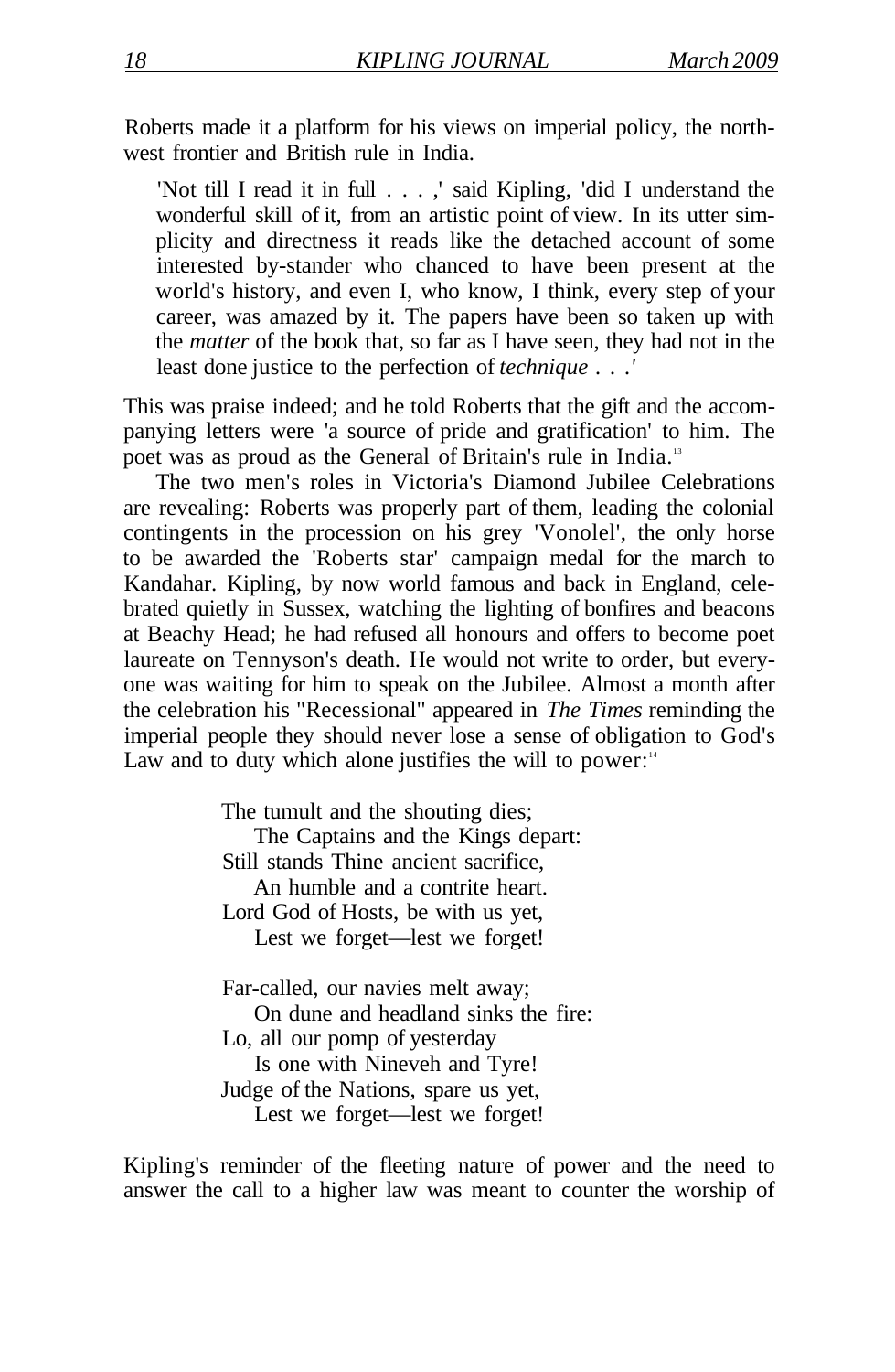Roberts made it a platform for his views on imperial policy, the northwest frontier and British rule in India.

'Not till I read it in full . . . ,' said Kipling, 'did I understand the wonderful skill of it, from an artistic point of view. In its utter simplicity and directness it reads like the detached account of some interested by-stander who chanced to have been present at the world's history, and even I, who know, I think, every step of your career, was amazed by it. The papers have been so taken up with the *matter* of the book that, so far as I have seen, they had not in the least done justice to the perfection of *technique . . .'* 

This was praise indeed; and he told Roberts that the gift and the accompanying letters were 'a source of pride and gratification' to him. The poet was as proud as the General of Britain's rule in India.<sup>13</sup>

The two men's roles in Victoria's Diamond Jubilee Celebrations are revealing: Roberts was properly part of them, leading the colonial contingents in the procession on his grey 'Vonolel', the only horse to be awarded the 'Roberts star' campaign medal for the march to Kandahar. Kipling, by now world famous and back in England, celebrated quietly in Sussex, watching the lighting of bonfires and beacons at Beachy Head; he had refused all honours and offers to become poet laureate on Tennyson's death. He would not write to order, but everyone was waiting for him to speak on the Jubilee. Almost a month after the celebration his "Recessional" appeared in *The Times* reminding the imperial people they should never lose a sense of obligation to God's Law and to duty which alone justifies the will to power: $14$ 

> The tumult and the shouting dies; The Captains and the Kings depart: Still stands Thine ancient sacrifice, An humble and a contrite heart. Lord God of Hosts, be with us yet, Lest we forget—lest we forget! Far-called, our navies melt away;

On dune and headland sinks the fire: Lo, all our pomp of yesterday Is one with Nineveh and Tyre! Judge of the Nations, spare us yet, Lest we forget—lest we forget!

Kipling's reminder of the fleeting nature of power and the need to answer the call to a higher law was meant to counter the worship of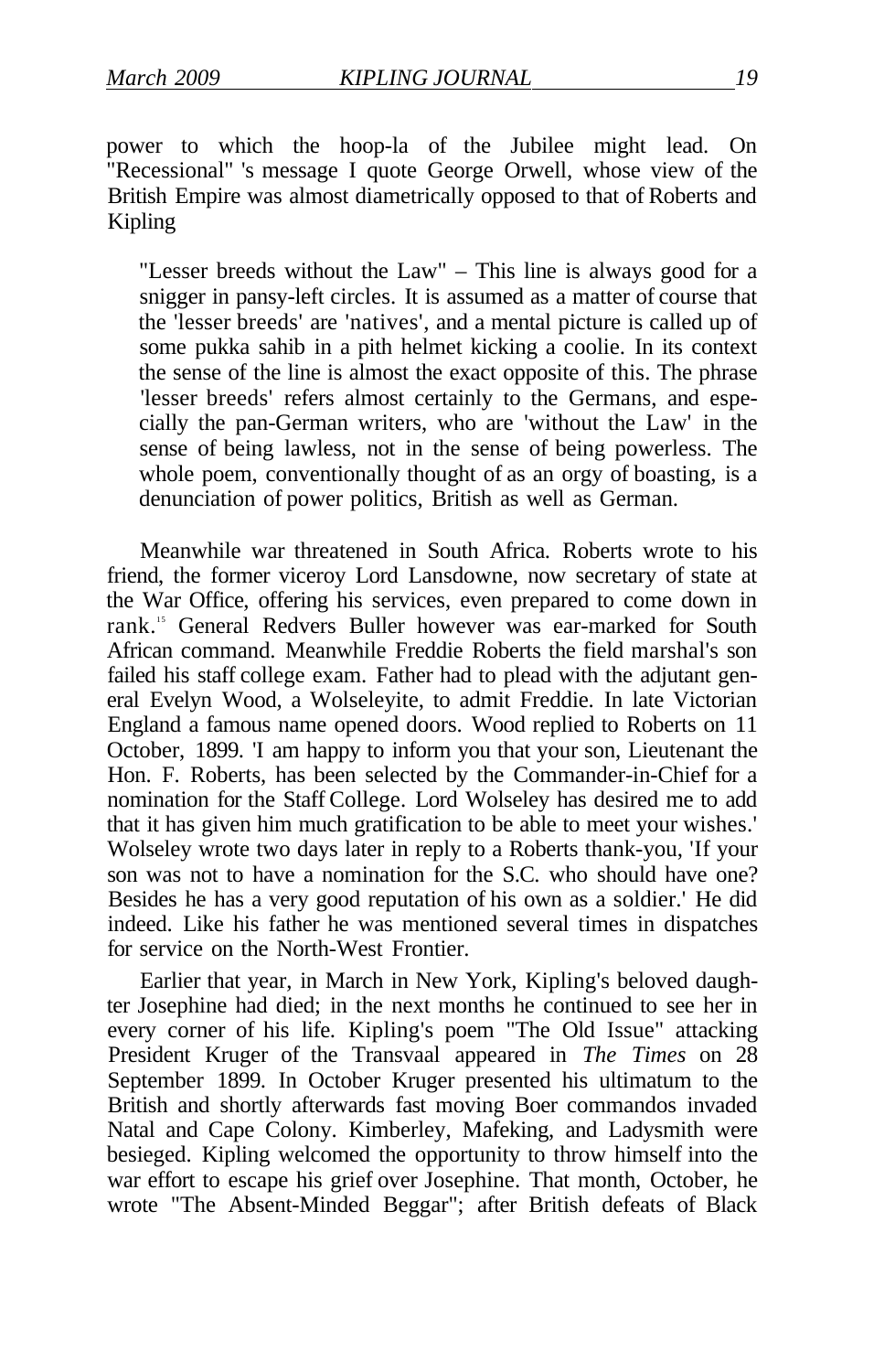power to which the hoop-la of the Jubilee might lead. On "Recessional" 's message I quote George Orwell, whose view of the British Empire was almost diametrically opposed to that of Roberts and Kipling

"Lesser breeds without the Law" – This line is always good for a snigger in pansy-left circles. It is assumed as a matter of course that the 'lesser breeds' are 'natives', and a mental picture is called up of some pukka sahib in a pith helmet kicking a coolie. In its context the sense of the line is almost the exact opposite of this. The phrase 'lesser breeds' refers almost certainly to the Germans, and especially the pan-German writers, who are 'without the Law' in the sense of being lawless, not in the sense of being powerless. The whole poem, conventionally thought of as an orgy of boasting, is a denunciation of power politics, British as well as German.

Meanwhile war threatened in South Africa. Roberts wrote to his friend, the former viceroy Lord Lansdowne, now secretary of state at the War Office, offering his services, even prepared to come down in rank.<sup>15</sup> General Redvers Buller however was ear-marked for South African command. Meanwhile Freddie Roberts the field marshal's son failed his staff college exam. Father had to plead with the adjutant general Evelyn Wood, a Wolseleyite, to admit Freddie. In late Victorian England a famous name opened doors. Wood replied to Roberts on 11 October, 1899. 'I am happy to inform you that your son, Lieutenant the Hon. F. Roberts, has been selected by the Commander-in-Chief for a nomination for the Staff College. Lord Wolseley has desired me to add that it has given him much gratification to be able to meet your wishes.' Wolseley wrote two days later in reply to a Roberts thank-you, 'If your son was not to have a nomination for the S.C. who should have one? Besides he has a very good reputation of his own as a soldier.' He did indeed. Like his father he was mentioned several times in dispatches for service on the North-West Frontier.

Earlier that year, in March in New York, Kipling's beloved daughter Josephine had died; in the next months he continued to see her in every corner of his life. Kipling's poem "The Old Issue" attacking President Kruger of the Transvaal appeared in *The Times* on 28 September 1899. In October Kruger presented his ultimatum to the British and shortly afterwards fast moving Boer commandos invaded Natal and Cape Colony. Kimberley, Mafeking, and Ladysmith were besieged. Kipling welcomed the opportunity to throw himself into the war effort to escape his grief over Josephine. That month, October, he wrote "The Absent-Minded Beggar"; after British defeats of Black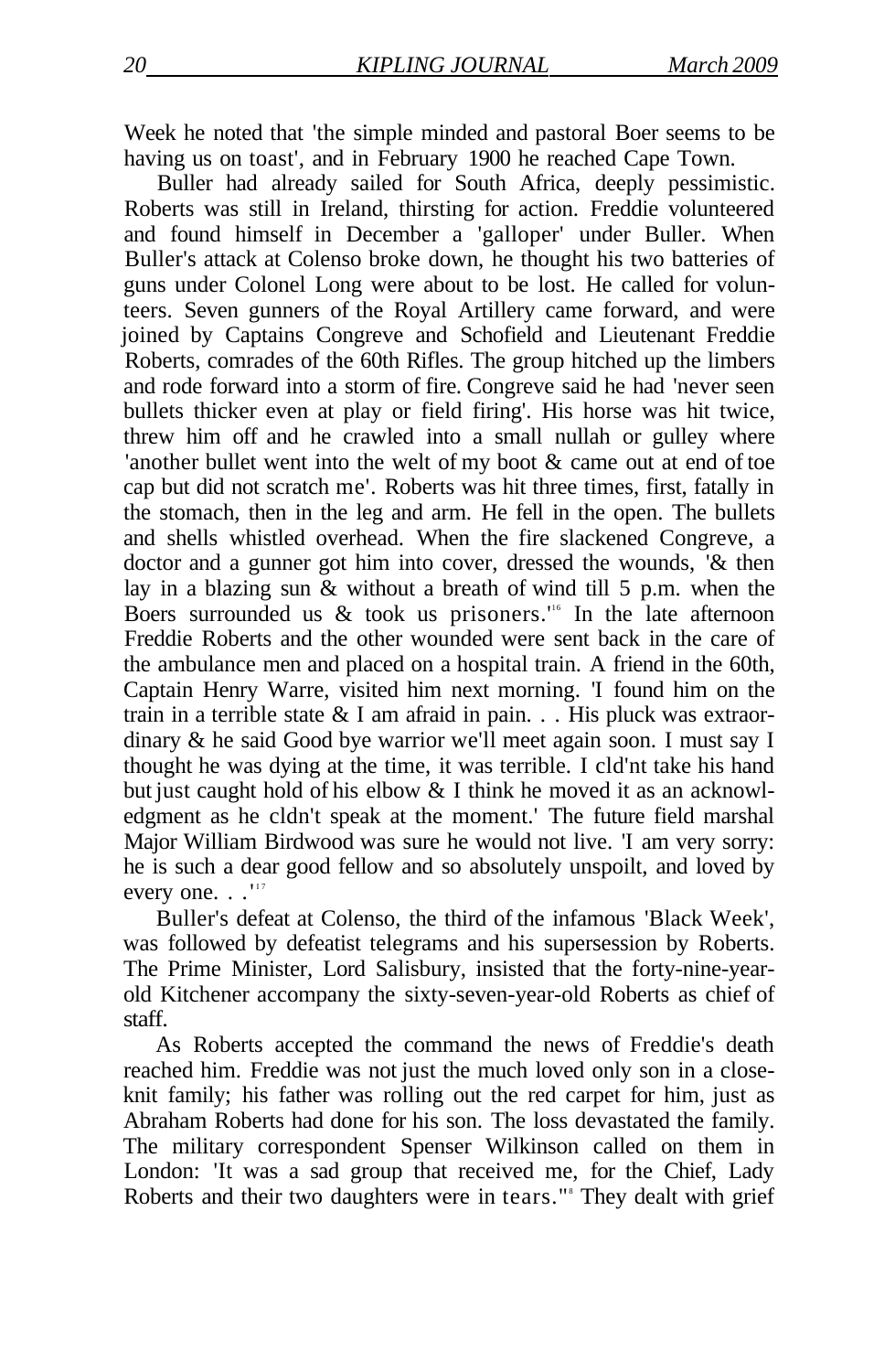Week he noted that 'the simple minded and pastoral Boer seems to be having us on toast', and in February 1900 he reached Cape Town.

Buller had already sailed for South Africa, deeply pessimistic. Roberts was still in Ireland, thirsting for action. Freddie volunteered and found himself in December a 'galloper' under Buller. When Buller's attack at Colenso broke down, he thought his two batteries of guns under Colonel Long were about to be lost. He called for volunteers. Seven gunners of the Royal Artillery came forward, and were joined by Captains Congreve and Schofield and Lieutenant Freddie Roberts, comrades of the 60th Rifles. The group hitched up the limbers and rode forward into a storm of fire. Congreve said he had 'never seen bullets thicker even at play or field firing'. His horse was hit twice, threw him off and he crawled into a small nullah or gulley where 'another bullet went into the welt of my boot & came out at end of toe cap but did not scratch me'. Roberts was hit three times, first, fatally in the stomach, then in the leg and arm. He fell in the open. The bullets and shells whistled overhead. When the fire slackened Congreve, a doctor and a gunner got him into cover, dressed the wounds, '& then lay in a blazing sun & without a breath of wind till 5 p.m. when the Boers surrounded us  $&$  took us prisoners." In the late afternoon Freddie Roberts and the other wounded were sent back in the care of the ambulance men and placed on a hospital train. A friend in the 60th, Captain Henry Warre, visited him next morning. 'I found him on the train in a terrible state & I am afraid in pain. . . His pluck was extraordinary & he said Good bye warrior we'll meet again soon. I must say I thought he was dying at the time, it was terrible. I cld'nt take his hand but just caught hold of his elbow & I think he moved it as an acknowledgment as he cldn't speak at the moment.' The future field marshal Major William Birdwood was sure he would not live. 'I am very sorry: he is such a dear good fellow and so absolutely unspoilt, and loved by every one. . . "

Buller's defeat at Colenso, the third of the infamous 'Black Week', was followed by defeatist telegrams and his supersession by Roberts. The Prime Minister, Lord Salisbury, insisted that the forty-nine-yearold Kitchener accompany the sixty-seven-year-old Roberts as chief of staff.

As Roberts accepted the command the news of Freddie's death reached him. Freddie was not just the much loved only son in a closeknit family; his father was rolling out the red carpet for him, just as Abraham Roberts had done for his son. The loss devastated the family. The military correspondent Spenser Wilkinson called on them in London: 'It was a sad group that received me, for the Chief, Lady Roberts and their two daughters were in tears." They dealt with grief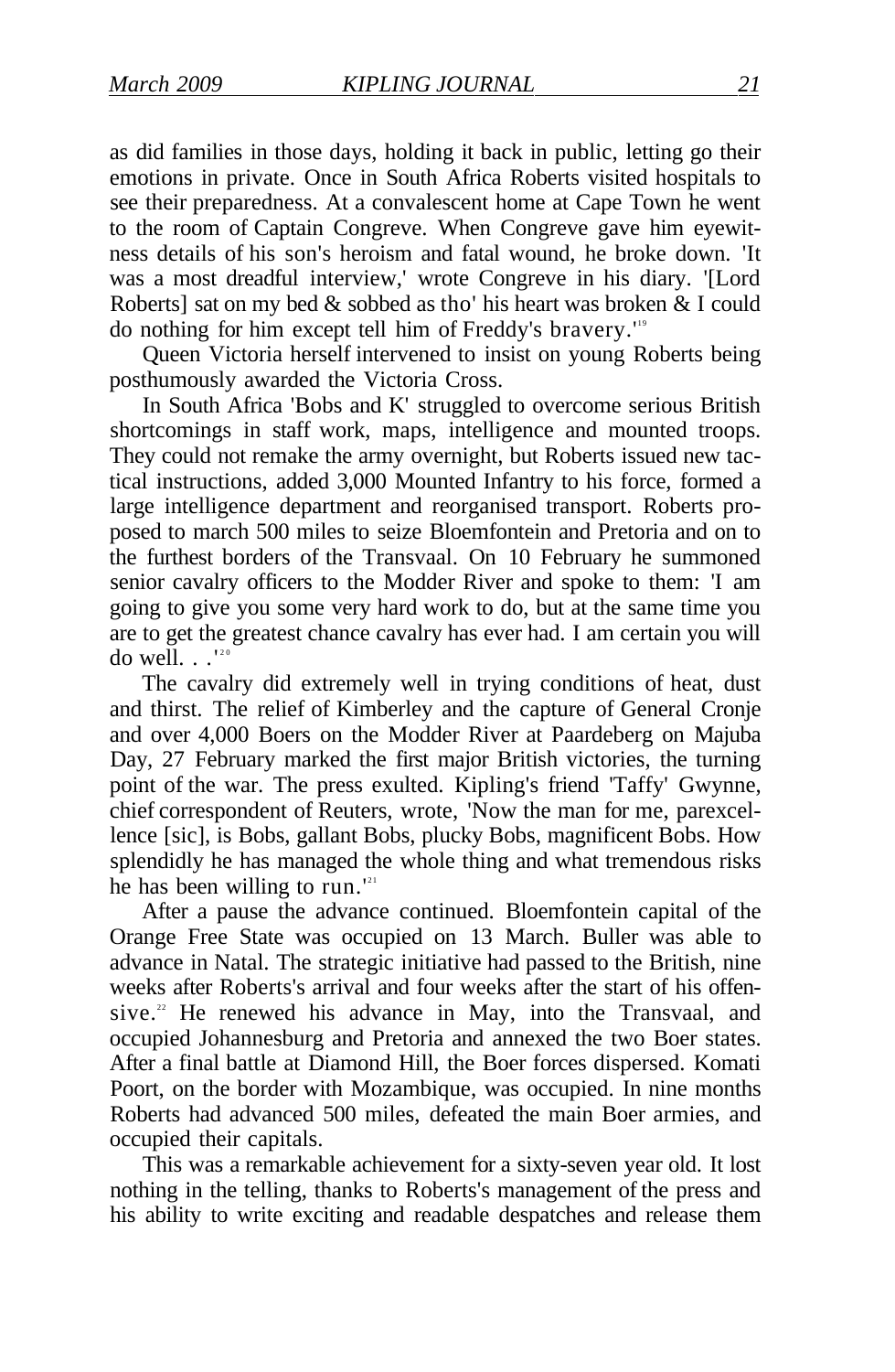as did families in those days, holding it back in public, letting go their emotions in private. Once in South Africa Roberts visited hospitals to see their preparedness. At a convalescent home at Cape Town he went to the room of Captain Congreve. When Congreve gave him eyewitness details of his son's heroism and fatal wound, he broke down. 'It was a most dreadful interview,' wrote Congreve in his diary. '[Lord Roberts] sat on my bed & sobbed as tho' his heart was broken & I could do nothing for him except tell him of Freddy's bravery.'<sup>19</sup>

Queen Victoria herself intervened to insist on young Roberts being posthumously awarded the Victoria Cross.

In South Africa 'Bobs and K' struggled to overcome serious British shortcomings in staff work, maps, intelligence and mounted troops. They could not remake the army overnight, but Roberts issued new tactical instructions, added 3,000 Mounted Infantry to his force, formed a large intelligence department and reorganised transport. Roberts proposed to march 500 miles to seize Bloemfontein and Pretoria and on to the furthest borders of the Transvaal. On 10 February he summoned senior cavalry officers to the Modder River and spoke to them: 'I am going to give you some very hard work to do, but at the same time you are to get the greatest chance cavalry has ever had. I am certain you will do well.  $\cdot$ .'<sup>2</sup>

The cavalry did extremely well in trying conditions of heat, dust and thirst. The relief of Kimberley and the capture of General Cronje and over 4,000 Boers on the Modder River at Paardeberg on Majuba Day, 27 February marked the first major British victories, the turning point of the war. The press exulted. Kipling's friend 'Taffy' Gwynne, chief correspondent of Reuters, wrote, 'Now the man for me, parexcellence [sic], is Bobs, gallant Bobs, plucky Bobs, magnificent Bobs. How splendidly he has managed the whole thing and what tremendous risks he has been willing to run. $121$ 

After a pause the advance continued. Bloemfontein capital of the Orange Free State was occupied on 13 March. Buller was able to advance in Natal. The strategic initiative had passed to the British, nine weeks after Roberts's arrival and four weeks after the start of his offensive.<sup>22</sup> He renewed his advance in May, into the Transvaal, and occupied Johannesburg and Pretoria and annexed the two Boer states. After a final battle at Diamond Hill, the Boer forces dispersed. Komati Poort, on the border with Mozambique, was occupied. In nine months Roberts had advanced 500 miles, defeated the main Boer armies, and occupied their capitals.

This was a remarkable achievement for a sixty-seven year old. It lost nothing in the telling, thanks to Roberts's management of the press and his ability to write exciting and readable despatches and release them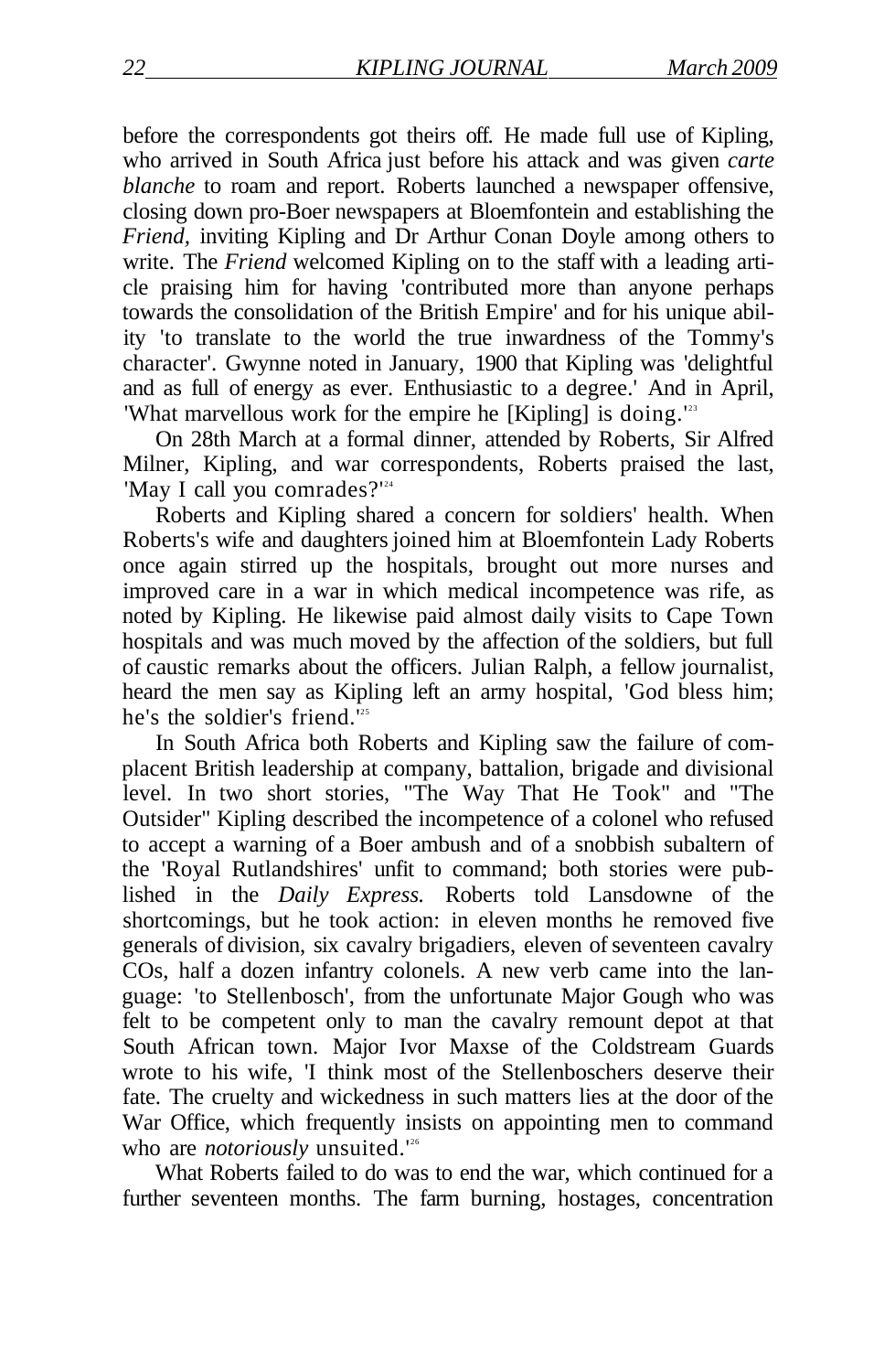before the correspondents got theirs off. He made full use of Kipling, who arrived in South Africa just before his attack and was given *carte blanche* to roam and report. Roberts launched a newspaper offensive, closing down pro-Boer newspapers at Bloemfontein and establishing the *Friend,* inviting Kipling and Dr Arthur Conan Doyle among others to write. The *Friend* welcomed Kipling on to the staff with a leading article praising him for having 'contributed more than anyone perhaps towards the consolidation of the British Empire' and for his unique ability 'to translate to the world the true inwardness of the Tommy's character'. Gwynne noted in January, 1900 that Kipling was 'delightful and as full of energy as ever. Enthusiastic to a degree.' And in April, 'What marvellous work for the empire he [Kipling] is doing.<sup>123</sup>

On 28th March at a formal dinner, attended by Roberts, Sir Alfred Milner, Kipling, and war correspondents, Roberts praised the last, 'May I call you comrades?'<sup>24</sup>

Roberts and Kipling shared a concern for soldiers' health. When Roberts's wife and daughters joined him at Bloemfontein Lady Roberts once again stirred up the hospitals, brought out more nurses and improved care in a war in which medical incompetence was rife, as noted by Kipling. He likewise paid almost daily visits to Cape Town hospitals and was much moved by the affection of the soldiers, but full of caustic remarks about the officers. Julian Ralph, a fellow journalist, heard the men say as Kipling left an army hospital, 'God bless him; he's the soldier's friend.<sup>125</sup>

In South Africa both Roberts and Kipling saw the failure of complacent British leadership at company, battalion, brigade and divisional level. In two short stories, "The Way That He Took" and "The Outsider" Kipling described the incompetence of a colonel who refused to accept a warning of a Boer ambush and of a snobbish subaltern of the 'Royal Rutlandshires' unfit to command; both stories were published in the *Daily Express.* Roberts told Lansdowne of the shortcomings, but he took action: in eleven months he removed five generals of division, six cavalry brigadiers, eleven of seventeen cavalry COs, half a dozen infantry colonels. A new verb came into the language: 'to Stellenbosch', from the unfortunate Major Gough who was felt to be competent only to man the cavalry remount depot at that South African town. Major Ivor Maxse of the Coldstream Guards wrote to his wife, 'I think most of the Stellenboschers deserve their fate. The cruelty and wickedness in such matters lies at the door of the War Office, which frequently insists on appointing men to command who are *notoriously* unsuited.<sup>126</sup>

What Roberts failed to do was to end the war, which continued for a further seventeen months. The farm burning, hostages, concentration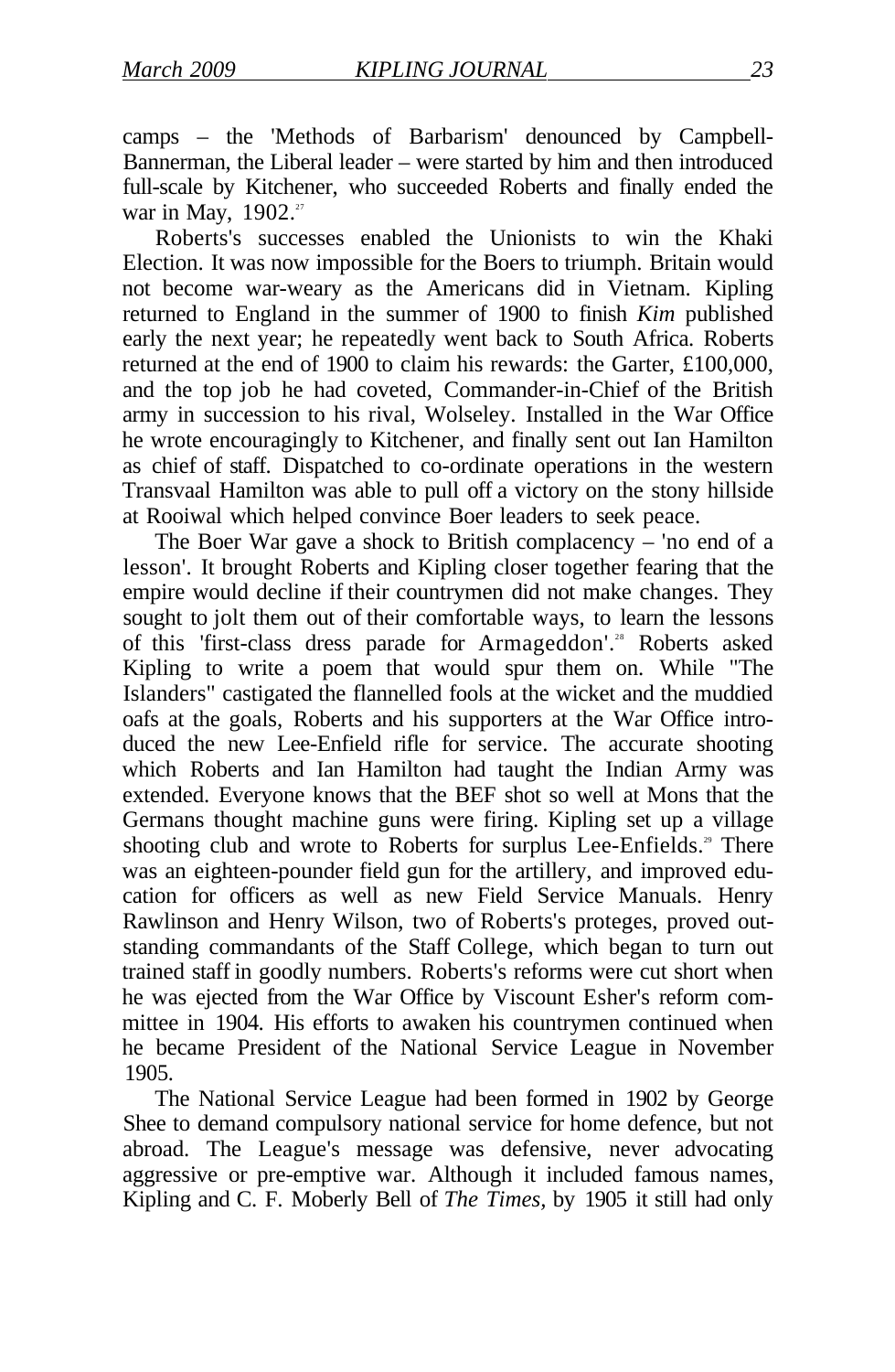camps – the 'Methods of Barbarism' denounced by Campbell-Bannerman, the Liberal leader – were started by him and then introduced full-scale by Kitchener, who succeeded Roberts and finally ended the war in May,  $1902.^{27}$ 

Roberts's successes enabled the Unionists to win the Khaki Election. It was now impossible for the Boers to triumph. Britain would not become war-weary as the Americans did in Vietnam. Kipling returned to England in the summer of 1900 to finish *Kim* published early the next year; he repeatedly went back to South Africa. Roberts returned at the end of 1900 to claim his rewards: the Garter, £100,000, and the top job he had coveted. Commander-in-Chief of the British army in succession to his rival, Wolseley. Installed in the War Office he wrote encouragingly to Kitchener, and finally sent out Ian Hamilton as chief of staff. Dispatched to co-ordinate operations in the western Transvaal Hamilton was able to pull off a victory on the stony hillside at Rooiwal which helped convince Boer leaders to seek peace.

The Boer War gave a shock to British complacency – 'no end of a lesson'. It brought Roberts and Kipling closer together fearing that the empire would decline if their countrymen did not make changes. They sought to jolt them out of their comfortable ways, to learn the lessons of this 'first-class dress parade for Armageddon'.<sup>28</sup> Roberts asked Kipling to write a poem that would spur them on. While "The Islanders" castigated the flannelled fools at the wicket and the muddied oafs at the goals, Roberts and his supporters at the War Office introduced the new Lee-Enfield rifle for service. The accurate shooting which Roberts and Ian Hamilton had taught the Indian Army was extended. Everyone knows that the BEF shot so well at Mons that the Germans thought machine guns were firing. Kipling set up a village shooting club and wrote to Roberts for surplus Lee-Enfields.<sup>39</sup> There was an eighteen-pounder field gun for the artillery, and improved education for officers as well as new Field Service Manuals. Henry Rawlinson and Henry Wilson, two of Roberts's proteges, proved outstanding commandants of the Staff College, which began to turn out trained staff in goodly numbers. Roberts's reforms were cut short when he was ejected from the War Office by Viscount Esher's reform committee in 1904. His efforts to awaken his countrymen continued when he became President of the National Service League in November 1905.

The National Service League had been formed in 1902 by George Shee to demand compulsory national service for home defence, but not abroad. The League's message was defensive, never advocating aggressive or pre-emptive war. Although it included famous names, Kipling and C. F. Moberly Bell of *The Times,* by 1905 it still had only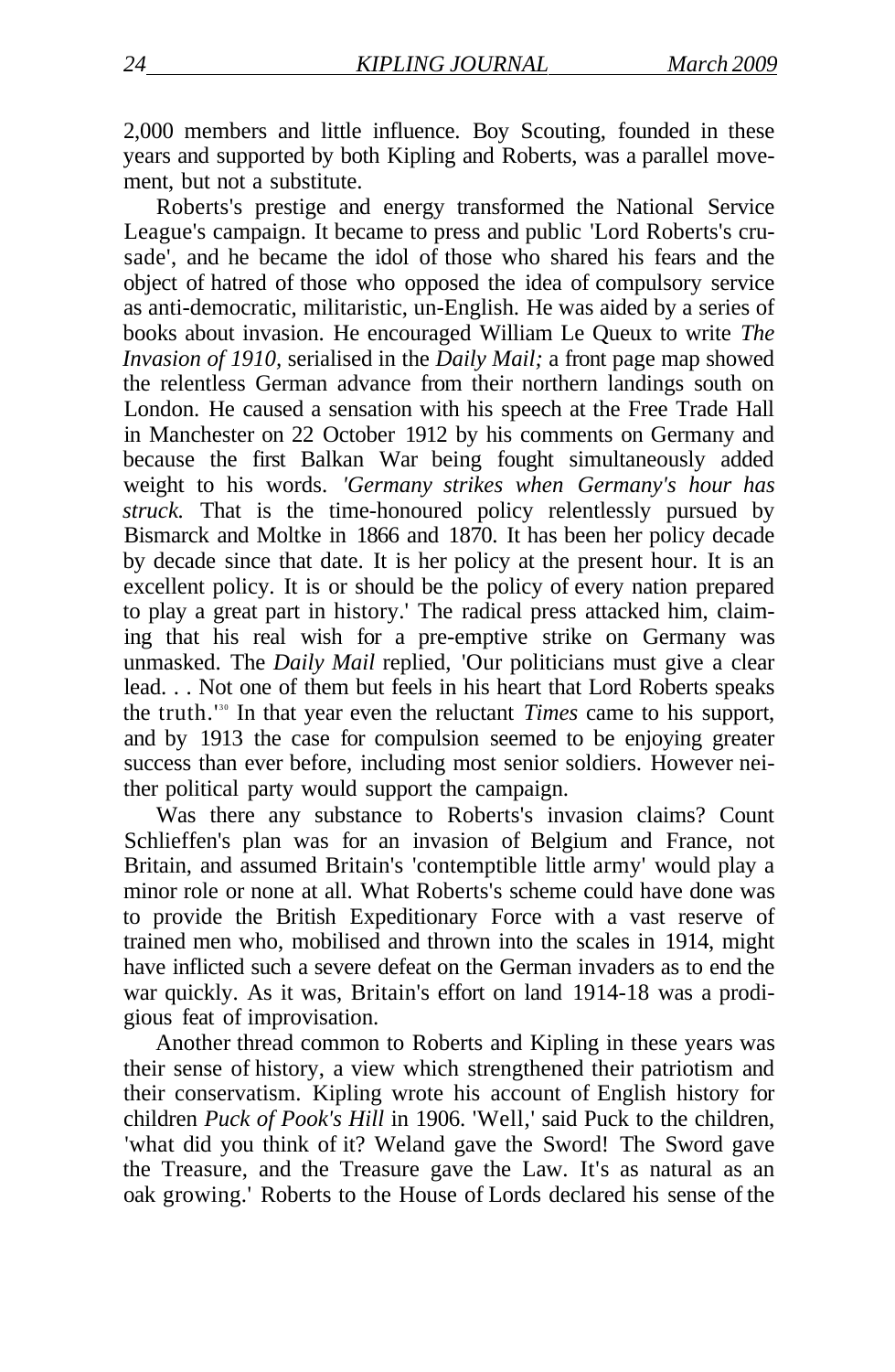2,000 members and little influence. Boy Scouting, founded in these years and supported by both Kipling and Roberts, was a parallel movement, but not a substitute.

Roberts's prestige and energy transformed the National Service League's campaign. It became to press and public 'Lord Roberts's crusade', and he became the idol of those who shared his fears and the object of hatred of those who opposed the idea of compulsory service as anti-democratic, militaristic, un-English. He was aided by a series of books about invasion. He encouraged William Le Queux to write *The Invasion of 1910,* serialised in the *Daily Mail;* a front page map showed the relentless German advance from their northern landings south on London. He caused a sensation with his speech at the Free Trade Hall in Manchester on 22 October 1912 by his comments on Germany and because the first Balkan War being fought simultaneously added weight to his words. *'Germany strikes when Germany's hour has struck.* That is the time-honoured policy relentlessly pursued by Bismarck and Moltke in 1866 and 1870. It has been her policy decade by decade since that date. It is her policy at the present hour. It is an excellent policy. It is or should be the policy of every nation prepared to play a great part in history.' The radical press attacked him, claiming that his real wish for a pre-emptive strike on Germany was unmasked. The *Daily Mail* replied, 'Our politicians must give a clear lead. . . Not one of them but feels in his heart that Lord Roberts speaks the truth.<sup>130</sup> In that year even the reluctant *Times* came to his support, and by 1913 the case for compulsion seemed to be enjoying greater success than ever before, including most senior soldiers. However neither political party would support the campaign.

Was there any substance to Roberts's invasion claims? Count Schlieffen's plan was for an invasion of Belgium and France, not Britain, and assumed Britain's 'contemptible little army' would play a minor role or none at all. What Roberts's scheme could have done was to provide the British Expeditionary Force with a vast reserve of trained men who, mobilised and thrown into the scales in 1914, might have inflicted such a severe defeat on the German invaders as to end the war quickly. As it was, Britain's effort on land 1914-18 was a prodigious feat of improvisation.

Another thread common to Roberts and Kipling in these years was their sense of history, a view which strengthened their patriotism and their conservatism. Kipling wrote his account of English history for children *Puck of Pook's Hill* in 1906. 'Well,' said Puck to the children, 'what did you think of it? Weland gave the Sword! The Sword gave the Treasure, and the Treasure gave the Law. It's as natural as an oak growing.' Roberts to the House of Lords declared his sense of the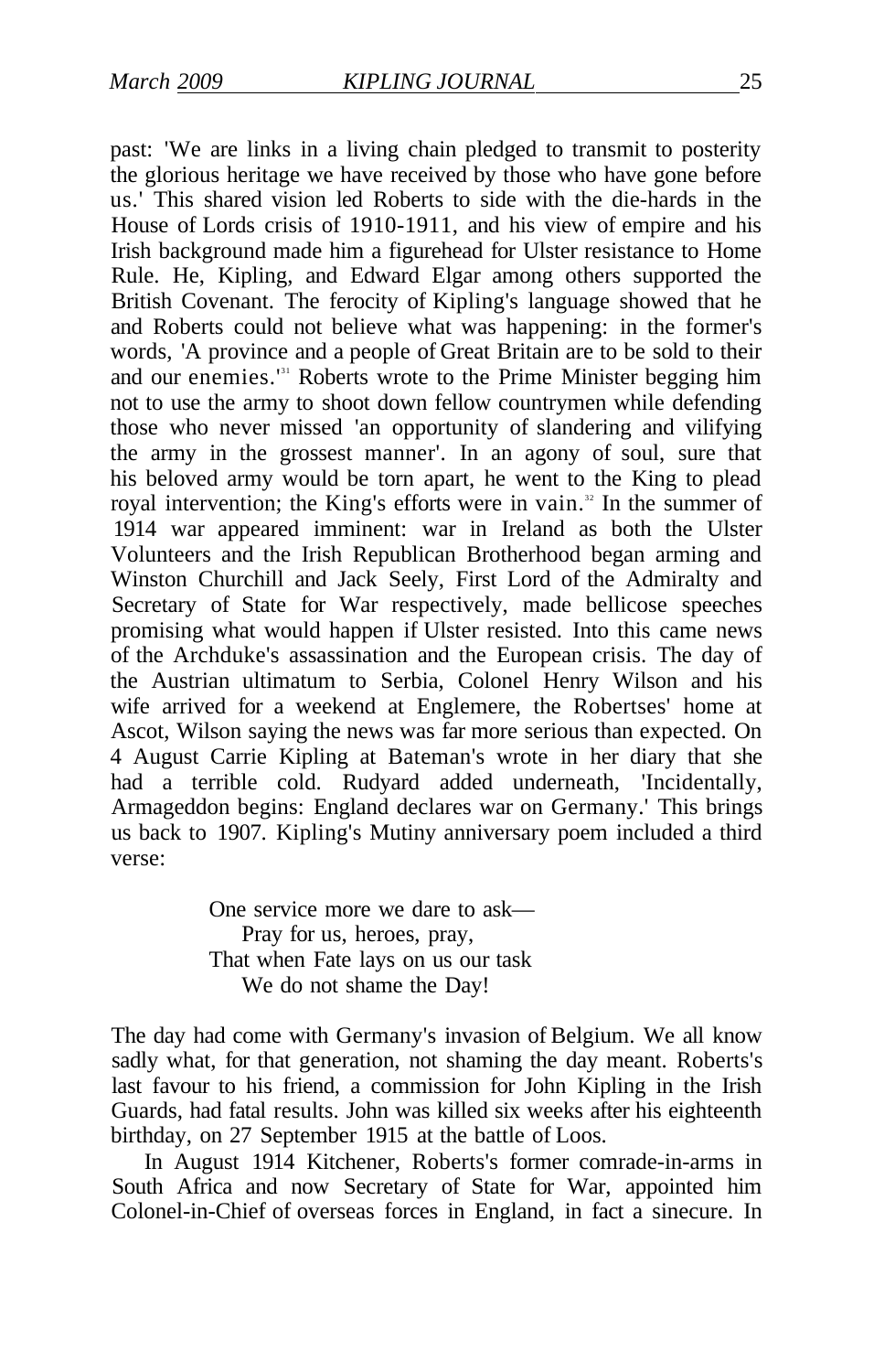past: 'We are links in a living chain pledged to transmit to posterity the glorious heritage we have received by those who have gone before us.' This shared vision led Roberts to side with the die-hards in the House of Lords crisis of 1910-1911, and his view of empire and his Irish background made him a figurehead for Ulster resistance to Home Rule. He, Kipling, and Edward Elgar among others supported the British Covenant. The ferocity of Kipling's language showed that he and Roberts could not believe what was happening: in the former's words, 'A province and a people of Great Britain are to be sold to their and our enemies.<sup>131</sup> Roberts wrote to the Prime Minister begging him not to use the army to shoot down fellow countrymen while defending those who never missed 'an opportunity of slandering and vilifying the army in the grossest manner'. In an agony of soul, sure that his beloved army would be torn apart, he went to the King to plead royal intervention; the King's efforts were in vain.<sup>32</sup> In the summer of 1914 war appeared imminent: war in Ireland as both the Ulster Volunteers and the Irish Republican Brotherhood began arming and Winston Churchill and Jack Seely, First Lord of the Admiralty and Secretary of State for War respectively, made bellicose speeches promising what would happen if Ulster resisted. Into this came news of the Archduke's assassination and the European crisis. The day of the Austrian ultimatum to Serbia, Colonel Henry Wilson and his wife arrived for a weekend at Englemere, the Robertses' home at Ascot, Wilson saying the news was far more serious than expected. On 4 August Carrie Kipling at Bateman's wrote in her diary that she had a terrible cold. Rudyard added underneath, 'Incidentally, Armageddon begins: England declares war on Germany.' This brings us back to 1907. Kipling's Mutiny anniversary poem included a third verse:

> One service more we dare to ask— Pray for us, heroes, pray, That when Fate lays on us our task We do not shame the Day!

The day had come with Germany's invasion of Belgium. We all know sadly what, for that generation, not shaming the day meant. Roberts's last favour to his friend, a commission for John Kipling in the Irish Guards, had fatal results. John was killed six weeks after his eighteenth birthday, on 27 September 1915 at the battle of Loos.

In August 1914 Kitchener, Roberts's former comrade-in-arms in South Africa and now Secretary of State for War, appointed him Colonel-in-Chief of overseas forces in England, in fact a sinecure. In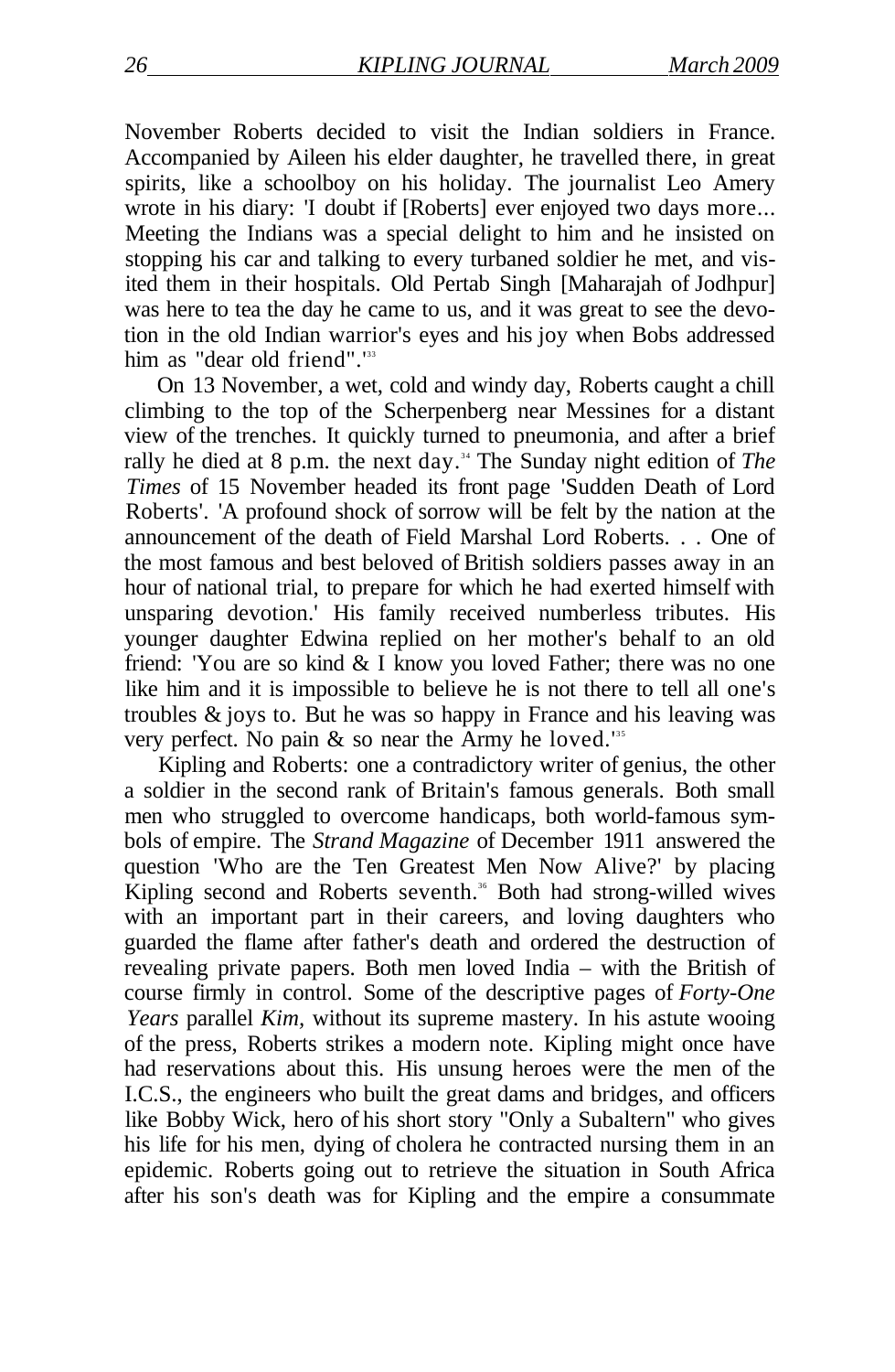November Roberts decided to visit the Indian soldiers in France. Accompanied by Aileen his elder daughter, he travelled there, in great spirits, like a schoolboy on his holiday. The journalist Leo Amery wrote in his diary: 'I doubt if [Roberts] ever enjoyed two days more... Meeting the Indians was a special delight to him and he insisted on stopping his car and talking to every turbaned soldier he met, and visited them in their hospitals. Old Pertab Singh [Maharajah of Jodhpur] was here to tea the day he came to us, and it was great to see the devotion in the old Indian warrior's eyes and his joy when Bobs addressed him as "dear old friend".<sup>133</sup>

On 13 November, a wet, cold and windy day, Roberts caught a chill climbing to the top of the Scherpenberg near Messines for a distant view of the trenches. It quickly turned to pneumonia, and after a brief rally he died at 8 p.m. the next day.<sup>34</sup> The Sunday night edition of *The Times* of 15 November headed its front page 'Sudden Death of Lord Roberts'. 'A profound shock of sorrow will be felt by the nation at the announcement of the death of Field Marshal Lord Roberts. . . One of the most famous and best beloved of British soldiers passes away in an hour of national trial, to prepare for which he had exerted himself with unsparing devotion.' His family received numberless tributes. His younger daughter Edwina replied on her mother's behalf to an old friend: 'You are so kind & I know you loved Father; there was no one like him and it is impossible to believe he is not there to tell all one's troubles & joys to. But he was so happy in France and his leaving was very perfect. No pain & so near the Army he loved.'<sup>35</sup>

Kipling and Roberts: one a contradictory writer of genius, the other a soldier in the second rank of Britain's famous generals. Both small men who struggled to overcome handicaps, both world-famous symbols of empire. The *Strand Magazine* of December 1911 answered the question 'Who are the Ten Greatest Men Now Alive?' by placing Kipling second and Roberts seventh.<sup>36</sup> Both had strong-willed wives with an important part in their careers, and loving daughters who guarded the flame after father's death and ordered the destruction of revealing private papers. Both men loved India – with the British of course firmly in control. Some of the descriptive pages of *Forty-One Years* parallel *Kim,* without its supreme mastery. In his astute wooing of the press, Roberts strikes a modern note. Kipling might once have had reservations about this. His unsung heroes were the men of the I.C.S., the engineers who built the great dams and bridges, and officers like Bobby Wick, hero of his short story "Only a Subaltern" who gives his life for his men, dying of cholera he contracted nursing them in an epidemic. Roberts going out to retrieve the situation in South Africa after his son's death was for Kipling and the empire a consummate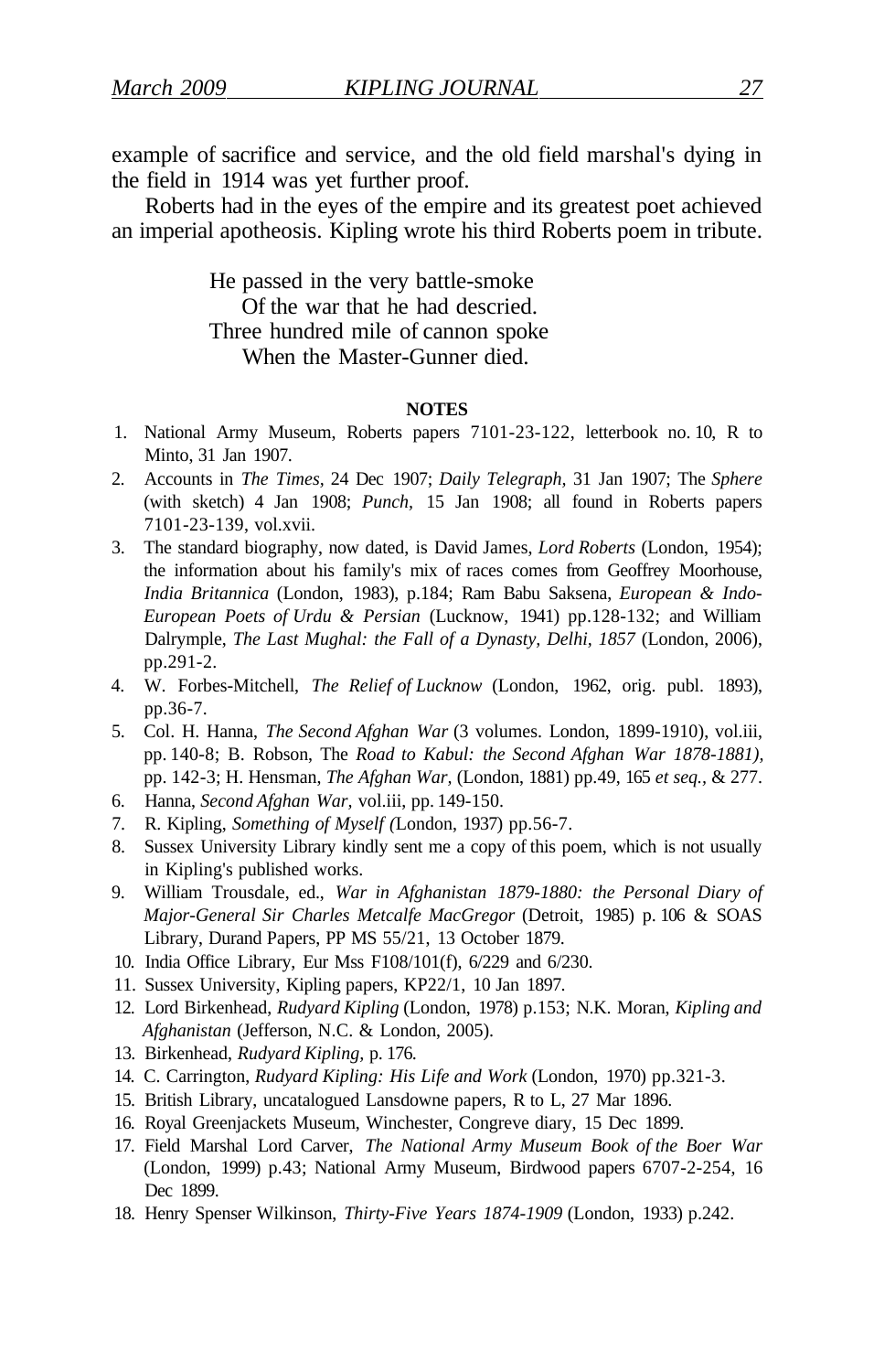example of sacrifice and service, and the old field marshal's dying in the field in 1914 was yet further proof.

Roberts had in the eyes of the empire and its greatest poet achieved an imperial apotheosis. Kipling wrote his third Roberts poem in tribute.

> He passed in the very battle-smoke Of the war that he had descried. Three hundred mile of cannon spoke When the Master-Gunner died.

#### **NOTES**

- 1. National Army Museum, Roberts papers 7101-23-122, letterbook no. 10, R to Minto, 31 Jan 1907.
- 2. Accounts in *The Times,* 24 Dec 1907; *Daily Telegraph,* 31 Jan 1907; The *Sphere*  (with sketch) 4 Jan 1908; *Punch,* 15 Jan 1908; all found in Roberts papers 7101-23-139, vol.xvii.
- 3. The standard biography, now dated, is David James, *Lord Roberts* (London, 1954); the information about his family's mix of races comes from Geoffrey Moorhouse, *India Britannica* (London, 1983), p.184; Ram Babu Saksena, *European & Indo-European Poets of Urdu & Persian* (Lucknow, 1941) pp.128-132; and William Dalrymple, *The Last Mughal: the Fall of a Dynasty, Delhi, 1857* (London, 2006), pp.291-2.
- 4. W. Forbes-Mitchell, *The Relief of Lucknow* (London, 1962, orig. publ. 1893), pp.36-7.
- 5. Col. H. Hanna, *The Second Afghan War* (3 volumes. London, 1899-1910), vol.iii, pp. 140-8; B. Robson, The *Road to Kabul: the Second Afghan War 1878-1881),*  pp. 142-3; H. Hensman, *The Afghan War,* (London, 1881) pp.49, 165 *et seq.,* & 277.
- 6. Hanna, *Second Afghan War,* vol.iii, pp. 149-150.
- 7. R. Kipling, *Something of Myself (*London, 1937) pp.56-7.
- 8. Sussex University Library kindly sent me a copy of this poem, which is not usually in Kipling's published works.
- 9. William Trousdale, ed., *War in Afghanistan 1879-1880: the Personal Diary of Major-General Sir Charles Metcalfe MacGregor* (Detroit, 1985) p. 106 & SOAS Library, Durand Papers, PP MS 55/21, 13 October 1879.
- 10. India Office Library, Eur Mss F108/101(f), 6/229 and 6/230.
- 11. Sussex University, Kipling papers, KP22/1, 10 Jan 1897.
- 12. Lord Birkenhead, *Rudyard Kipling* (London, 1978) p.153; N.K. Moran, *Kipling and Afghanistan* (Jefferson, N.C. & London, 2005).
- 13. Birkenhead, *Rudyard Kipling,* p. 176.
- 14. C. Carrington, *Rudyard Kipling: His Life and Work* (London, 1970) pp.321-3.
- 15. British Library, uncatalogued Lansdowne papers, R to L, 27 Mar 1896.
- 16. Royal Greenjackets Museum, Winchester, Congreve diary, 15 Dec 1899.
- 17. Field Marshal Lord Carver, *The National Army Museum Book of the Boer War*  (London, 1999) p.43; National Army Museum, Birdwood papers 6707-2-254, 16 Dec 1899.
- 18. Henry Spenser Wilkinson, *Thirty-Five Years 1874-1909* (London, 1933) p.242.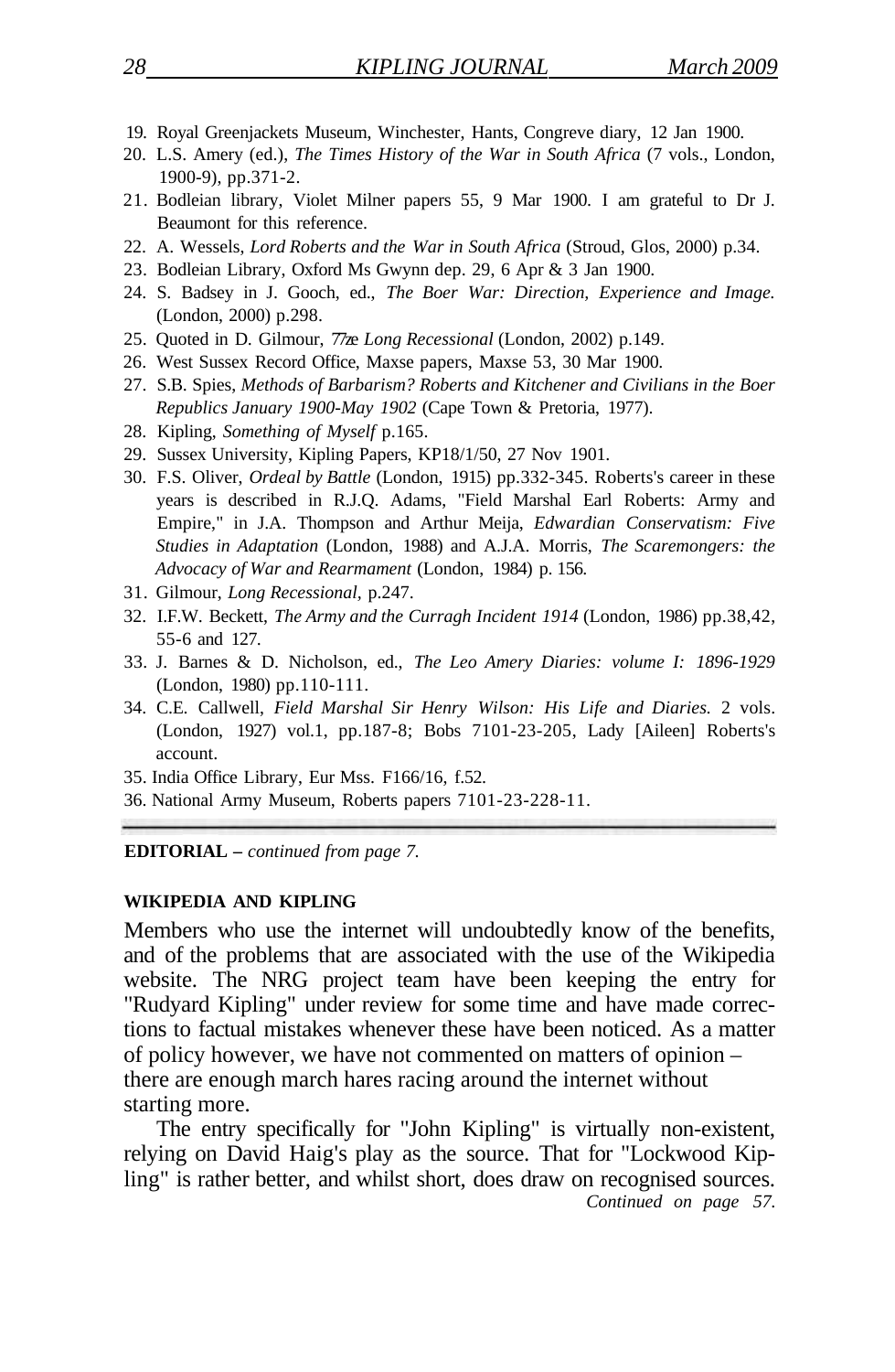- 19. Royal Greenjackets Museum, Winchester, Hants, Congreve diary, 12 Jan 1900.
- 20. L.S. Amery (ed.), *The Times History of the War in South Africa* (7 vols., London, 1900-9), pp.371-2.
- 21. Bodleian library, Violet Milner papers 55, 9 Mar 1900. I am grateful to Dr J. Beaumont for this reference.
- 22. A. Wessels, *Lord Roberts and the War in South Africa* (Stroud, Glos, 2000) p.34.
- 23. Bodleian Library, Oxford Ms Gwynn dep. 29, 6 Apr & 3 Jan 1900.
- 24. S. Badsey in J. Gooch, ed., *The Boer War: Direction, Experience and Image.*  (London, 2000) p.298.
- 25. Quoted in D. Gilmour, 77ze *Long Recessional* (London, 2002) p.149.
- 26. West Sussex Record Office, Maxse papers, Maxse 53, 30 Mar 1900.
- 27. S.B. Spies, *Methods of Barbarism? Roberts and Kitchener and Civilians in the Boer Republics January 1900-May 1902* (Cape Town & Pretoria, 1977).
- 28. Kipling, *Something of Myself* p.165.
- 29. Sussex University, Kipling Papers, KP18/1/50, 27 Nov 1901.
- 30. F.S. Oliver, *Ordeal by Battle* (London, 1915) pp.332-345. Roberts's career in these years is described in R.J.Q. Adams, "Field Marshal Earl Roberts: Army and Empire," in J.A. Thompson and Arthur Meija, *Edwardian Conservatism: Five Studies in Adaptation* (London, 1988) and A.J.A. Morris, *The Scaremongers: the Advocacy of War and Rearmament* (London, 1984) p. 156.
- 31. Gilmour, *Long Recessional,* p.247.
- 32. I.F.W. Beckett, *The Army and the Curragh Incident 1914* (London, 1986) pp.38,42, 55-6 and 127.
- 33. J. Barnes & D. Nicholson, ed., *The Leo Amery Diaries: volume I: 1896-1929*  (London, 1980) pp.110-111.
- 34. C.E. Callwell, *Field Marshal Sir Henry Wilson: His Life and Diaries.* 2 vols. (London, 1927) vol.1, pp.187-8; Bobs 7101-23-205, Lady [Aileen] Roberts's account.
- 35. India Office Library, Eur Mss. F166/16, f.52.
- 36. National Army Museum, Roberts papers 7101-23-228-11.

**EDITORIAL –** *continued from page 7.* 

#### **WIKIPEDIA AND KIPLING**

Members who use the internet will undoubtedly know of the benefits, and of the problems that are associated with the use of the Wikipedia website. The NRG project team have been keeping the entry for "Rudyard Kipling" under review for some time and have made corrections to factual mistakes whenever these have been noticed. As a matter of policy however, we have not commented on matters of opinion – there are enough march hares racing around the internet without starting more.

The entry specifically for "John Kipling" is virtually non-existent, relying on David Haig's play as the source. That for "Lockwood Kipling" is rather better, and whilst short, does draw on recognised sources. *Continued on page 57.*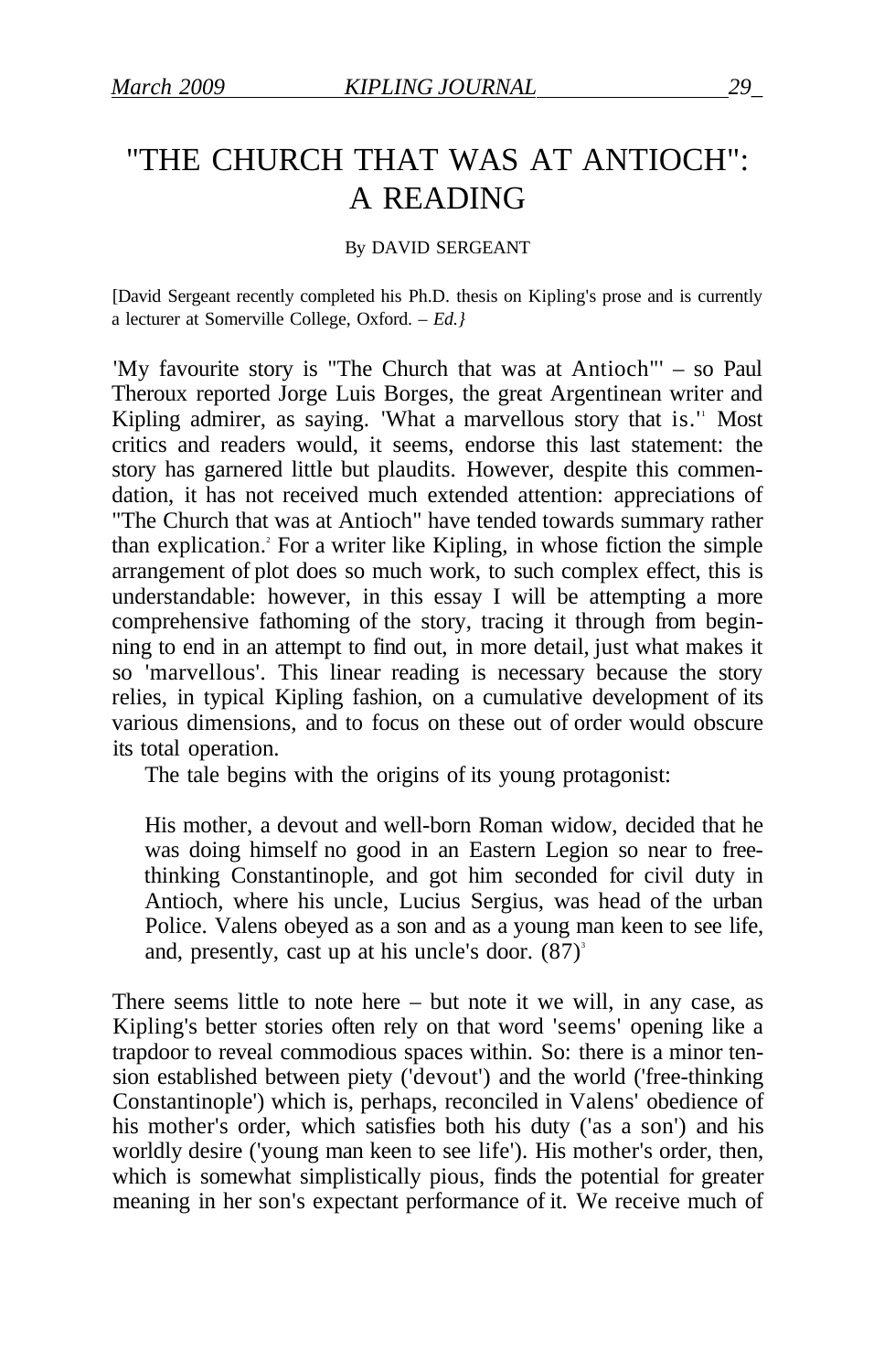## "THE CHURCH THAT WAS AT ANTIOCH": A READING

#### By DAVID SERGEANT

[David Sergeant recently completed his Ph.D. thesis on Kipling's prose and is currently a lecturer at Somerville College, Oxford. – *Ed.}* 

'My favourite story is "The Church that was at Antioch"' – so Paul Theroux reported Jorge Luis Borges, the great Argentinean writer and Kipling admirer, as saying. 'What a marvellous story that is.'' Most critics and readers would, it seems, endorse this last statement: the story has garnered little but plaudits. However, despite this commendation, it has not received much extended attention: appreciations of "The Church that was at Antioch" have tended towards summary rather than explication.<sup>2</sup> For a writer like Kipling, in whose fiction the simple arrangement of plot does so much work, to such complex effect, this is understandable: however, in this essay I will be attempting a more comprehensive fathoming of the story, tracing it through from beginning to end in an attempt to find out, in more detail, just what makes it so 'marvellous'. This linear reading is necessary because the story relies, in typical Kipling fashion, on a cumulative development of its various dimensions, and to focus on these out of order would obscure its total operation.

The tale begins with the origins of its young protagonist:

His mother, a devout and well-born Roman widow, decided that he was doing himself no good in an Eastern Legion so near to freethinking Constantinople, and got him seconded for civil duty in Antioch, where his uncle, Lucius Sergius, was head of the urban Police. Valens obeyed as a son and as a young man keen to see life, and, presently, cast up at his uncle's door.  $(87)^3$ 

There seems little to note here – but note it we will, in any case, as Kipling's better stories often rely on that word 'seems' opening like a trapdoor to reveal commodious spaces within. So: there is a minor tension established between piety ('devout') and the world ('free-thinking Constantinople') which is, perhaps, reconciled in Valens' obedience of his mother's order, which satisfies both his duty ('as a son') and his worldly desire ('young man keen to see life'). His mother's order, then, which is somewhat simplistically pious, finds the potential for greater meaning in her son's expectant performance of it. We receive much of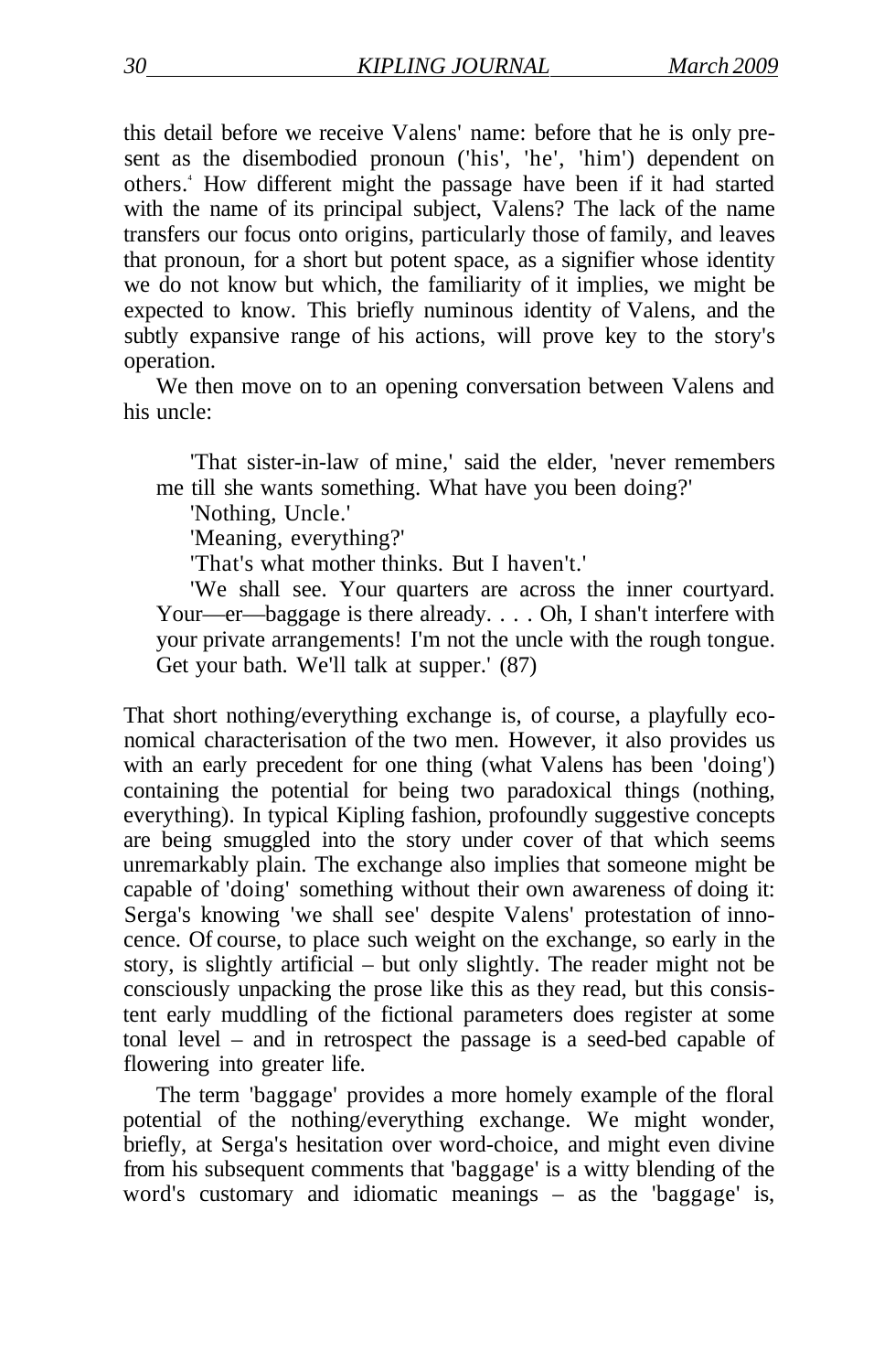this detail before we receive Valens' name: before that he is only present as the disembodied pronoun ('his', 'he', 'him') dependent on others.<sup>4</sup> How different might the passage have been if it had started with the name of its principal subject, Valens? The lack of the name transfers our focus onto origins, particularly those of family, and leaves that pronoun, for a short but potent space, as a signifier whose identity we do not know but which, the familiarity of it implies, we might be expected to know. This briefly numinous identity of Valens, and the subtly expansive range of his actions, will prove key to the story's operation.

We then move on to an opening conversation between Valens and his uncle:

'That sister-in-law of mine,' said the elder, 'never remembers me till she wants something. What have you been doing?'

'Nothing, Uncle.'

'Meaning, everything?'

'That's what mother thinks. But I haven't.'

'We shall see. Your quarters are across the inner courtyard. Your—er—baggage is there already. . . . Oh, I shan't interfere with your private arrangements! I'm not the uncle with the rough tongue. Get your bath. We'll talk at supper.' (87)

That short nothing/everything exchange is, of course, a playfully economical characterisation of the two men. However, it also provides us with an early precedent for one thing (what Valens has been 'doing') containing the potential for being two paradoxical things (nothing, everything). In typical Kipling fashion, profoundly suggestive concepts are being smuggled into the story under cover of that which seems unremarkably plain. The exchange also implies that someone might be capable of 'doing' something without their own awareness of doing it: Serga's knowing 'we shall see' despite Valens' protestation of innocence. Of course, to place such weight on the exchange, so early in the story, is slightly artificial – but only slightly. The reader might not be consciously unpacking the prose like this as they read, but this consistent early muddling of the fictional parameters does register at some tonal level – and in retrospect the passage is a seed-bed capable of flowering into greater life.

The term 'baggage' provides a more homely example of the floral potential of the nothing/everything exchange. We might wonder, briefly, at Serga's hesitation over word-choice, and might even divine from his subsequent comments that 'baggage' is a witty blending of the word's customary and idiomatic meanings – as the 'baggage' is,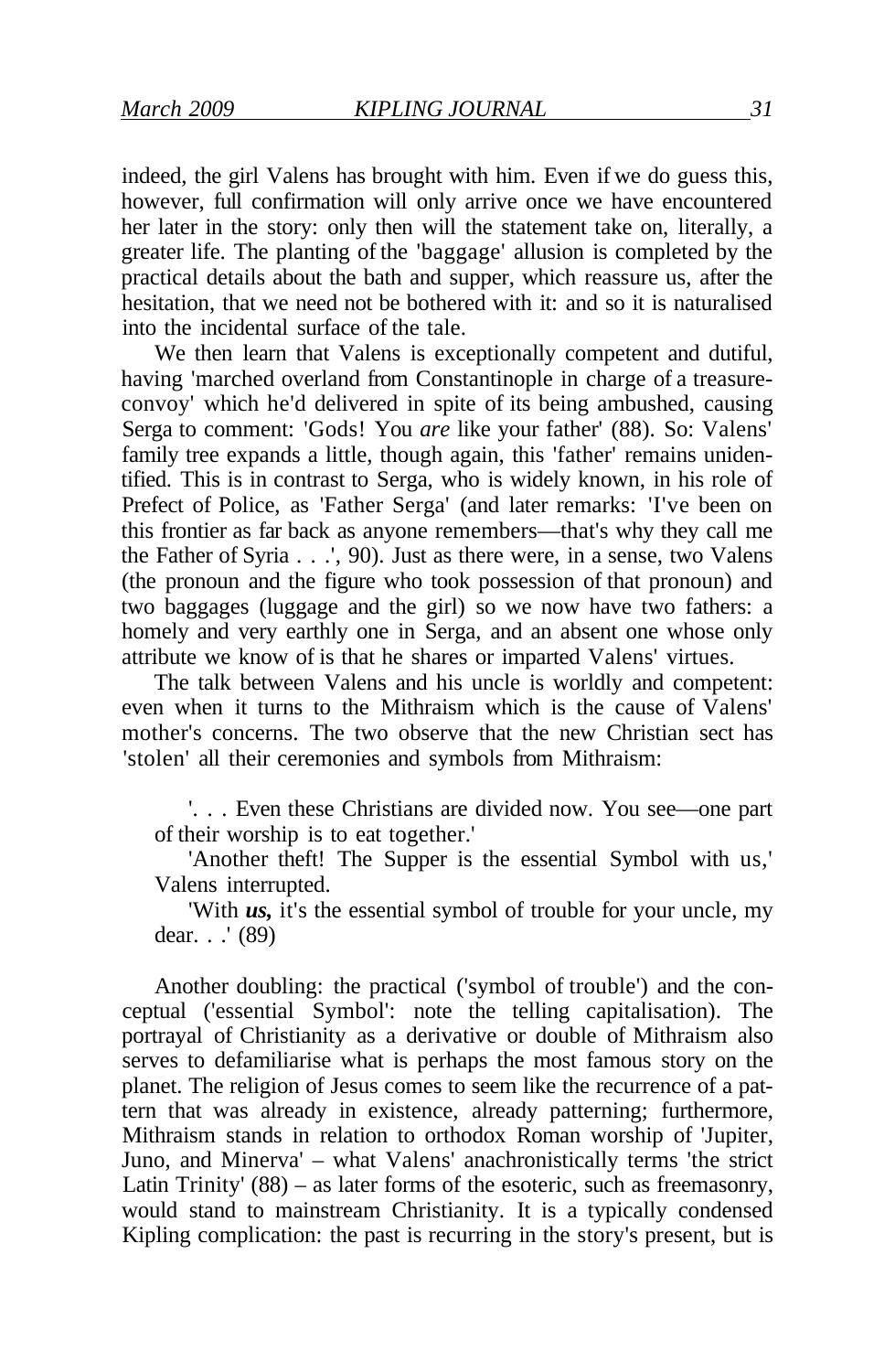indeed, the girl Valens has brought with him. Even if we do guess this, however, full confirmation will only arrive once we have encountered her later in the story: only then will the statement take on, literally, a greater life. The planting of the 'baggage' allusion is completed by the practical details about the bath and supper, which reassure us, after the hesitation, that we need not be bothered with it: and so it is naturalised into the incidental surface of the tale.

We then learn that Valens is exceptionally competent and dutiful, having 'marched overland from Constantinople in charge of a treasureconvoy' which he'd delivered in spite of its being ambushed, causing Serga to comment: 'Gods! You *are* like your father' (88). So: Valens' family tree expands a little, though again, this 'father' remains unidentified. This is in contrast to Serga, who is widely known, in his role of Prefect of Police, as 'Father Serga' (and later remarks: 'I've been on this frontier as far back as anyone remembers—that's why they call me the Father of Syria . . .', 90). Just as there were, in a sense, two Valens (the pronoun and the figure who took possession of that pronoun) and two baggages (luggage and the girl) so we now have two fathers: a homely and very earthly one in Serga, and an absent one whose only attribute we know of is that he shares or imparted Valens' virtues.

The talk between Valens and his uncle is worldly and competent: even when it turns to the Mithraism which is the cause of Valens' mother's concerns. The two observe that the new Christian sect has 'stolen' all their ceremonies and symbols from Mithraism:

'. . . Even these Christians are divided now. You see—one part of their worship is to eat together.'

'Another theft! The Supper is the essential Symbol with us,' Valens interrupted.

'With *us,* it's the essential symbol of trouble for your uncle, my dear. . .' (89)

Another doubling: the practical ('symbol of trouble') and the conceptual ('essential Symbol': note the telling capitalisation). The portrayal of Christianity as a derivative or double of Mithraism also serves to defamiliarise what is perhaps the most famous story on the planet. The religion of Jesus comes to seem like the recurrence of a pattern that was already in existence, already patterning; furthermore, Mithraism stands in relation to orthodox Roman worship of 'Jupiter, Juno, and Minerva' – what Valens' anachronistically terms 'the strict Latin Trinity' (88) – as later forms of the esoteric, such as freemasonry, would stand to mainstream Christianity. It is a typically condensed Kipling complication: the past is recurring in the story's present, but is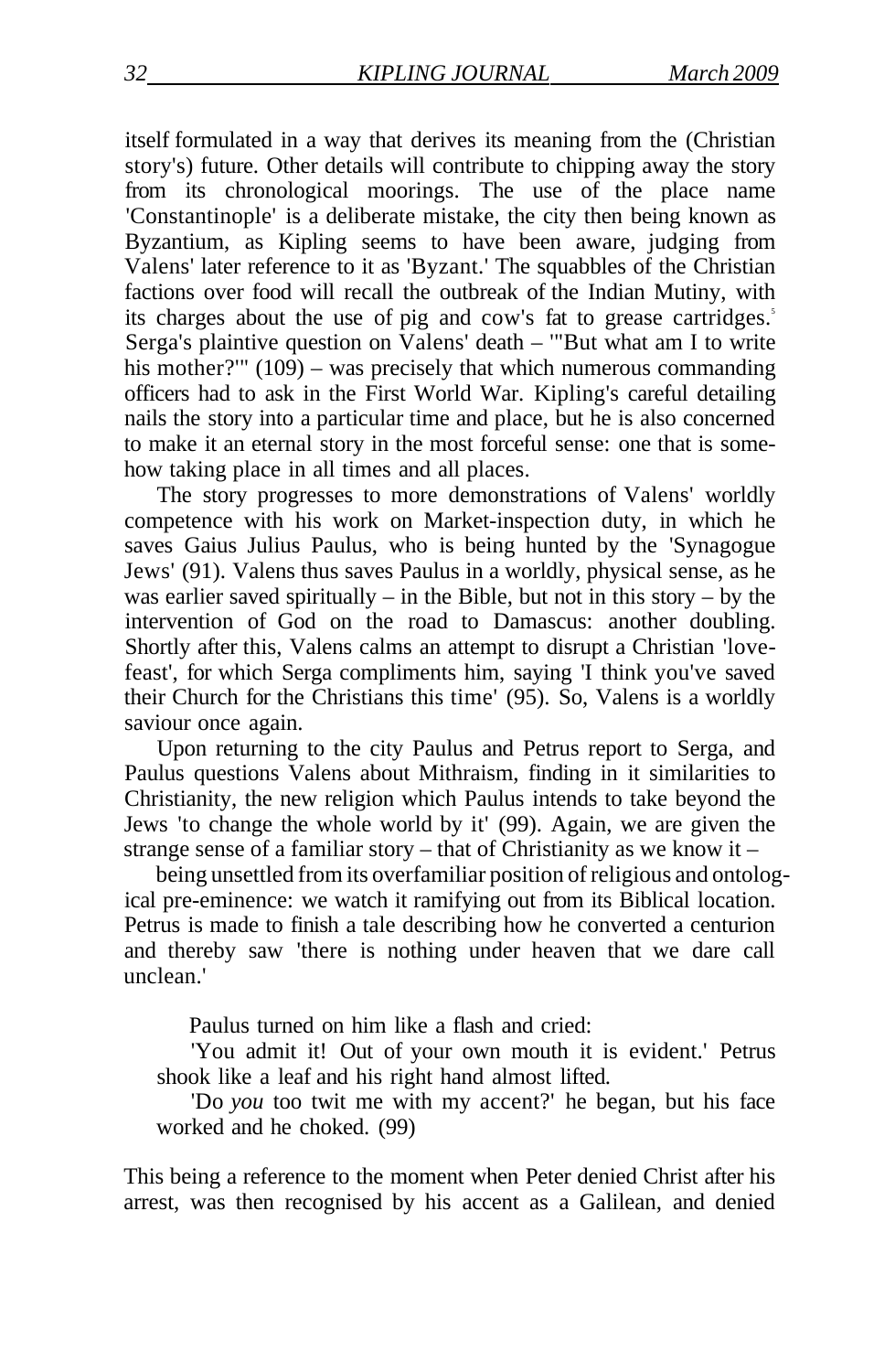itself formulated in a way that derives its meaning from the (Christian story's) future. Other details will contribute to chipping away the story from its chronological moorings. The use of the place name 'Constantinople' is a deliberate mistake, the city then being known as Byzantium, as Kipling seems to have been aware, judging from Valens' later reference to it as 'Byzant.' The squabbles of the Christian factions over food will recall the outbreak of the Indian Mutiny, with its charges about the use of pig and cow's fat to grease cartridges.<sup>5</sup> Serga's plaintive question on Valens' death – '"But what am I to write his mother?'" (109) – was precisely that which numerous commanding officers had to ask in the First World War. Kipling's careful detailing nails the story into a particular time and place, but he is also concerned to make it an eternal story in the most forceful sense: one that is somehow taking place in all times and all places.

The story progresses to more demonstrations of Valens' worldly competence with his work on Market-inspection duty, in which he saves Gaius Julius Paulus, who is being hunted by the 'Synagogue Jews' (91). Valens thus saves Paulus in a worldly, physical sense, as he was earlier saved spiritually – in the Bible, but not in this story – by the intervention of God on the road to Damascus: another doubling. Shortly after this, Valens calms an attempt to disrupt a Christian 'lovefeast', for which Serga compliments him, saying 'I think you've saved their Church for the Christians this time' (95). So, Valens is a worldly saviour once again.

Upon returning to the city Paulus and Petrus report to Serga, and Paulus questions Valens about Mithraism, finding in it similarities to Christianity, the new religion which Paulus intends to take beyond the Jews 'to change the whole world by it' (99). Again, we are given the strange sense of a familiar story – that of Christianity as we know it –

being unsettled from its overfamiliar position of religious and ontological pre-eminence: we watch it ramifying out from its Biblical location. Petrus is made to finish a tale describing how he converted a centurion and thereby saw 'there is nothing under heaven that we dare call unclean.'

Paulus turned on him like a flash and cried:

'You admit it! Out of your own mouth it is evident.' Petrus shook like a leaf and his right hand almost lifted.

'Do *you* too twit me with my accent?' he began, but his face worked and he choked. (99)

This being a reference to the moment when Peter denied Christ after his arrest, was then recognised by his accent as a Galilean, and denied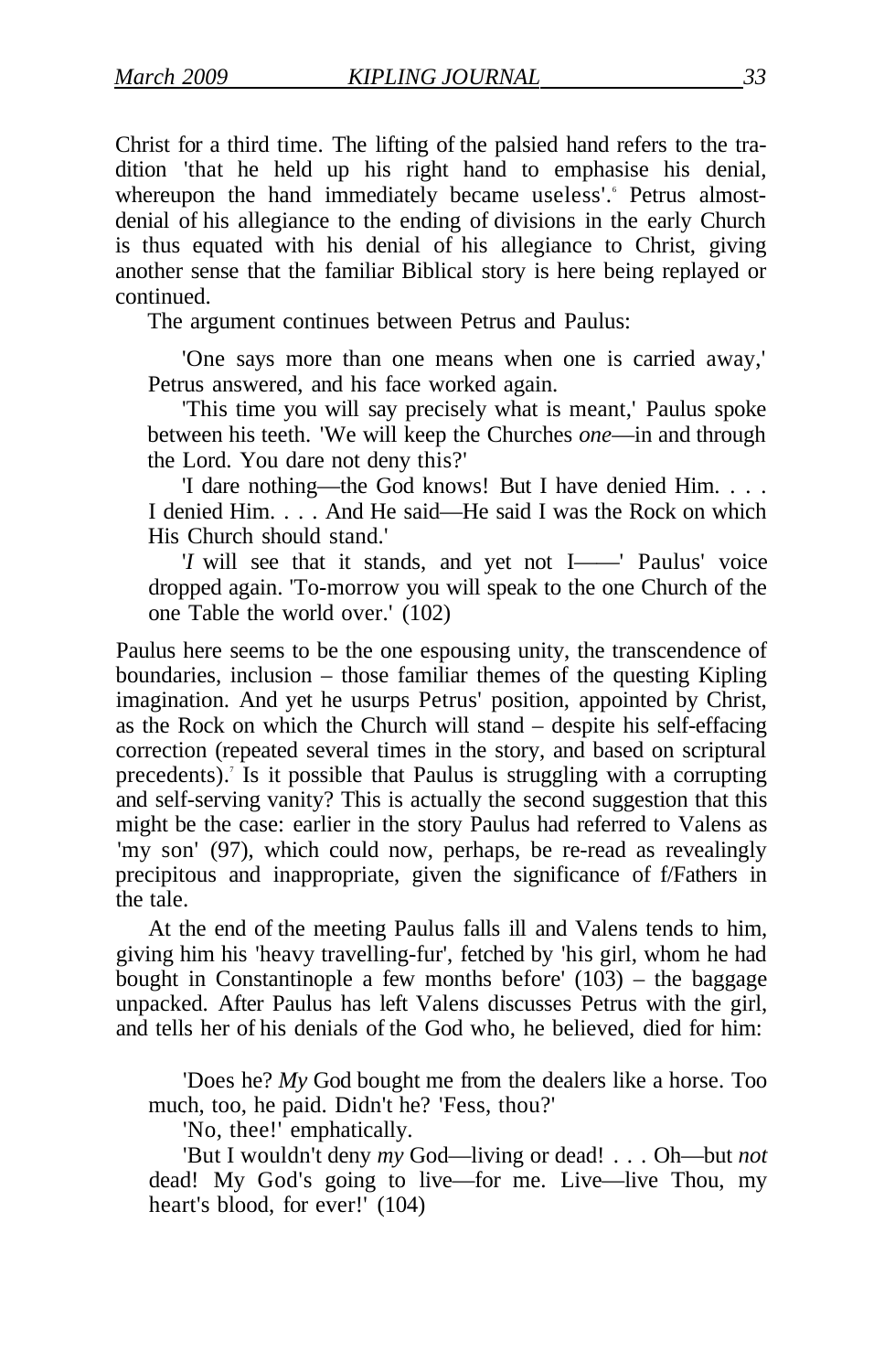Christ for a third time. The lifting of the palsied hand refers to the tradition 'that he held up his right hand to emphasise his denial, whereupon the hand immediately became useless'. Petrus almostdenial of his allegiance to the ending of divisions in the early Church is thus equated with his denial of his allegiance to Christ, giving another sense that the familiar Biblical story is here being replayed or continued.

The argument continues between Petrus and Paulus:

'One says more than one means when one is carried away,' Petrus answered, and his face worked again.

'This time you will say precisely what is meant,' Paulus spoke between his teeth. 'We will keep the Churches *one*—in and through the Lord. You dare not deny this?'

'I dare nothing—the God knows! But I have denied Him. . . . I denied Him. . . . And He said—He said I was the Rock on which His Church should stand.'

'*I* will see that it stands, and yet not I——' Paulus' voice dropped again. 'To-morrow you will speak to the one Church of the one Table the world over.' (102)

Paulus here seems to be the one espousing unity, the transcendence of boundaries, inclusion – those familiar themes of the questing Kipling imagination. And yet he usurps Petrus' position, appointed by Christ, as the Rock on which the Church will stand – despite his self-effacing correction (repeated several times in the story, and based on scriptural precedents).<sup>7</sup> Is it possible that Paulus is struggling with a corrupting and self-serving vanity? This is actually the second suggestion that this might be the case: earlier in the story Paulus had referred to Valens as 'my son' (97), which could now, perhaps, be re-read as revealingly precipitous and inappropriate, given the significance of f/Fathers in the tale.

At the end of the meeting Paulus falls ill and Valens tends to him, giving him his 'heavy travelling-fur', fetched by 'his girl, whom he had bought in Constantinople a few months before' (103) – the baggage unpacked. After Paulus has left Valens discusses Petrus with the girl, and tells her of his denials of the God who, he believed, died for him:

'Does he? *My* God bought me from the dealers like a horse. Too much, too, he paid. Didn't he? 'Fess, thou?'

'No, thee!' emphatically.

'But I wouldn't deny *my* God—living or dead! . . . Oh—but *not*  dead! My God's going to live—for me. Live—live Thou, my heart's blood, for ever!' (104)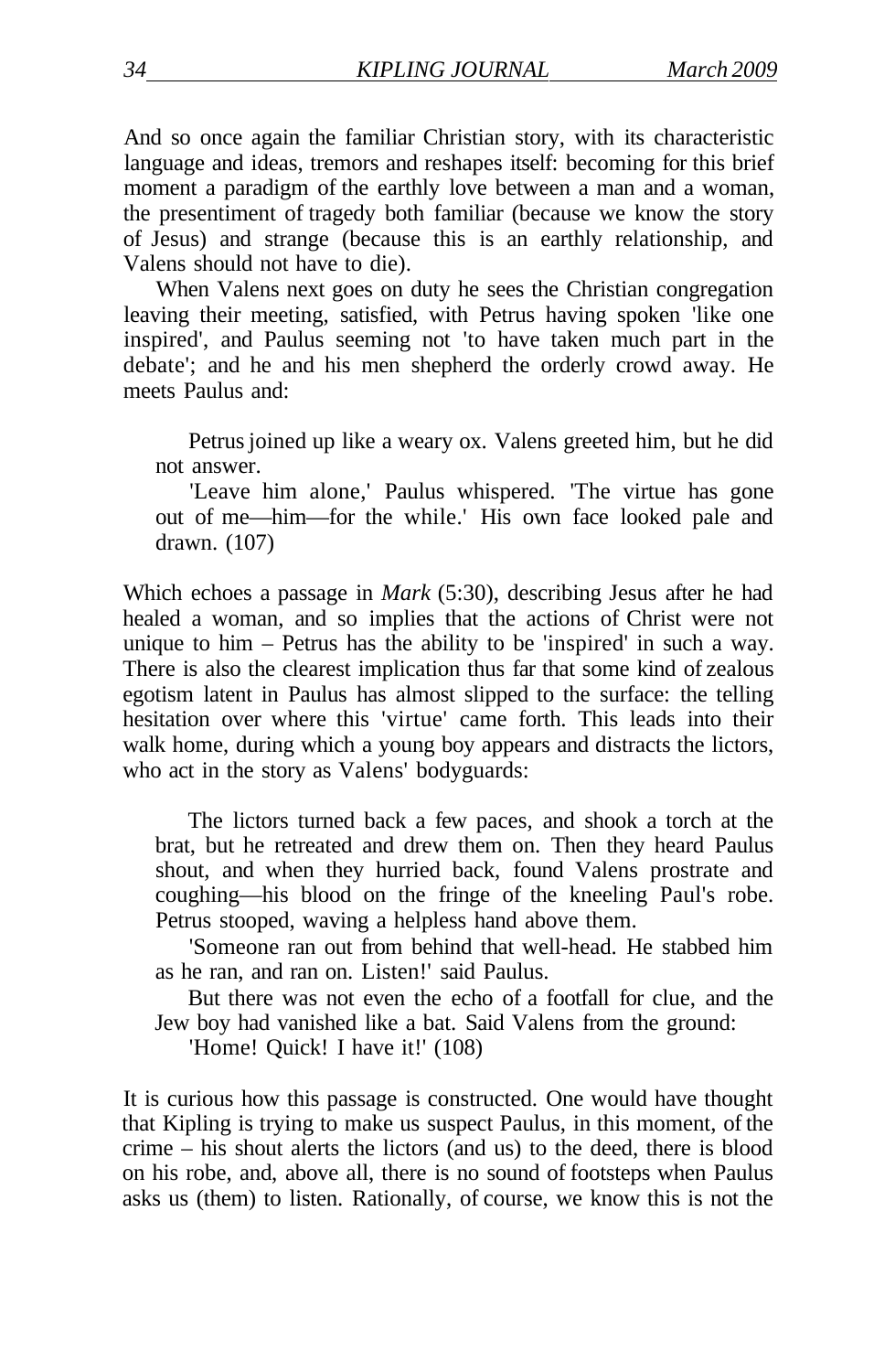And so once again the familiar Christian story, with its characteristic language and ideas, tremors and reshapes itself: becoming for this brief moment a paradigm of the earthly love between a man and a woman, the presentiment of tragedy both familiar (because we know the story of Jesus) and strange (because this is an earthly relationship, and Valens should not have to die).

When Valens next goes on duty he sees the Christian congregation leaving their meeting, satisfied, with Petrus having spoken 'like one inspired', and Paulus seeming not 'to have taken much part in the debate'; and he and his men shepherd the orderly crowd away. He meets Paulus and:

Petrus joined up like a weary ox. Valens greeted him, but he did not answer.

'Leave him alone,' Paulus whispered. 'The virtue has gone out of me—him—for the while.' His own face looked pale and drawn. (107)

Which echoes a passage in *Mark* (5:30), describing Jesus after he had healed a woman, and so implies that the actions of Christ were not unique to him – Petrus has the ability to be 'inspired' in such a way. There is also the clearest implication thus far that some kind of zealous egotism latent in Paulus has almost slipped to the surface: the telling hesitation over where this 'virtue' came forth. This leads into their walk home, during which a young boy appears and distracts the lictors, who act in the story as Valens' bodyguards:

The lictors turned back a few paces, and shook a torch at the brat, but he retreated and drew them on. Then they heard Paulus shout, and when they hurried back, found Valens prostrate and coughing—his blood on the fringe of the kneeling Paul's robe. Petrus stooped, waving a helpless hand above them.

'Someone ran out from behind that well-head. He stabbed him as he ran, and ran on. Listen!' said Paulus.

But there was not even the echo of a footfall for clue, and the Jew boy had vanished like a bat. Said Valens from the ground:

'Home! Quick! I have it!' (108)

It is curious how this passage is constructed. One would have thought that Kipling is trying to make us suspect Paulus, in this moment, of the crime – his shout alerts the lictors (and us) to the deed, there is blood on his robe, and, above all, there is no sound of footsteps when Paulus asks us (them) to listen. Rationally, of course, we know this is not the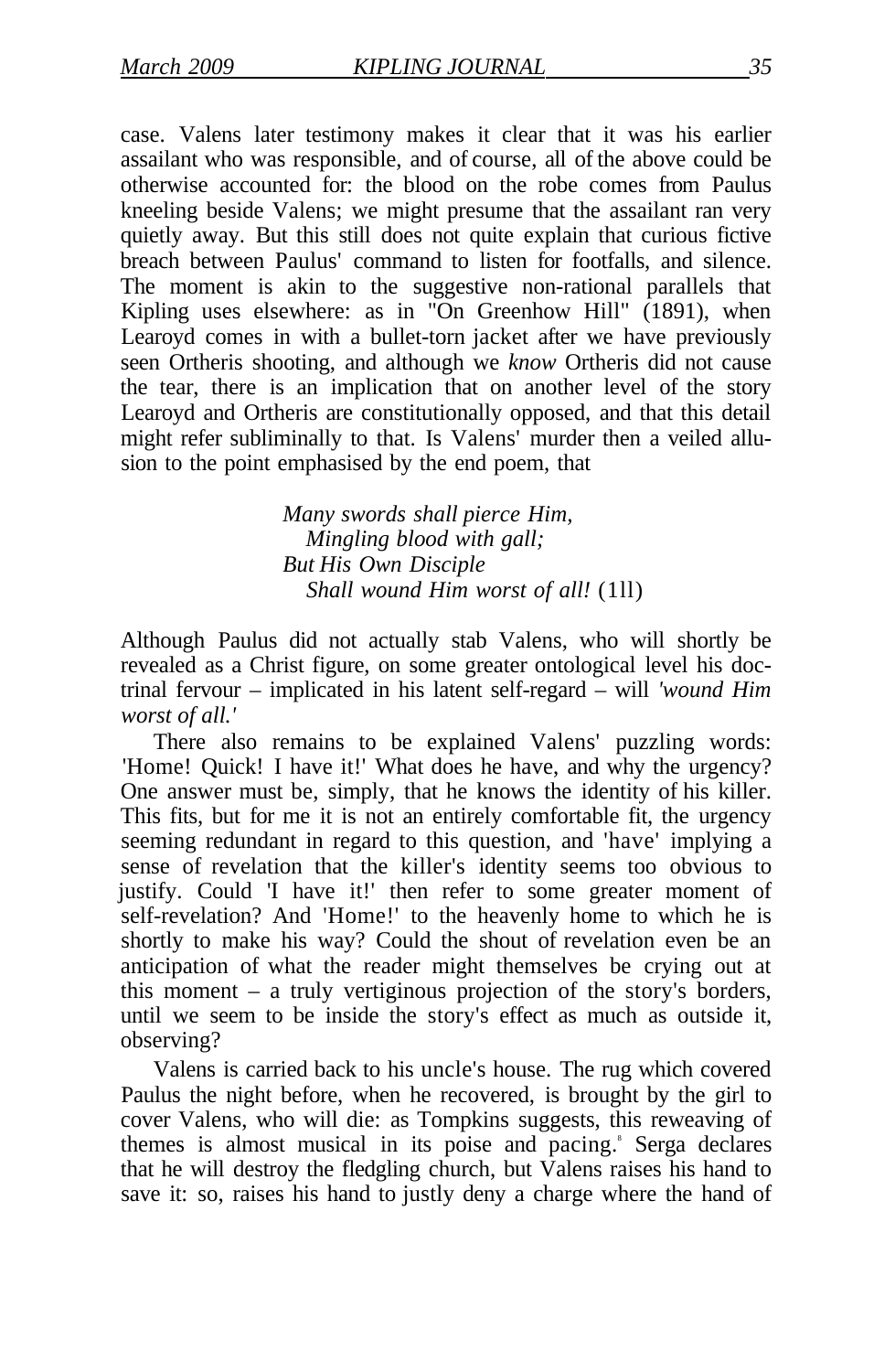case. Valens later testimony makes it clear that it was his earlier assailant who was responsible, and of course, all of the above could be otherwise accounted for: the blood on the robe comes from Paulus kneeling beside Valens; we might presume that the assailant ran very quietly away. But this still does not quite explain that curious fictive breach between Paulus' command to listen for footfalls, and silence. The moment is akin to the suggestive non-rational parallels that Kipling uses elsewhere: as in "On Greenhow Hill" (1891), when Learoyd comes in with a bullet-torn jacket after we have previously seen Ortheris shooting, and although we *know* Ortheris did not cause the tear, there is an implication that on another level of the story Learoyd and Ortheris are constitutionally opposed, and that this detail might refer subliminally to that. Is Valens' murder then a veiled allusion to the point emphasised by the end poem, that

> *Many swords shall pierce Him, Mingling blood with gall; But His Own Disciple Shall wound Him worst of all!* (1ll)

Although Paulus did not actually stab Valens, who will shortly be revealed as a Christ figure, on some greater ontological level his doctrinal fervour – implicated in his latent self-regard – will *'wound Him worst of all.'* 

There also remains to be explained Valens' puzzling words: 'Home! Quick! I have it!' What does he have, and why the urgency? One answer must be, simply, that he knows the identity of his killer. This fits, but for me it is not an entirely comfortable fit, the urgency seeming redundant in regard to this question, and 'have' implying a sense of revelation that the killer's identity seems too obvious to justify. Could 'I have it!' then refer to some greater moment of self-revelation? And 'Home!' to the heavenly home to which he is shortly to make his way? Could the shout of revelation even be an anticipation of what the reader might themselves be crying out at this moment – a truly vertiginous projection of the story's borders, until we seem to be inside the story's effect as much as outside it, observing?

Valens is carried back to his uncle's house. The rug which covered Paulus the night before, when he recovered, is brought by the girl to cover Valens, who will die: as Tompkins suggests, this reweaving of themes is almost musical in its poise and pacing.<sup>8</sup> Serga declares that he will destroy the fledgling church, but Valens raises his hand to save it: so, raises his hand to justly deny a charge where the hand of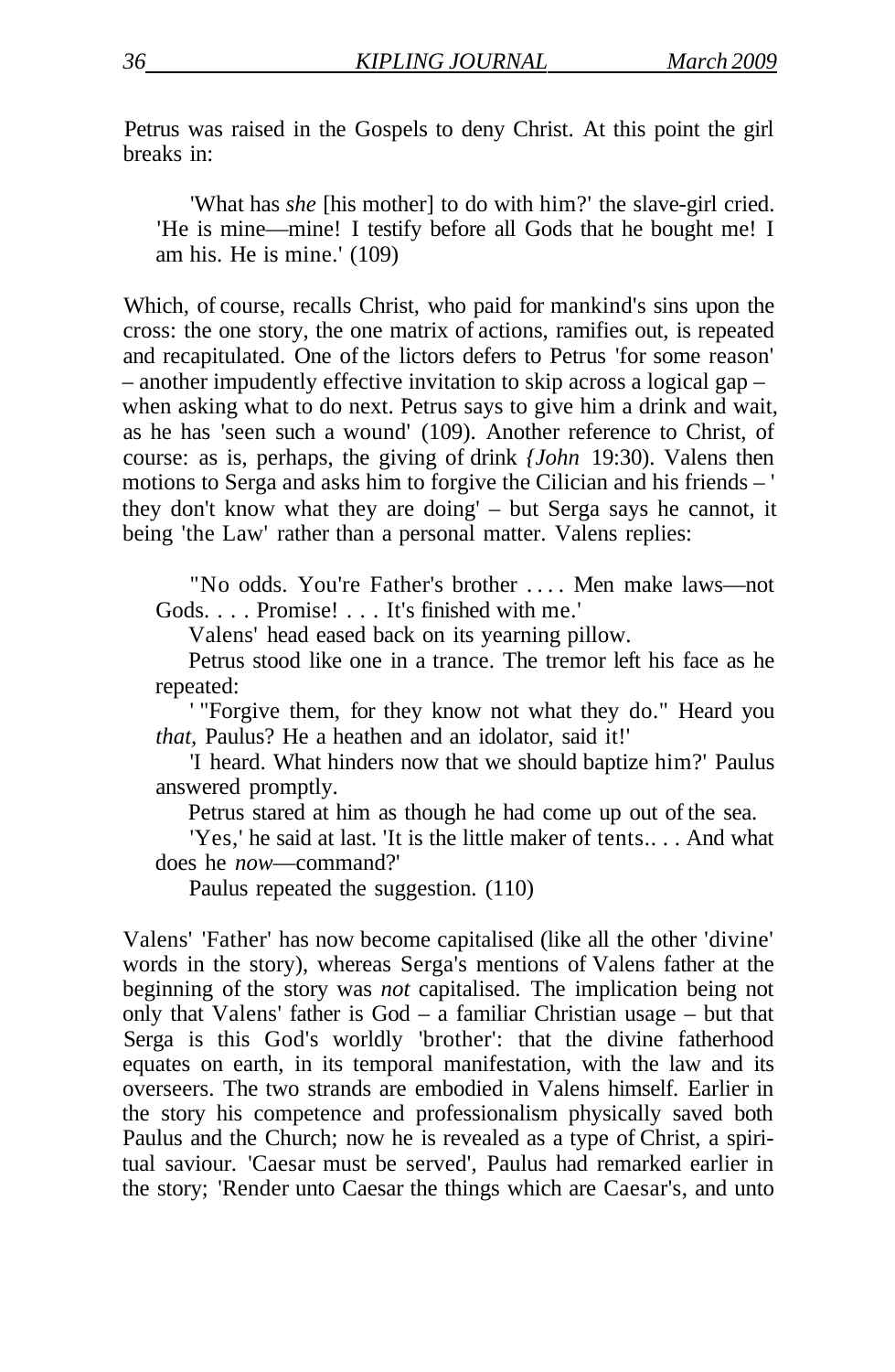Petrus was raised in the Gospels to deny Christ. At this point the girl breaks in:

'What has *she* [his mother] to do with him?' the slave-girl cried. 'He is mine—mine! I testify before all Gods that he bought me! I am his. He is mine.' (109)

Which, of course, recalls Christ, who paid for mankind's sins upon the cross: the one story, the one matrix of actions, ramifies out, is repeated and recapitulated. One of the lictors defers to Petrus 'for some reason' – another impudently effective invitation to skip across a logical gap – when asking what to do next. Petrus says to give him a drink and wait, as he has 'seen such a wound' (109). Another reference to Christ, of course: as is, perhaps, the giving of drink *{John* 19:30). Valens then motions to Serga and asks him to forgive the Cilician and his friends – ' they don't know what they are doing' – but Serga says he cannot, it being 'the Law' rather than a personal matter. Valens replies:

"No odds. You're Father's brother ... . Men make laws—not Gods. . . . Promise! . . . It's finished with me.'

Valens' head eased back on its yearning pillow.

Petrus stood like one in a trance. The tremor left his face as he repeated:

' "Forgive them, for they know not what they do." Heard you *that,* Paulus? He a heathen and an idolator, said it!'

'I heard. What hinders now that we should baptize him?' Paulus answered promptly.

Petrus stared at him as though he had come up out of the sea.

'Yes,' he said at last. 'It is the little maker of tents.. . . And what does he *now*—command?'

Paulus repeated the suggestion. (110)

Valens' 'Father' has now become capitalised (like all the other 'divine' words in the story), whereas Serga's mentions of Valens father at the beginning of the story was *not* capitalised. The implication being not only that Valens' father is God – a familiar Christian usage – but that Serga is this God's worldly 'brother': that the divine fatherhood equates on earth, in its temporal manifestation, with the law and its overseers. The two strands are embodied in Valens himself. Earlier in the story his competence and professionalism physically saved both Paulus and the Church; now he is revealed as a type of Christ, a spiritual saviour. 'Caesar must be served', Paulus had remarked earlier in the story; 'Render unto Caesar the things which are Caesar's, and unto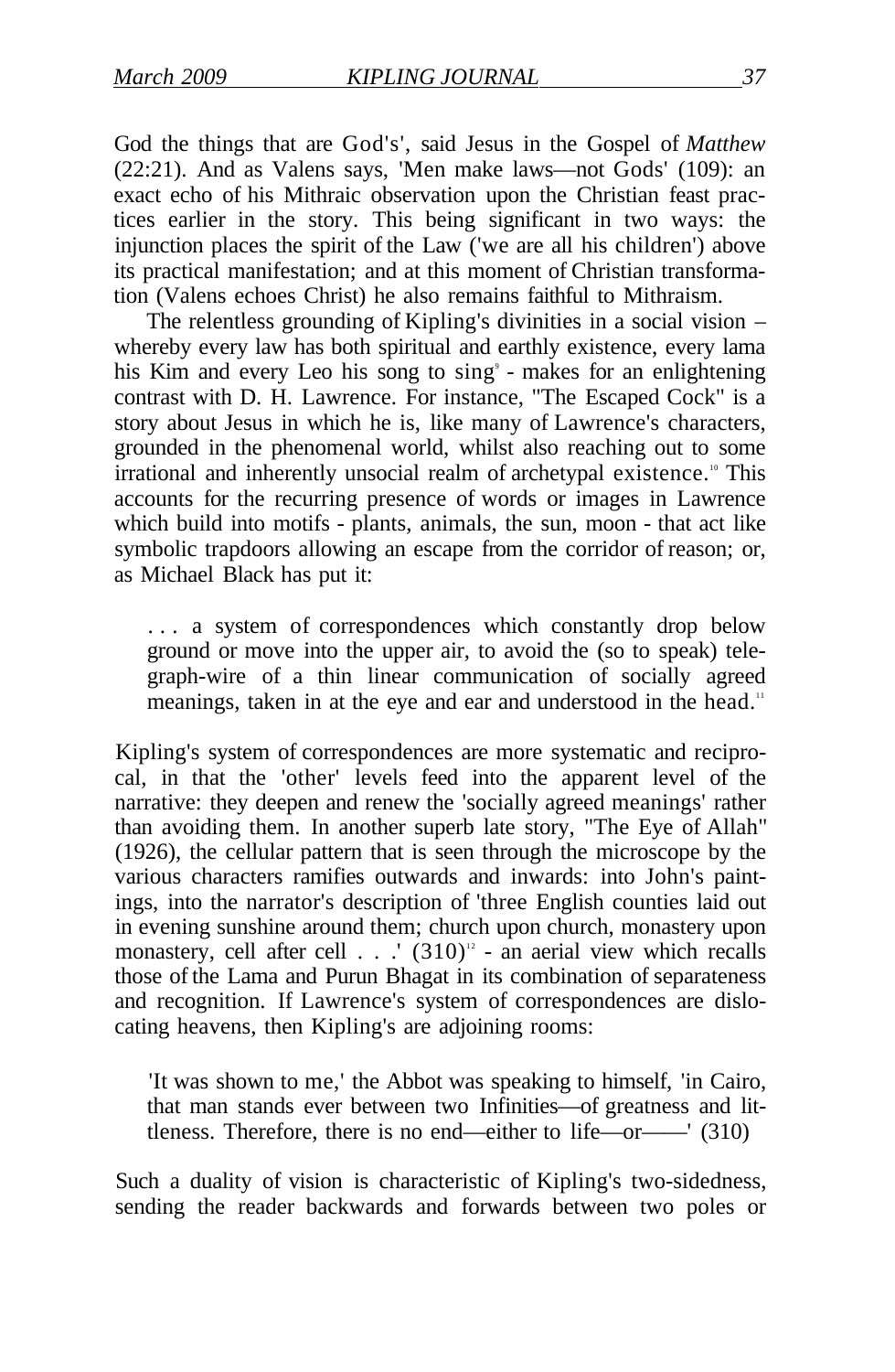God the things that are God's', said Jesus in the Gospel of *Matthew*  (22:21). And as Valens says, 'Men make laws—not Gods' (109): an exact echo of his Mithraic observation upon the Christian feast practices earlier in the story. This being significant in two ways: the injunction places the spirit of the Law ('we are all his children') above its practical manifestation; and at this moment of Christian transformation (Valens echoes Christ) he also remains faithful to Mithraism.

The relentless grounding of Kipling's divinities in a social vision – whereby every law has both spiritual and earthly existence, every lama his Kim and every Leo his song to sing<sup>9</sup> - makes for an enlightening contrast with D. H. Lawrence. For instance, "The Escaped Cock" is a story about Jesus in which he is, like many of Lawrence's characters, grounded in the phenomenal world, whilst also reaching out to some irrational and inherently unsocial realm of archetypal existence.<sup>10</sup> This accounts for the recurring presence of words or images in Lawrence which build into motifs - plants, animals, the sun, moon - that act like symbolic trapdoors allowing an escape from the corridor of reason; or, as Michael Black has put it:

. . . a system of correspondences which constantly drop below ground or move into the upper air, to avoid the (so to speak) telegraph-wire of a thin linear communication of socially agreed meanings, taken in at the eye and ear and understood in the head.<sup>11</sup>

Kipling's system of correspondences are more systematic and reciprocal, in that the 'other' levels feed into the apparent level of the narrative: they deepen and renew the 'socially agreed meanings' rather than avoiding them. In another superb late story, "The Eye of Allah" (1926), the cellular pattern that is seen through the microscope by the various characters ramifies outwards and inwards: into John's paintings, into the narrator's description of 'three English counties laid out in evening sunshine around them; church upon church, monastery upon monastery, cell after cell  $\ldots$   $(310)^{12}$  - an aerial view which recalls those of the Lama and Purun Bhagat in its combination of separateness and recognition. If Lawrence's system of correspondences are dislocating heavens, then Kipling's are adjoining rooms:

'It was shown to me,' the Abbot was speaking to himself, 'in Cairo, that man stands ever between two Infinities—of greatness and littleness. Therefore, there is no end—either to life—or——' (310)

Such a duality of vision is characteristic of Kipling's two-sidedness, sending the reader backwards and forwards between two poles or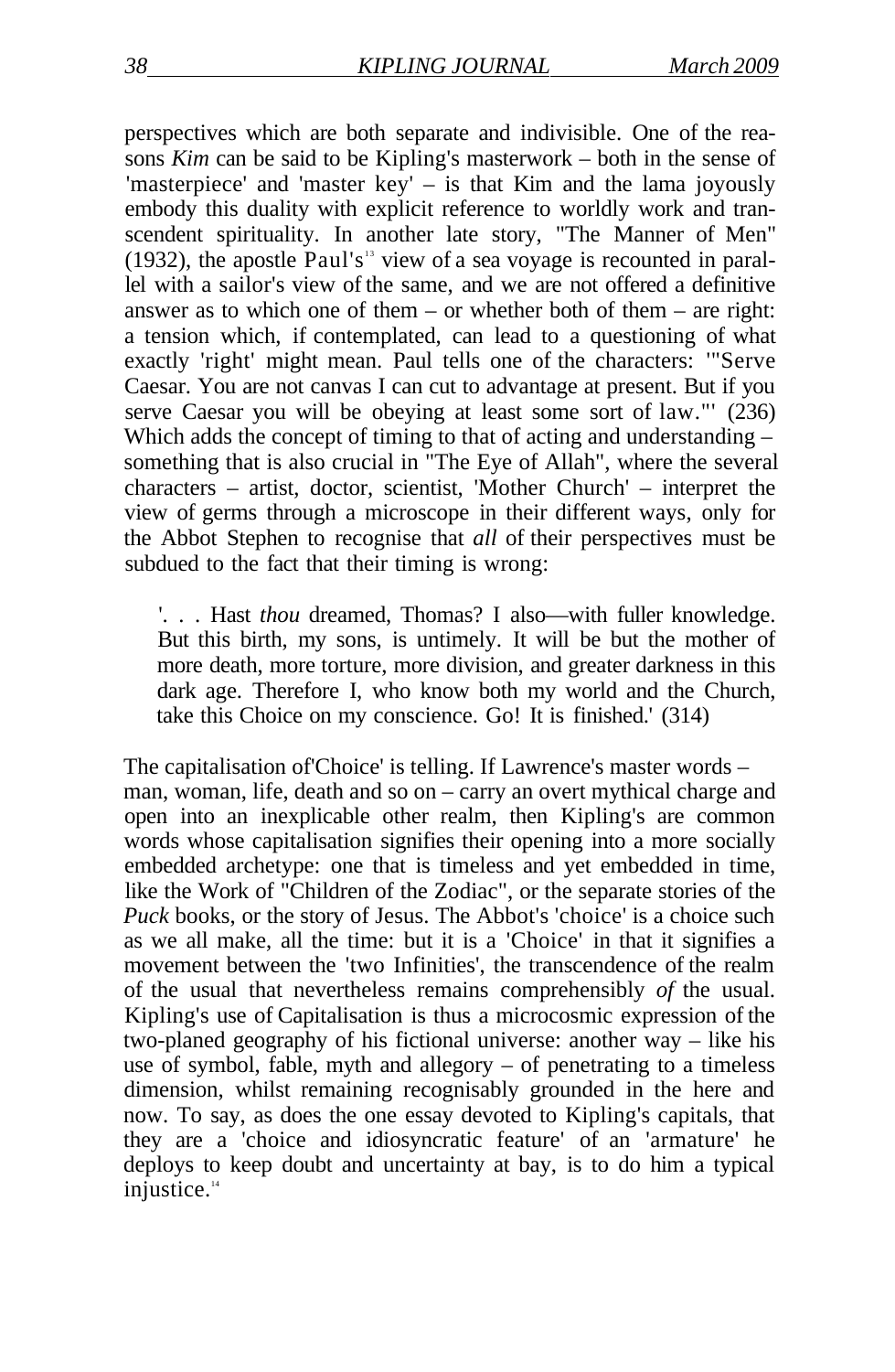perspectives which are both separate and indivisible. One of the reasons *Kim* can be said to be Kipling's masterwork – both in the sense of 'masterpiece' and 'master key' – is that Kim and the lama joyously embody this duality with explicit reference to worldly work and transcendent spirituality. In another late story, "The Manner of Men"  $(1932)$ , the apostle Paul's<sup>13</sup> view of a sea voyage is recounted in parallel with a sailor's view of the same, and we are not offered a definitive answer as to which one of them – or whether both of them – are right: a tension which, if contemplated, can lead to a questioning of what exactly 'right' might mean. Paul tells one of the characters: '"Serve Caesar. You are not canvas I can cut to advantage at present. But if you serve Caesar you will be obeying at least some sort of law."' (236) Which adds the concept of timing to that of acting and understanding – something that is also crucial in "The Eye of Allah", where the several characters – artist, doctor, scientist, 'Mother Church' – interpret the view of germs through a microscope in their different ways, only for the Abbot Stephen to recognise that *all* of their perspectives must be subdued to the fact that their timing is wrong:

'. . . Hast *thou* dreamed, Thomas? I also—with fuller knowledge. But this birth, my sons, is untimely. It will be but the mother of more death, more torture, more division, and greater darkness in this dark age. Therefore I, who know both my world and the Church, take this Choice on my conscience. Go! It is finished.' (314)

The capitalisation of'Choice' is telling. If Lawrence's master words – man, woman, life, death and so on – carry an overt mythical charge and open into an inexplicable other realm, then Kipling's are common words whose capitalisation signifies their opening into a more socially embedded archetype: one that is timeless and yet embedded in time, like the Work of "Children of the Zodiac", or the separate stories of the *Puck* books, or the story of Jesus. The Abbot's 'choice' is a choice such as we all make, all the time: but it is a 'Choice' in that it signifies a movement between the 'two Infinities', the transcendence of the realm of the usual that nevertheless remains comprehensibly *of* the usual. Kipling's use of Capitalisation is thus a microcosmic expression of the two-planed geography of his fictional universe: another way – like his use of symbol, fable, myth and allegory – of penetrating to a timeless dimension, whilst remaining recognisably grounded in the here and now. To say, as does the one essay devoted to Kipling's capitals, that they are a 'choice and idiosyncratic feature' of an 'armature' he deploys to keep doubt and uncertainty at bay, is to do him a typical injustice.<sup>14</sup>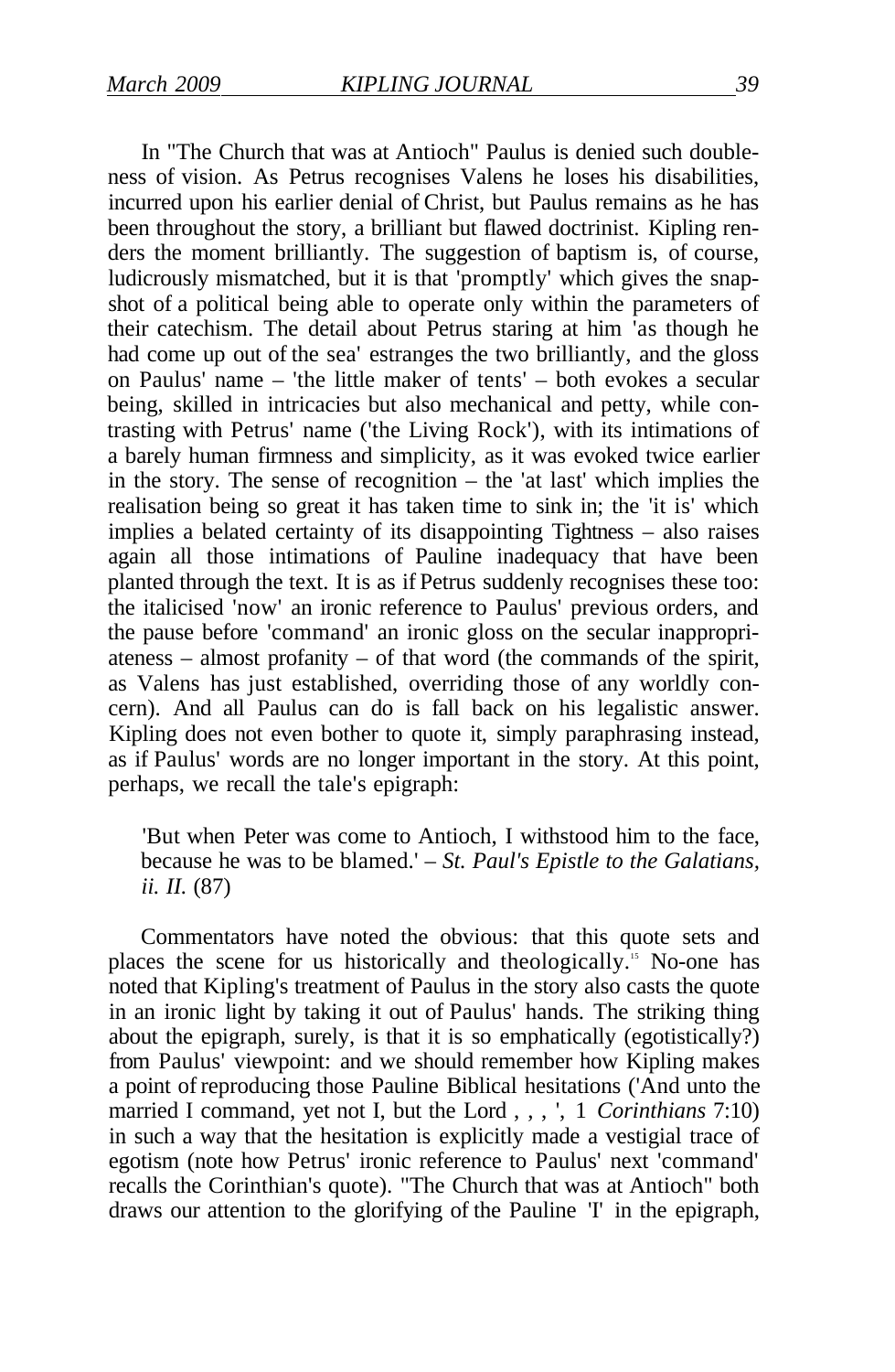In "The Church that was at Antioch" Paulus is denied such doubleness of vision. As Petrus recognises Valens he loses his disabilities, incurred upon his earlier denial of Christ, but Paulus remains as he has been throughout the story, a brilliant but flawed doctrinist. Kipling renders the moment brilliantly. The suggestion of baptism is, of course, ludicrously mismatched, but it is that 'promptly' which gives the snapshot of a political being able to operate only within the parameters of their catechism. The detail about Petrus staring at him 'as though he had come up out of the sea' estranges the two brilliantly, and the gloss on Paulus' name – 'the little maker of tents' – both evokes a secular being, skilled in intricacies but also mechanical and petty, while contrasting with Petrus' name ('the Living Rock'), with its intimations of a barely human firmness and simplicity, as it was evoked twice earlier in the story. The sense of recognition – the 'at last' which implies the realisation being so great it has taken time to sink in; the 'it is' which implies a belated certainty of its disappointing Tightness – also raises again all those intimations of Pauline inadequacy that have been planted through the text. It is as if Petrus suddenly recognises these too: the italicised 'now' an ironic reference to Paulus' previous orders, and the pause before 'command' an ironic gloss on the secular inappropriateness – almost profanity – of that word (the commands of the spirit, as Valens has just established, overriding those of any worldly concern). And all Paulus can do is fall back on his legalistic answer. Kipling does not even bother to quote it, simply paraphrasing instead, as if Paulus' words are no longer important in the story. At this point, perhaps, we recall the tale's epigraph:

'But when Peter was come to Antioch, I withstood him to the face, because he was to be blamed.' – *St. Paul's Epistle to the Galatians, ii. II.* (87)

Commentators have noted the obvious: that this quote sets and places the scene for us historically and theologically.<sup>15</sup> No-one has noted that Kipling's treatment of Paulus in the story also casts the quote in an ironic light by taking it out of Paulus' hands. The striking thing about the epigraph, surely, is that it is so emphatically (egotistically?) from Paulus' viewpoint: and we should remember how Kipling makes a point of reproducing those Pauline Biblical hesitations ('And unto the married I command, yet not I, but the Lord , , , ', 1 *Corinthians* 7:10) in such a way that the hesitation is explicitly made a vestigial trace of egotism (note how Petrus' ironic reference to Paulus' next 'command' recalls the Corinthian's quote). "The Church that was at Antioch" both draws our attention to the glorifying of the Pauline 'I' in the epigraph,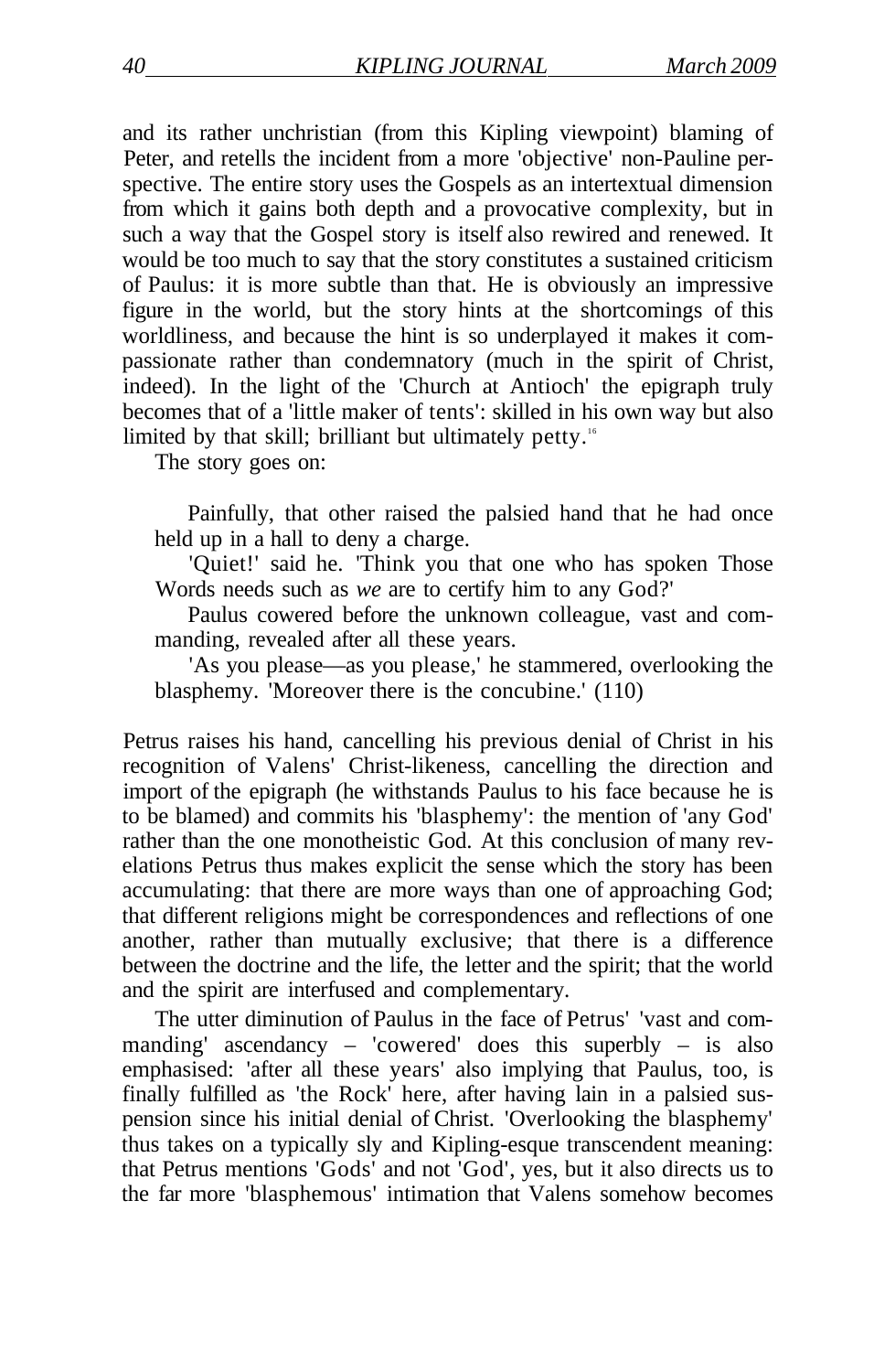and its rather unchristian (from this Kipling viewpoint) blaming of Peter, and retells the incident from a more 'objective' non-Pauline perspective. The entire story uses the Gospels as an intertextual dimension from which it gains both depth and a provocative complexity, but in such a way that the Gospel story is itself also rewired and renewed. It would be too much to say that the story constitutes a sustained criticism of Paulus: it is more subtle than that. He is obviously an impressive figure in the world, but the story hints at the shortcomings of this worldliness, and because the hint is so underplayed it makes it compassionate rather than condemnatory (much in the spirit of Christ, indeed). In the light of the 'Church at Antioch' the epigraph truly becomes that of a 'little maker of tents': skilled in his own way but also limited by that skill; brilliant but ultimately petty.<sup>16</sup>

The story goes on:

Painfully, that other raised the palsied hand that he had once held up in a hall to deny a charge.

'Quiet!' said he. 'Think you that one who has spoken Those Words needs such as *we* are to certify him to any God?'

Paulus cowered before the unknown colleague, vast and commanding, revealed after all these years.

'As you please—as you please,' he stammered, overlooking the blasphemy. 'Moreover there is the concubine.' (110)

Petrus raises his hand, cancelling his previous denial of Christ in his recognition of Valens' Christ-likeness, cancelling the direction and import of the epigraph (he withstands Paulus to his face because he is to be blamed) and commits his 'blasphemy': the mention of 'any God' rather than the one monotheistic God. At this conclusion of many revelations Petrus thus makes explicit the sense which the story has been accumulating: that there are more ways than one of approaching God; that different religions might be correspondences and reflections of one another, rather than mutually exclusive; that there is a difference between the doctrine and the life, the letter and the spirit; that the world and the spirit are interfused and complementary.

The utter diminution of Paulus in the face of Petrus' 'vast and commanding' ascendancy – 'cowered' does this superbly – is also emphasised: 'after all these years' also implying that Paulus, too, is finally fulfilled as 'the Rock' here, after having lain in a palsied suspension since his initial denial of Christ. 'Overlooking the blasphemy' thus takes on a typically sly and Kipling-esque transcendent meaning: that Petrus mentions 'Gods' and not 'God', yes, but it also directs us to the far more 'blasphemous' intimation that Valens somehow becomes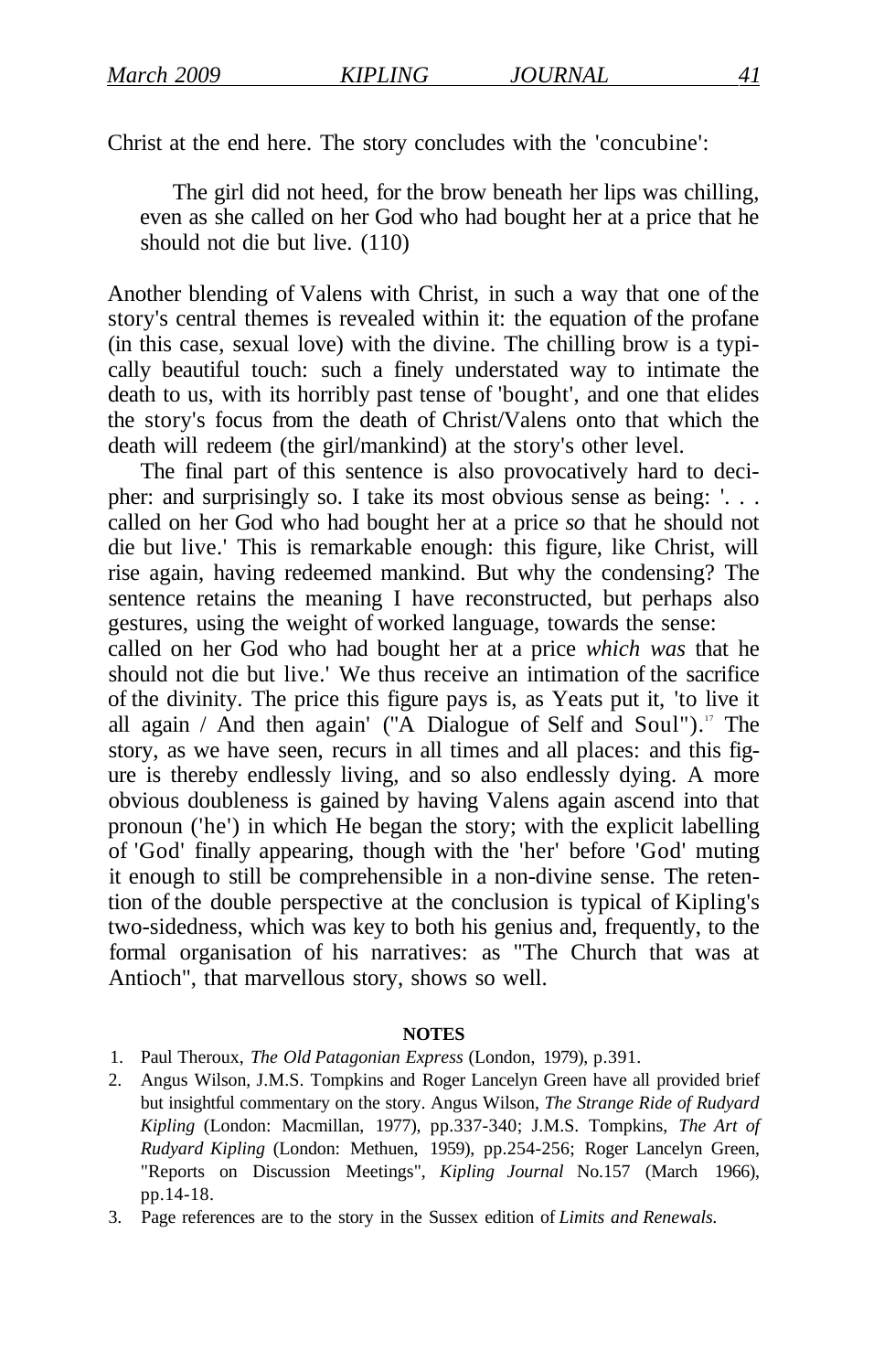Christ at the end here. The story concludes with the 'concubine':

The girl did not heed, for the brow beneath her lips was chilling, even as she called on her God who had bought her at a price that he should not die but live. (110)

Another blending of Valens with Christ, in such a way that one of the story's central themes is revealed within it: the equation of the profane (in this case, sexual love) with the divine. The chilling brow is a typically beautiful touch: such a finely understated way to intimate the death to us, with its horribly past tense of 'bought', and one that elides the story's focus from the death of Christ/Valens onto that which the death will redeem (the girl/mankind) at the story's other level.

The final part of this sentence is also provocatively hard to decipher: and surprisingly so. I take its most obvious sense as being: '. . . called on her God who had bought her at a price *so* that he should not die but live.' This is remarkable enough: this figure, like Christ, will rise again, having redeemed mankind. But why the condensing? The sentence retains the meaning I have reconstructed, but perhaps also gestures, using the weight of worked language, towards the sense:

called on her God who had bought her at a price *which was* that he should not die but live.' We thus receive an intimation of the sacrifice of the divinity. The price this figure pays is, as Yeats put it, 'to live it all again / And then again' ("A Dialogue of Self and Soul").<sup>17</sup> The story, as we have seen, recurs in all times and all places: and this figure is thereby endlessly living, and so also endlessly dying. A more obvious doubleness is gained by having Valens again ascend into that pronoun ('he') in which He began the story; with the explicit labelling of 'God' finally appearing, though with the 'her' before 'God' muting it enough to still be comprehensible in a non-divine sense. The retention of the double perspective at the conclusion is typical of Kipling's two-sidedness, which was key to both his genius and, frequently, to the formal organisation of his narratives: as "The Church that was at Antioch", that marvellous story, shows so well.

#### **NOTES**

- 1. Paul Theroux, *The Old Patagonian Express* (London, 1979), p.391.
- 2. Angus Wilson, J.M.S. Tompkins and Roger Lancelyn Green have all provided brief but insightful commentary on the story. Angus Wilson, *The Strange Ride of Rudyard Kipling* (London: Macmillan, 1977), pp.337-340; J.M.S. Tompkins, *The Art of Rudyard Kipling* (London: Methuen, 1959), pp.254-256; Roger Lancelyn Green, "Reports on Discussion Meetings", *Kipling Journal* No.157 (March 1966), pp.14-18.
- 3. Page references are to the story in the Sussex edition of *Limits and Renewals.*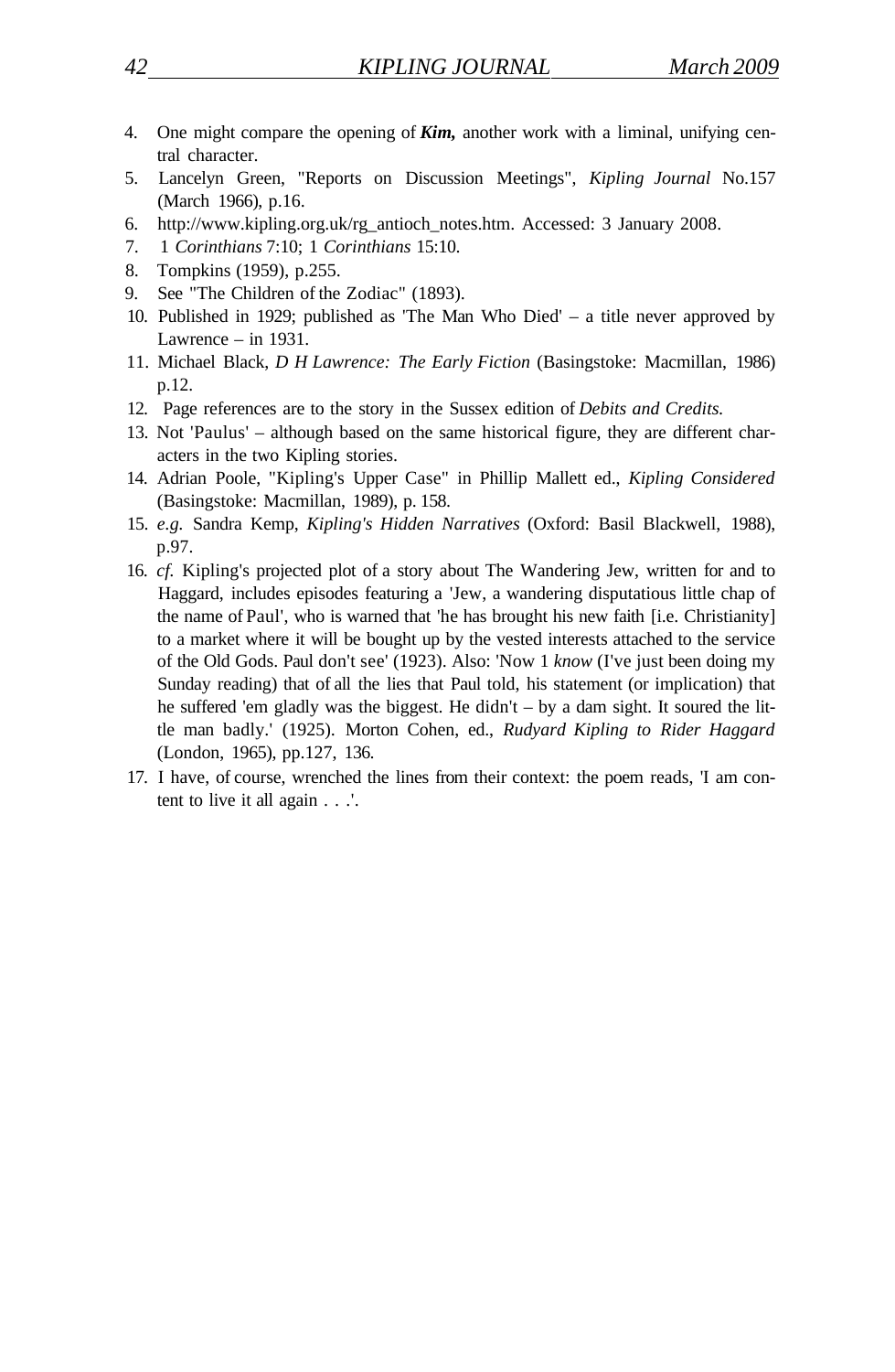- 4. One might compare the opening of *Kim,* another work with a liminal, unifying central character.
- 5. Lancelyn Green, "Reports on Discussion Meetings", *Kipling Journal* No.157 (March 1966), p.16.
- 6. http://www.kipling.org.uk/rg\_antioch\_notes.htm. Accessed: 3 January 2008.
- 7. 1 *Corinthians* 7:10; 1 *Corinthians* 15:10.
- 8. Tompkins (1959), p.255.
- 9. See "The Children of the Zodiac" (1893).
- 10. Published in 1929; published as 'The Man Who Died' a title never approved by Lawrence – in 1931.
- 11. Michael Black, *D H Lawrence: The Early Fiction* (Basingstoke: Macmillan, 1986) p.12.
- 12. Page references are to the story in the Sussex edition of *Debits and Credits.*
- 13. Not 'Paulus' although based on the same historical figure, they are different characters in the two Kipling stories.
- 14. Adrian Poole, "Kipling's Upper Case" in Phillip Mallett ed., *Kipling Considered*  (Basingstoke: Macmillan, 1989), p. 158.
- 15. *e.g.* Sandra Kemp, *Kipling's Hidden Narratives* (Oxford: Basil Blackwell, 1988), p.97.
- 16. *cf.* Kipling's projected plot of a story about The Wandering Jew, written for and to Haggard, includes episodes featuring a 'Jew, a wandering disputatious little chap of the name of Paul', who is warned that 'he has brought his new faith [i.e. Christianity] to a market where it will be bought up by the vested interests attached to the service of the Old Gods. Paul don't see' (1923). Also: 'Now 1 *know* (I've just been doing my Sunday reading) that of all the lies that Paul told, his statement (or implication) that he suffered 'em gladly was the biggest. He didn't – by a dam sight. It soured the little man badly.' (1925). Morton Cohen, ed., *Rudyard Kipling to Rider Haggard*  (London, 1965), pp.127, 136.
- 17. I have, of course, wrenched the lines from their context: the poem reads, 'I am content to live it all again . . .'.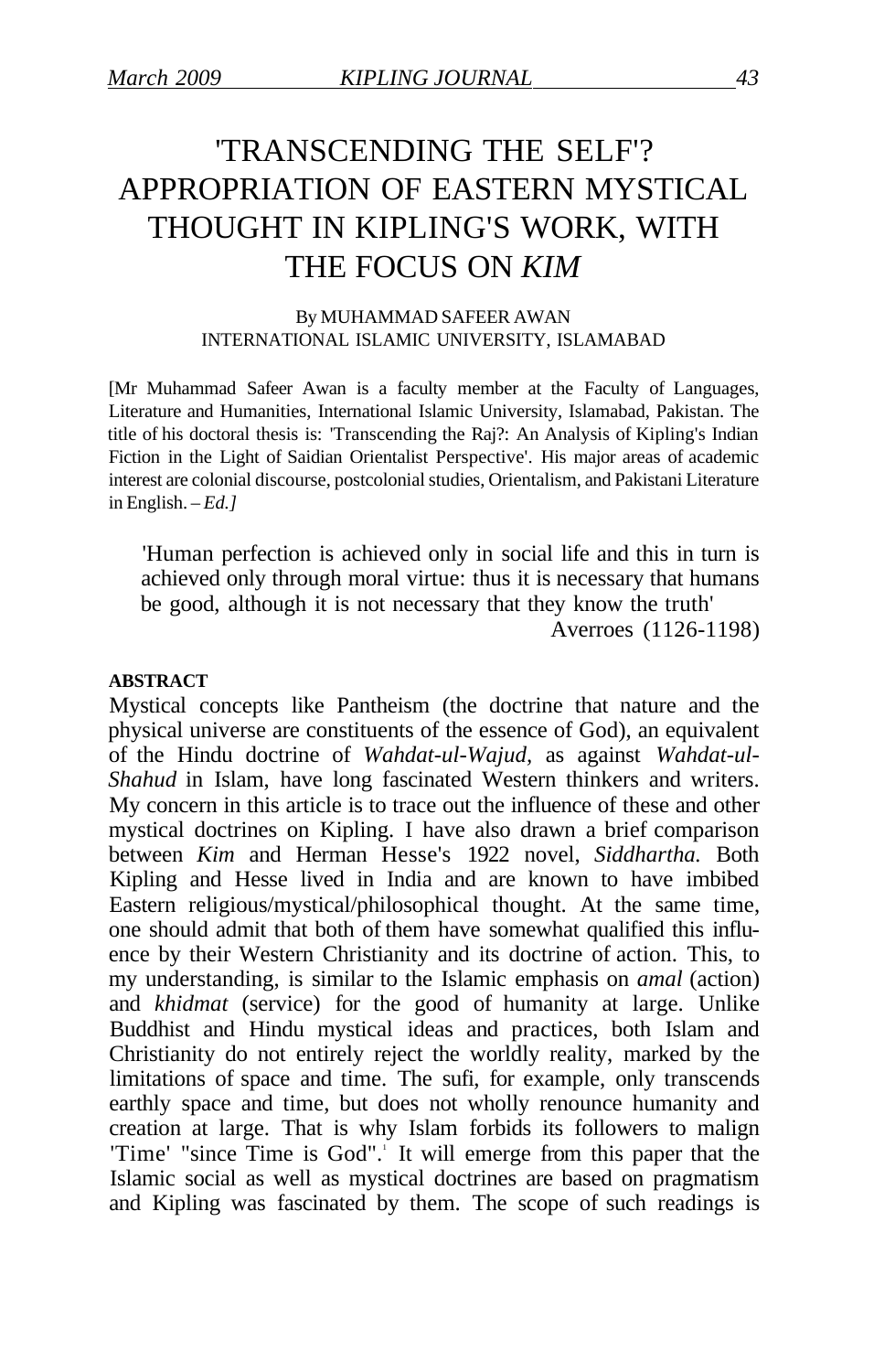## 'TRANSCENDING THE SELF'? APPROPRIATION OF EASTERN MYSTICAL THOUGHT IN KIPLING'S WORK, WITH THE FOCUS ON *KIM*

#### By MUHAMMAD SAFEER AWAN INTERNATIONAL ISLAMIC UNIVERSITY, ISLAMABAD

[Mr Muhammad Safeer Awan is a faculty member at the Faculty of Languages, Literature and Humanities, International Islamic University, Islamabad, Pakistan. The title of his doctoral thesis is: 'Transcending the Raj?: An Analysis of Kipling's Indian Fiction in the Light of Saidian Orientalist Perspective'. His major areas of academic interest are colonial discourse, postcolonial studies, Orientalism, and Pakistani Literature in English. – *Ed.]* 

'Human perfection is achieved only in social life and this in turn is achieved only through moral virtue: thus it is necessary that humans be good, although it is not necessary that they know the truth'

Averroes (1126-1198)

#### **ABSTRACT**

Mystical concepts like Pantheism (the doctrine that nature and the physical universe are constituents of the essence of God), an equivalent of the Hindu doctrine of *Wahdat-ul-Wajud,* as against *Wahdat-ul-Shahud* in Islam, have long fascinated Western thinkers and writers. My concern in this article is to trace out the influence of these and other mystical doctrines on Kipling. I have also drawn a brief comparison between *Kim* and Herman Hesse's 1922 novel, *Siddhartha.* Both Kipling and Hesse lived in India and are known to have imbibed Eastern religious/mystical/philosophical thought. At the same time, one should admit that both of them have somewhat qualified this influence by their Western Christianity and its doctrine of action. This, to my understanding, is similar to the Islamic emphasis on *amal* (action) and *khidmat* (service) for the good of humanity at large. Unlike Buddhist and Hindu mystical ideas and practices, both Islam and Christianity do not entirely reject the worldly reality, marked by the limitations of space and time. The sufi, for example, only transcends earthly space and time, but does not wholly renounce humanity and creation at large. That is why Islam forbids its followers to malign 'Time' "since Time is God".' It will emerge from this paper that the Islamic social as well as mystical doctrines are based on pragmatism and Kipling was fascinated by them. The scope of such readings is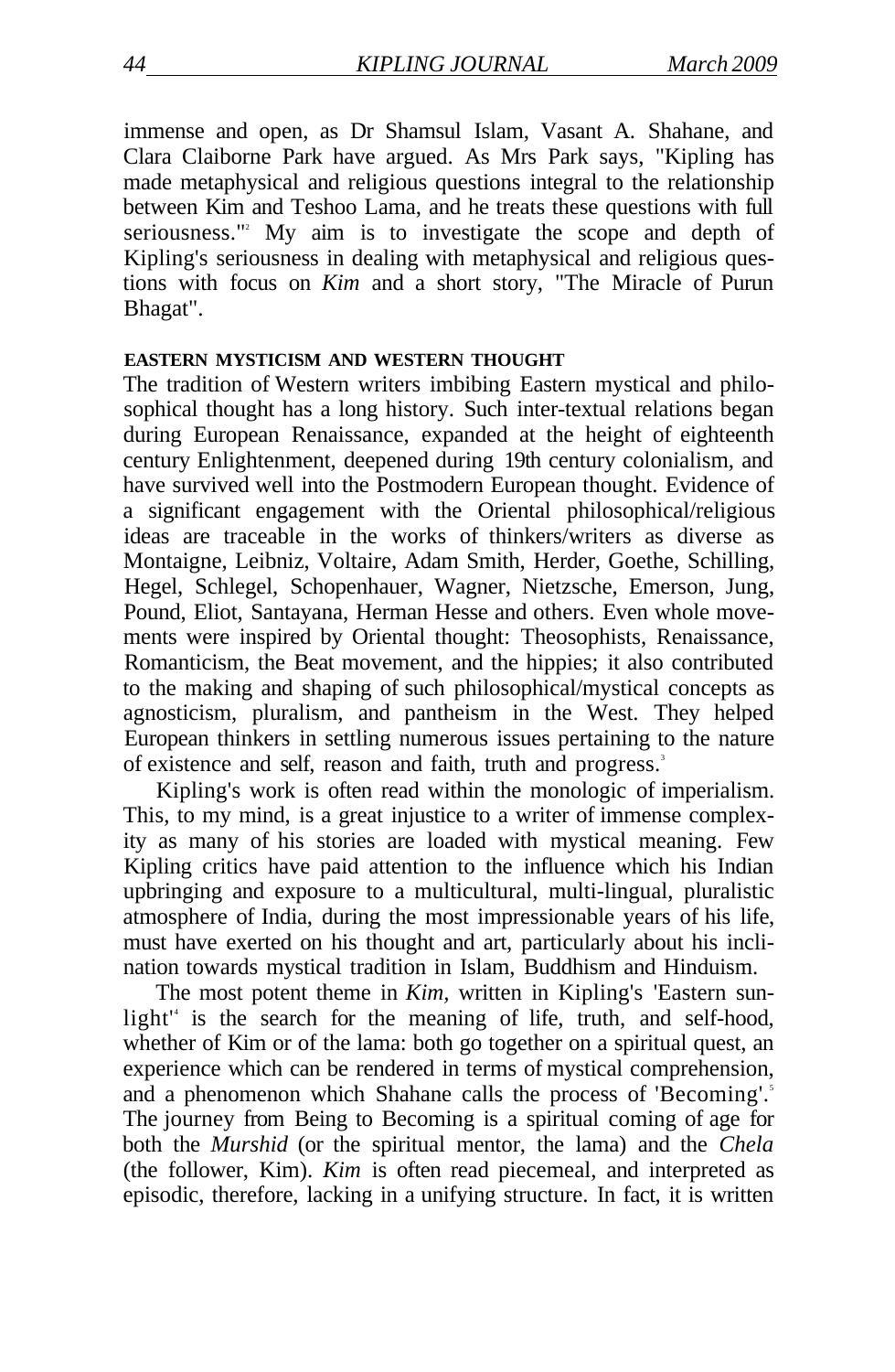immense and open, as Dr Shamsul Islam, Vasant A. Shahane, and Clara Claiborne Park have argued. As Mrs Park says, "Kipling has made metaphysical and religious questions integral to the relationship between Kim and Teshoo Lama, and he treats these questions with full seriousness."<sup>2</sup> My aim is to investigate the scope and depth of Kipling's seriousness in dealing with metaphysical and religious questions with focus on *Kim* and a short story, "The Miracle of Purun Bhagat".

#### **EASTERN MYSTICISM AND WESTERN THOUGHT**

The tradition of Western writers imbibing Eastern mystical and philosophical thought has a long history. Such inter-textual relations began during European Renaissance, expanded at the height of eighteenth century Enlightenment, deepened during 19th century colonialism, and have survived well into the Postmodern European thought. Evidence of a significant engagement with the Oriental philosophical/religious ideas are traceable in the works of thinkers/writers as diverse as Montaigne, Leibniz, Voltaire, Adam Smith, Herder, Goethe, Schilling, Hegel, Schlegel, Schopenhauer, Wagner, Nietzsche, Emerson, Jung, Pound, Eliot, Santayana, Herman Hesse and others. Even whole movements were inspired by Oriental thought: Theosophists, Renaissance, Romanticism, the Beat movement, and the hippies; it also contributed to the making and shaping of such philosophical/mystical concepts as agnosticism, pluralism, and pantheism in the West. They helped European thinkers in settling numerous issues pertaining to the nature of existence and self, reason and faith, truth and progress.<sup>3</sup>

Kipling's work is often read within the monologic of imperialism. This, to my mind, is a great injustice to a writer of immense complexity as many of his stories are loaded with mystical meaning. Few Kipling critics have paid attention to the influence which his Indian upbringing and exposure to a multicultural, multi-lingual, pluralistic atmosphere of India, during the most impressionable years of his life, must have exerted on his thought and art, particularly about his inclination towards mystical tradition in Islam, Buddhism and Hinduism.

The most potent theme in *Kim,* written in Kipling's 'Eastern sunlight<sup>"</sup> is the search for the meaning of life, truth, and self-hood, whether of Kim or of the lama: both go together on a spiritual quest, an experience which can be rendered in terms of mystical comprehension, and a phenomenon which Shahane calls the process of 'Becoming'.<sup>5</sup> The journey from Being to Becoming is a spiritual coming of age for both the *Murshid* (or the spiritual mentor, the lama) and the *Chela*  (the follower, Kim). *Kim* is often read piecemeal, and interpreted as episodic, therefore, lacking in a unifying structure. In fact, it is written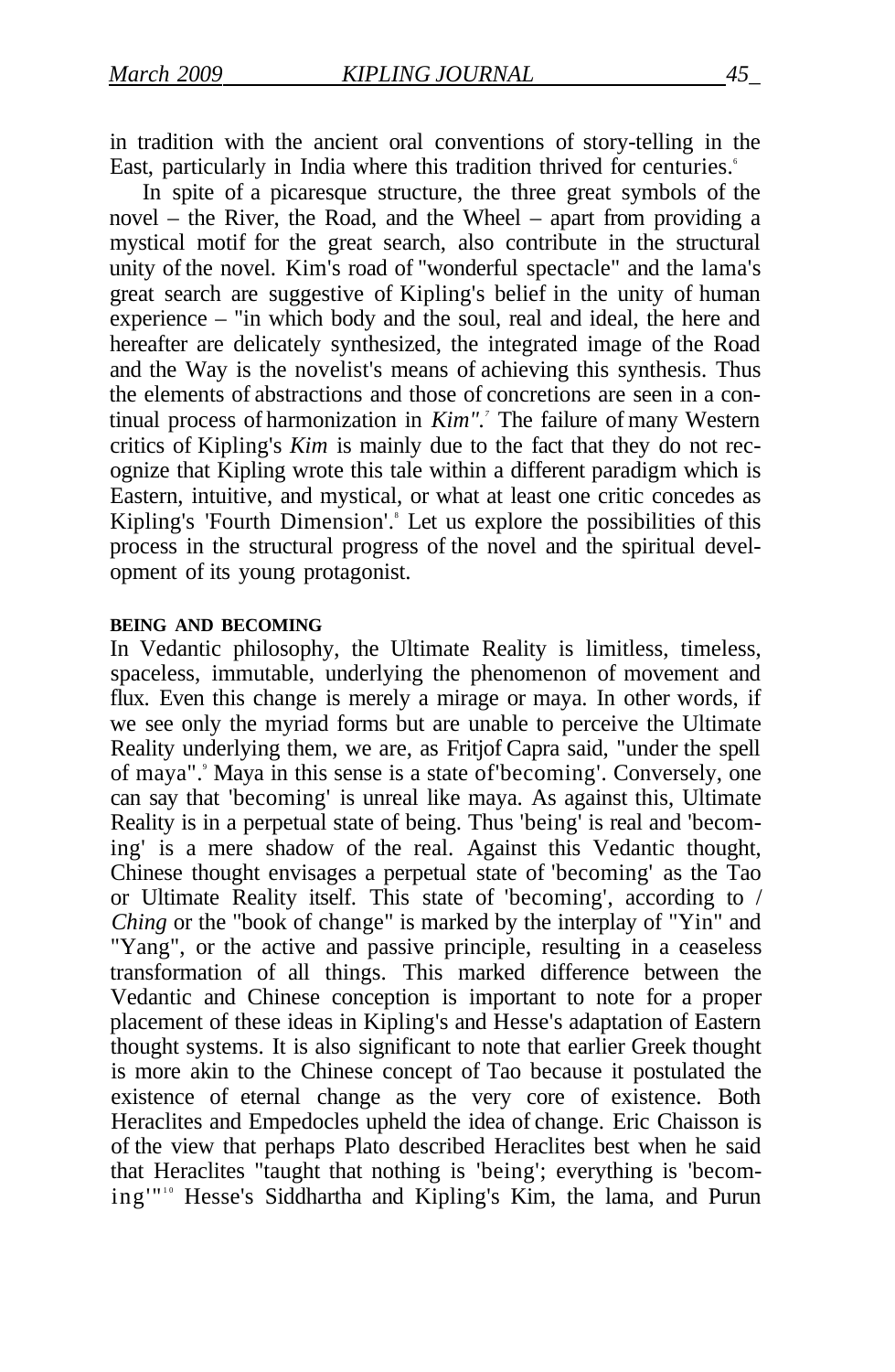in tradition with the ancient oral conventions of story-telling in the East, particularly in India where this tradition thrived for centuries.<sup>6</sup>

In spite of a picaresque structure, the three great symbols of the novel – the River, the Road, and the Wheel – apart from providing a mystical motif for the great search, also contribute in the structural unity of the novel. Kim's road of "wonderful spectacle" and the lama's great search are suggestive of Kipling's belief in the unity of human experience – "in which body and the soul, real and ideal, the here and hereafter are delicately synthesized, the integrated image of the Road and the Way is the novelist's means of achieving this synthesis. Thus the elements of abstractions and those of concretions are seen in a continual process of harmonization in *Kim".<sup>7</sup>* The failure of many Western critics of Kipling's *Kim* is mainly due to the fact that they do not recognize that Kipling wrote this tale within a different paradigm which is Eastern, intuitive, and mystical, or what at least one critic concedes as Kipling's 'Fourth Dimension'.<sup>8</sup> Let us explore the possibilities of this process in the structural progress of the novel and the spiritual development of its young protagonist.

#### **BEING AND BECOMING**

In Vedantic philosophy, the Ultimate Reality is limitless, timeless, spaceless, immutable, underlying the phenomenon of movement and flux. Even this change is merely a mirage or maya. In other words, if we see only the myriad forms but are unable to perceive the Ultimate Reality underlying them, we are, as Fritjof Capra said, "under the spell of maya". Maya in this sense is a state of becoming'. Conversely, one can say that 'becoming' is unreal like maya. As against this, Ultimate Reality is in a perpetual state of being. Thus 'being' is real and 'becoming' is a mere shadow of the real. Against this Vedantic thought, Chinese thought envisages a perpetual state of 'becoming' as the Tao or Ultimate Reality itself. This state of 'becoming', according to / *Ching* or the "book of change" is marked by the interplay of "Yin" and "Yang", or the active and passive principle, resulting in a ceaseless transformation of all things. This marked difference between the Vedantic and Chinese conception is important to note for a proper placement of these ideas in Kipling's and Hesse's adaptation of Eastern thought systems. It is also significant to note that earlier Greek thought is more akin to the Chinese concept of Tao because it postulated the existence of eternal change as the very core of existence. Both Heraclites and Empedocles upheld the idea of change. Eric Chaisson is of the view that perhaps Plato described Heraclites best when he said that Heraclites "taught that nothing is 'being'; everything is 'becoming'"<sup>10</sup> Hesse's Siddhartha and Kipling's Kim, the lama, and Purun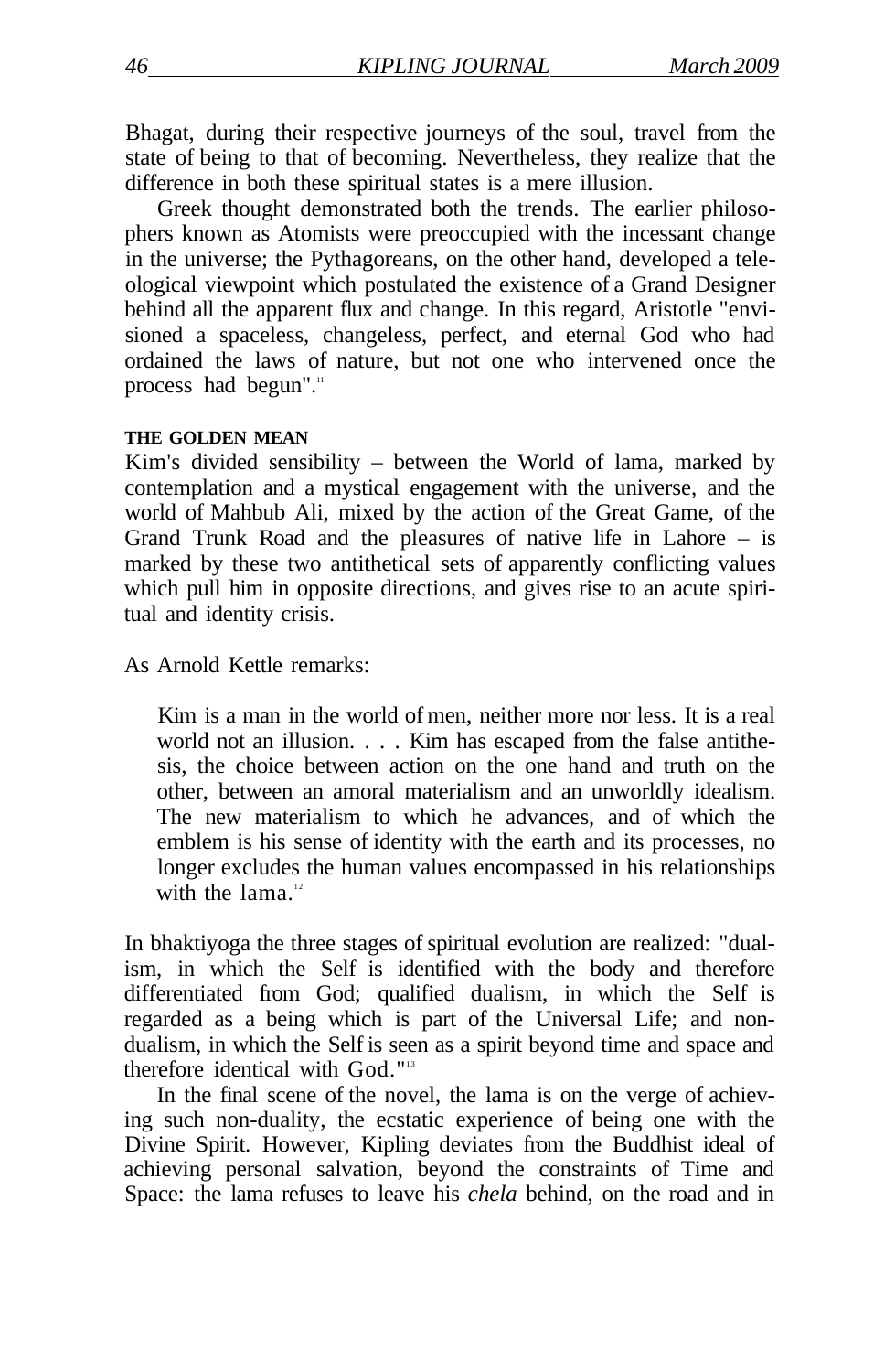Bhagat, during their respective journeys of the soul, travel from the state of being to that of becoming. Nevertheless, they realize that the difference in both these spiritual states is a mere illusion.

Greek thought demonstrated both the trends. The earlier philosophers known as Atomists were preoccupied with the incessant change in the universe; the Pythagoreans, on the other hand, developed a teleological viewpoint which postulated the existence of a Grand Designer behind all the apparent flux and change. In this regard, Aristotle "envisioned a spaceless, changeless, perfect, and eternal God who had ordained the laws of nature, but not one who intervened once the process had begun".<sup>11</sup>

#### **THE GOLDEN MEAN**

Kim's divided sensibility – between the World of lama, marked by contemplation and a mystical engagement with the universe, and the world of Mahbub Ali, mixed by the action of the Great Game, of the Grand Trunk Road and the pleasures of native life in Lahore – is marked by these two antithetical sets of apparently conflicting values which pull him in opposite directions, and gives rise to an acute spiritual and identity crisis.

As Arnold Kettle remarks:

Kim is a man in the world of men, neither more nor less. It is a real world not an illusion. . . . Kim has escaped from the false antithesis, the choice between action on the one hand and truth on the other, between an amoral materialism and an unworldly idealism. The new materialism to which he advances, and of which the emblem is his sense of identity with the earth and its processes, no longer excludes the human values encompassed in his relationships with the lama $12$ 

In bhaktiyoga the three stages of spiritual evolution are realized: "dualism, in which the Self is identified with the body and therefore differentiated from God; qualified dualism, in which the Self is regarded as a being which is part of the Universal Life; and nondualism, in which the Self is seen as a spirit beyond time and space and therefore identical with God."<sup>13</sup>

In the final scene of the novel, the lama is on the verge of achieving such non-duality, the ecstatic experience of being one with the Divine Spirit. However, Kipling deviates from the Buddhist ideal of achieving personal salvation, beyond the constraints of Time and Space: the lama refuses to leave his *chela* behind, on the road and in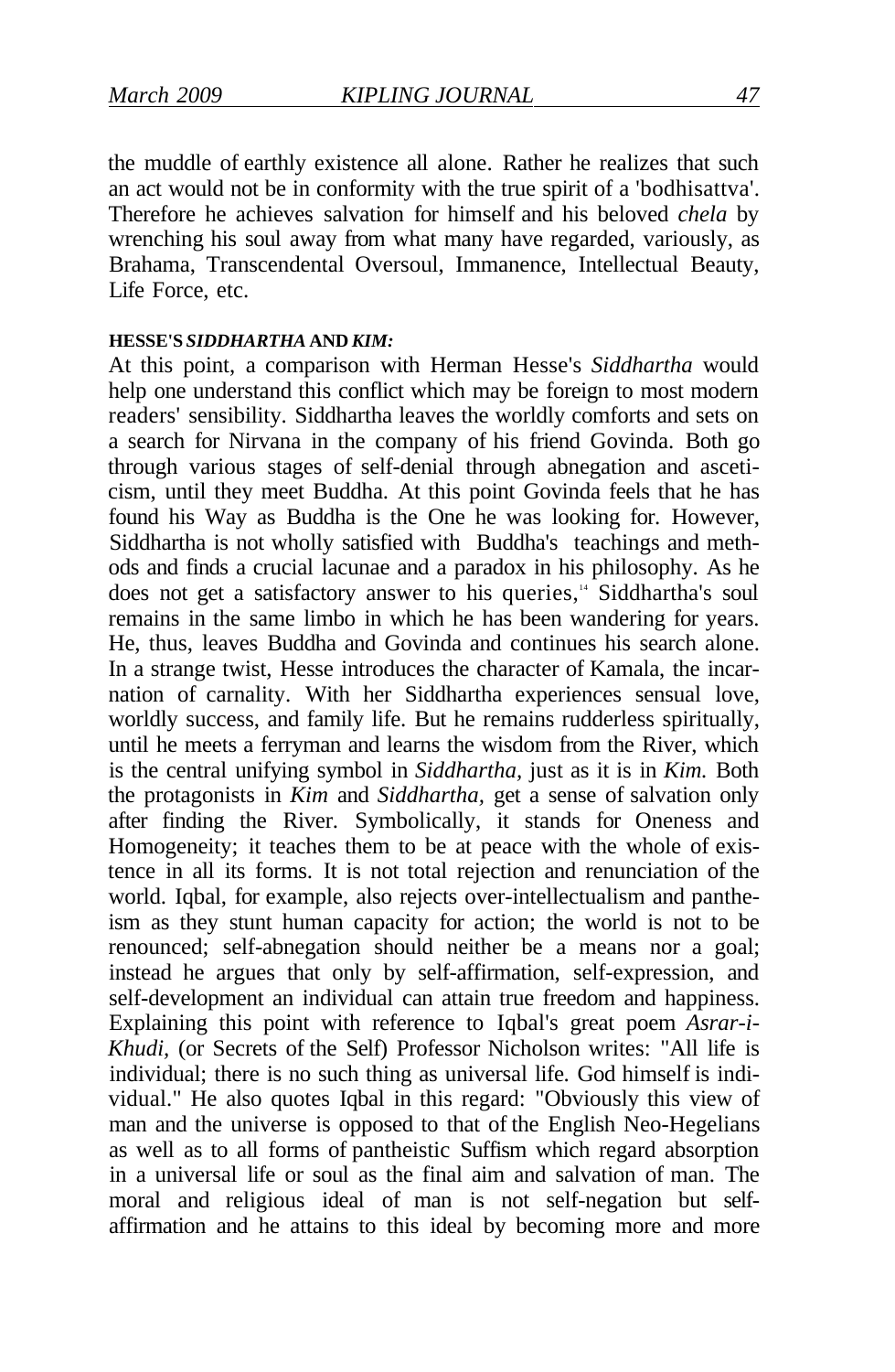the muddle of earthly existence all alone. Rather he realizes that such an act would not be in conformity with the true spirit of a 'bodhisattva'. Therefore he achieves salvation for himself and his beloved *chela* by wrenching his soul away from what many have regarded, variously, as Brahama, Transcendental Oversoul, Immanence, Intellectual Beauty, Life Force, etc.

#### **HESSE'S** *SIDDHARTHA* **AND** *KIM:*

At this point, a comparison with Herman Hesse's *Siddhartha* would help one understand this conflict which may be foreign to most modern readers' sensibility. Siddhartha leaves the worldly comforts and sets on a search for Nirvana in the company of his friend Govinda. Both go through various stages of self-denial through abnegation and asceticism, until they meet Buddha. At this point Govinda feels that he has found his Way as Buddha is the One he was looking for. However, Siddhartha is not wholly satisfied with Buddha's teachings and methods and finds a crucial lacunae and a paradox in his philosophy. As he does not get a satisfactory answer to his queries,<sup>14</sup> Siddhartha's soul remains in the same limbo in which he has been wandering for years. He, thus, leaves Buddha and Govinda and continues his search alone. In a strange twist, Hesse introduces the character of Kamala, the incarnation of carnality. With her Siddhartha experiences sensual love, worldly success, and family life. But he remains rudderless spiritually, until he meets a ferryman and learns the wisdom from the River, which is the central unifying symbol in *Siddhartha,* just as it is in *Kim.* Both the protagonists in *Kim* and *Siddhartha,* get a sense of salvation only after finding the River. Symbolically, it stands for Oneness and Homogeneity; it teaches them to be at peace with the whole of existence in all its forms. It is not total rejection and renunciation of the world. Igbal, for example, also rejects over-intellectualism and pantheism as they stunt human capacity for action; the world is not to be renounced; self-abnegation should neither be a means nor a goal; instead he argues that only by self-affirmation, self-expression, and self-development an individual can attain true freedom and happiness. Explaining this point with reference to Iqbal's great poem *Asrar-i-Khudi,* (or Secrets of the Self) Professor Nicholson writes: "All life is individual; there is no such thing as universal life. God himself is individual." He also quotes Iqbal in this regard: "Obviously this view of man and the universe is opposed to that of the English Neo-Hegelians as well as to all forms of pantheistic Suffism which regard absorption in a universal life or soul as the final aim and salvation of man. The moral and religious ideal of man is not self-negation but selfaffirmation and he attains to this ideal by becoming more and more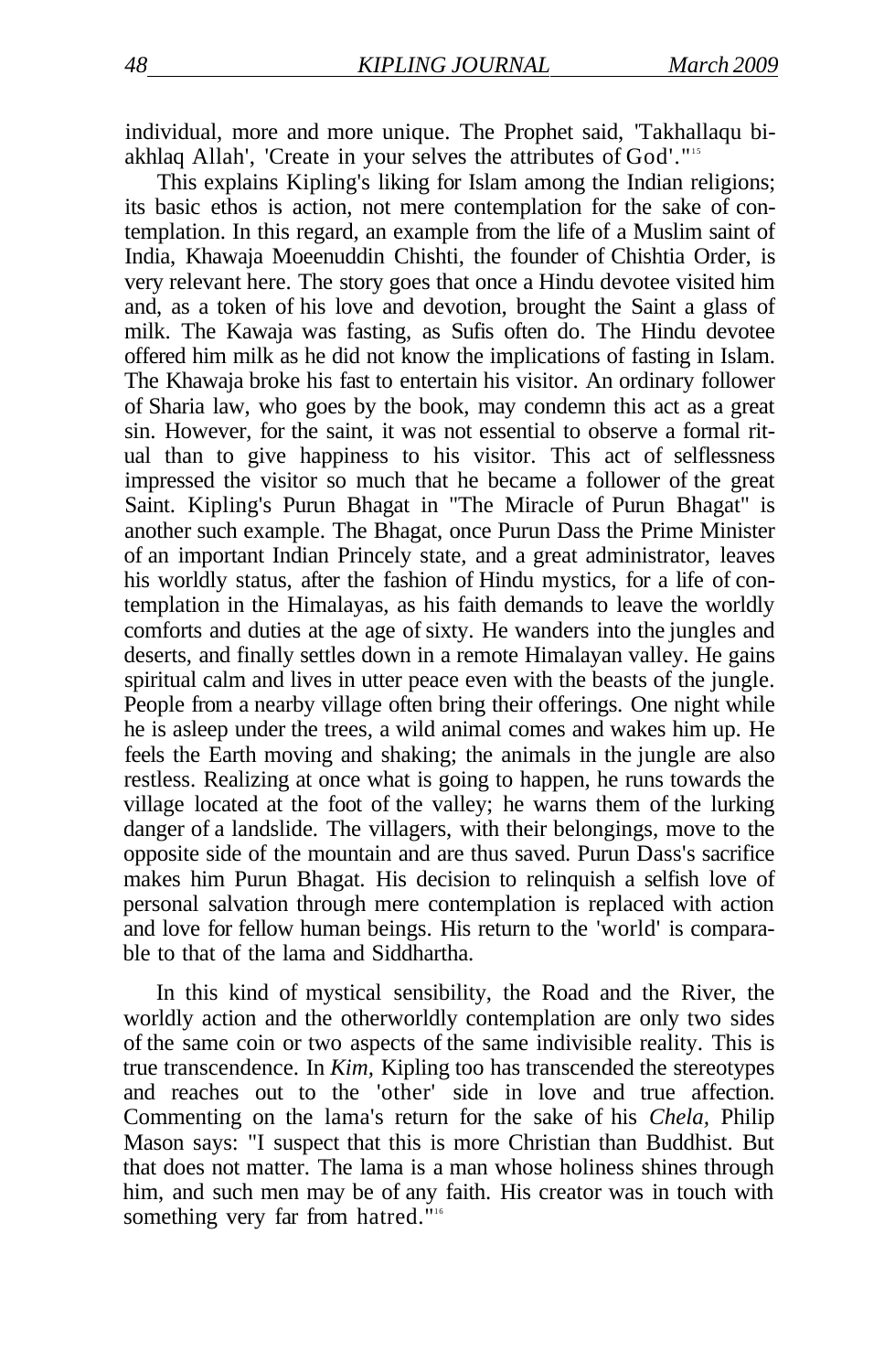individual, more and more unique. The Prophet said, 'Takhallaqu biakhlaq Allah', 'Create in your selves the attributes of God'."<sup>15</sup>

This explains Kipling's liking for Islam among the Indian religions; its basic ethos is action, not mere contemplation for the sake of contemplation. In this regard, an example from the life of a Muslim saint of India, Khawaja Moeenuddin Chishti, the founder of Chishtia Order, is very relevant here. The story goes that once a Hindu devotee visited him and, as a token of his love and devotion, brought the Saint a glass of milk. The Kawaja was fasting, as Sufis often do. The Hindu devotee offered him milk as he did not know the implications of fasting in Islam. The Khawaja broke his fast to entertain his visitor. An ordinary follower of Sharia law, who goes by the book, may condemn this act as a great sin. However, for the saint, it was not essential to observe a formal ritual than to give happiness to his visitor. This act of selflessness impressed the visitor so much that he became a follower of the great Saint. Kipling's Purun Bhagat in "The Miracle of Purun Bhagat" is another such example. The Bhagat, once Purun Dass the Prime Minister of an important Indian Princely state, and a great administrator, leaves his worldly status, after the fashion of Hindu mystics, for a life of contemplation in the Himalayas, as his faith demands to leave the worldly comforts and duties at the age of sixty. He wanders into the jungles and deserts, and finally settles down in a remote Himalayan valley. He gains spiritual calm and lives in utter peace even with the beasts of the jungle. People from a nearby village often bring their offerings. One night while he is asleep under the trees, a wild animal comes and wakes him up. He feels the Earth moving and shaking; the animals in the jungle are also restless. Realizing at once what is going to happen, he runs towards the village located at the foot of the valley; he warns them of the lurking danger of a landslide. The villagers, with their belongings, move to the opposite side of the mountain and are thus saved. Purun Dass's sacrifice makes him Purun Bhagat. His decision to relinquish a selfish love of personal salvation through mere contemplation is replaced with action and love for fellow human beings. His return to the 'world' is comparable to that of the lama and Siddhartha.

In this kind of mystical sensibility, the Road and the River, the worldly action and the otherworldly contemplation are only two sides of the same coin or two aspects of the same indivisible reality. This is true transcendence. In *Kim,* Kipling too has transcended the stereotypes and reaches out to the 'other' side in love and true affection. Commenting on the lama's return for the sake of his *Chela,* Philip Mason says: "I suspect that this is more Christian than Buddhist. But that does not matter. The lama is a man whose holiness shines through him, and such men may be of any faith. His creator was in touch with something very far from hatred."<sup>16</sup>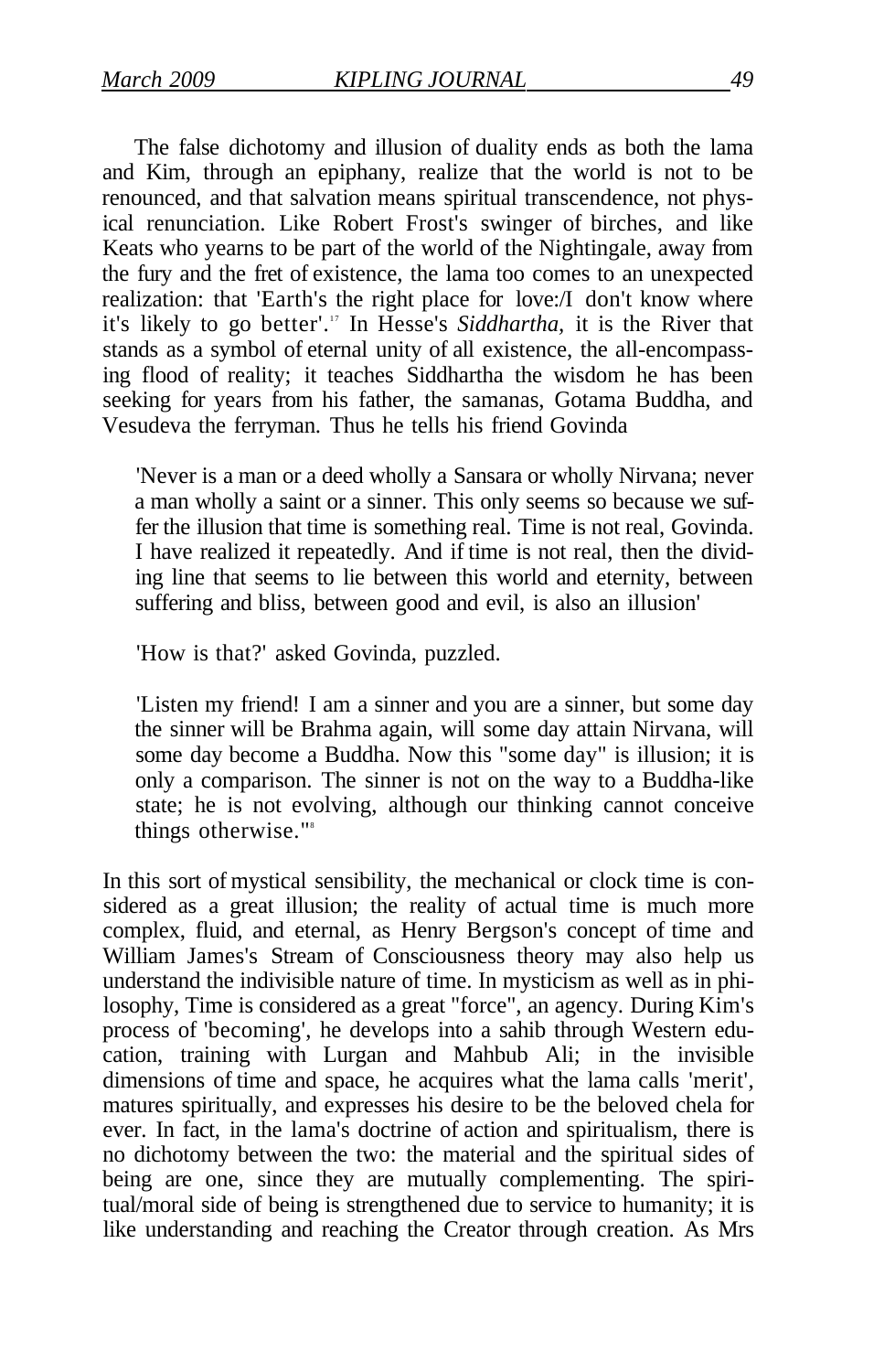The false dichotomy and illusion of duality ends as both the lama and Kim, through an epiphany, realize that the world is not to be renounced, and that salvation means spiritual transcendence, not physical renunciation. Like Robert Frost's swinger of birches, and like Keats who yearns to be part of the world of the Nightingale, away from the fury and the fret of existence, the lama too comes to an unexpected realization: that 'Earth's the right place for love:/I don't know where it's likely to go better'.<sup>17</sup> In Hesse's Siddhartha, it is the River that stands as a symbol of eternal unity of all existence, the all-encompassing flood of reality; it teaches Siddhartha the wisdom he has been seeking for years from his father, the samanas, Gotama Buddha, and Vesudeva the ferryman. Thus he tells his friend Govinda

'Never is a man or a deed wholly a Sansara or wholly Nirvana; never a man wholly a saint or a sinner. This only seems so because we suffer the illusion that time is something real. Time is not real, Govinda. I have realized it repeatedly. And if time is not real, then the dividing line that seems to lie between this world and eternity, between suffering and bliss, between good and evil, is also an illusion'

'How is that?' asked Govinda, puzzled.

'Listen my friend! I am a sinner and you are a sinner, but some day the sinner will be Brahma again, will some day attain Nirvana, will some day become a Buddha. Now this "some day" is illusion; it is only a comparison. The sinner is not on the way to a Buddha-like state; he is not evolving, although our thinking cannot conceive things otherwise."<sup>8</sup>

In this sort of mystical sensibility, the mechanical or clock time is considered as a great illusion; the reality of actual time is much more complex, fluid, and eternal, as Henry Bergson's concept of time and William James's Stream of Consciousness theory may also help us understand the indivisible nature of time. In mysticism as well as in philosophy, Time is considered as a great "force", an agency. During Kim's process of 'becoming', he develops into a sahib through Western education, training with Lurgan and Mahbub Ali; in the invisible dimensions of time and space, he acquires what the lama calls 'merit', matures spiritually, and expresses his desire to be the beloved chela for ever. In fact, in the lama's doctrine of action and spiritualism, there is no dichotomy between the two: the material and the spiritual sides of being are one, since they are mutually complementing. The spiritual/moral side of being is strengthened due to service to humanity; it is like understanding and reaching the Creator through creation. As Mrs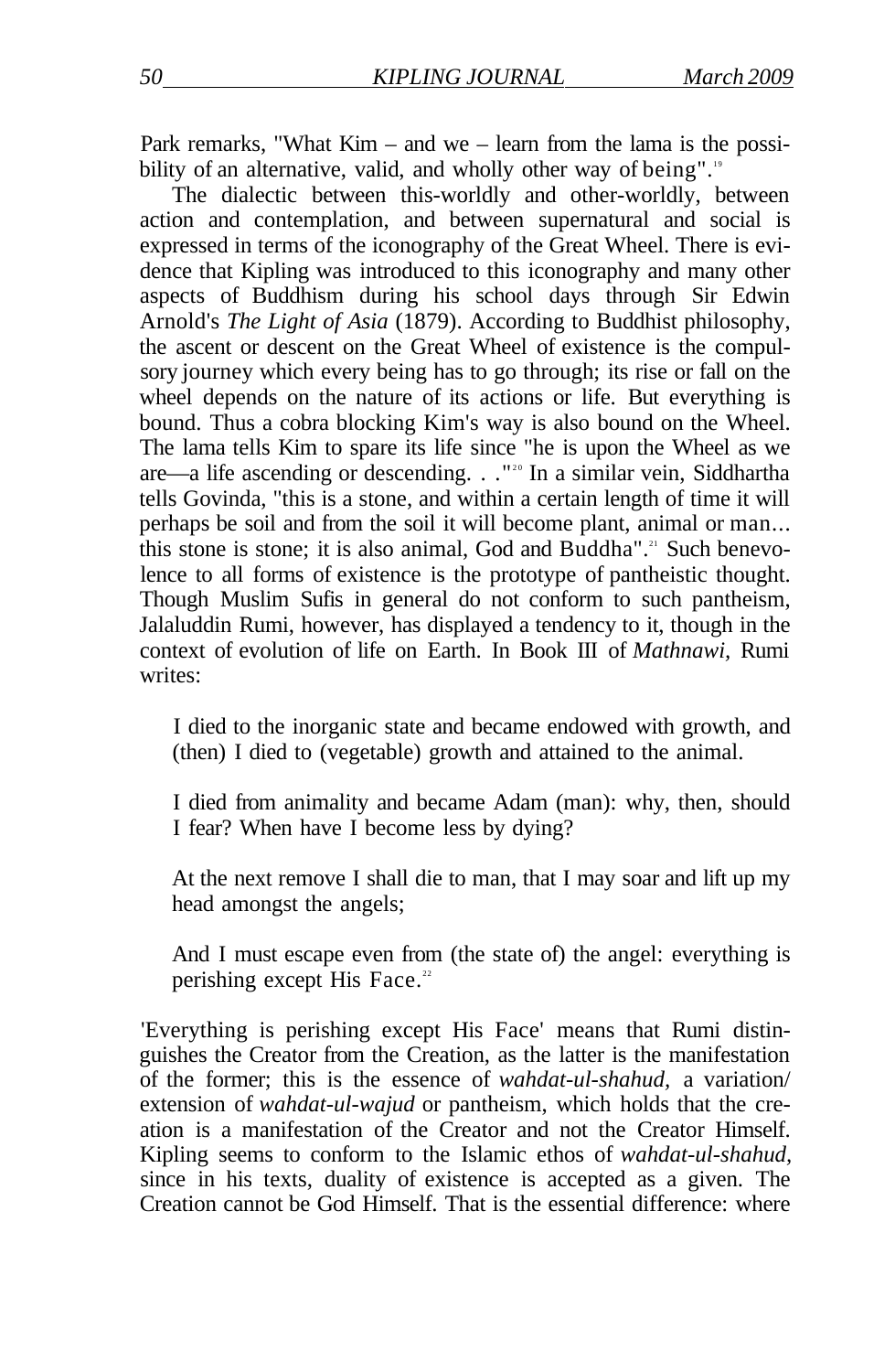Park remarks, "What Kim – and we – learn from the lama is the possibility of an alternative, valid, and wholly other way of being".<sup>19</sup>

The dialectic between this-worldly and other-worldly, between action and contemplation, and between supernatural and social is expressed in terms of the iconography of the Great Wheel. There is evidence that Kipling was introduced to this iconography and many other aspects of Buddhism during his school days through Sir Edwin Arnold's *The Light of Asia* (1879). According to Buddhist philosophy, the ascent or descent on the Great Wheel of existence is the compulsory journey which every being has to go through; its rise or fall on the wheel depends on the nature of its actions or life. But everything is bound. Thus a cobra blocking Kim's way is also bound on the Wheel. The lama tells Kim to spare its life since "he is upon the Wheel as we are—a life ascending or descending. . . "<sup>20</sup> In a similar vein, Siddhartha tells Govinda, "this is a stone, and within a certain length of time it will perhaps be soil and from the soil it will become plant, animal or man... this stone is stone; it is also animal, God and Buddha".<sup>21</sup> Such benevolence to all forms of existence is the prototype of pantheistic thought. Though Muslim Sufis in general do not conform to such pantheism, Jalaluddin Rumi, however, has displayed a tendency to it, though in the context of evolution of life on Earth. In Book III of *Mathnawi,* Rumi writes<sup>.</sup>

I died to the inorganic state and became endowed with growth, and (then) I died to (vegetable) growth and attained to the animal.

I died from animality and became Adam (man): why, then, should I fear? When have I become less by dying?

At the next remove I shall die to man, that I may soar and lift up my head amongst the angels;

And I must escape even from (the state of) the angel: everything is perishing except His Face.<sup>22</sup>

'Everything is perishing except His Face' means that Rumi distinguishes the Creator from the Creation, as the latter is the manifestation of the former; this is the essence of *wahdat-ul-shahud,* a variation/ extension of *wahdat-ul-wajud* or pantheism, which holds that the creation is a manifestation of the Creator and not the Creator Himself. Kipling seems to conform to the Islamic ethos of *wahdat-ul-shahud,*  since in his texts, duality of existence is accepted as a given. The Creation cannot be God Himself. That is the essential difference: where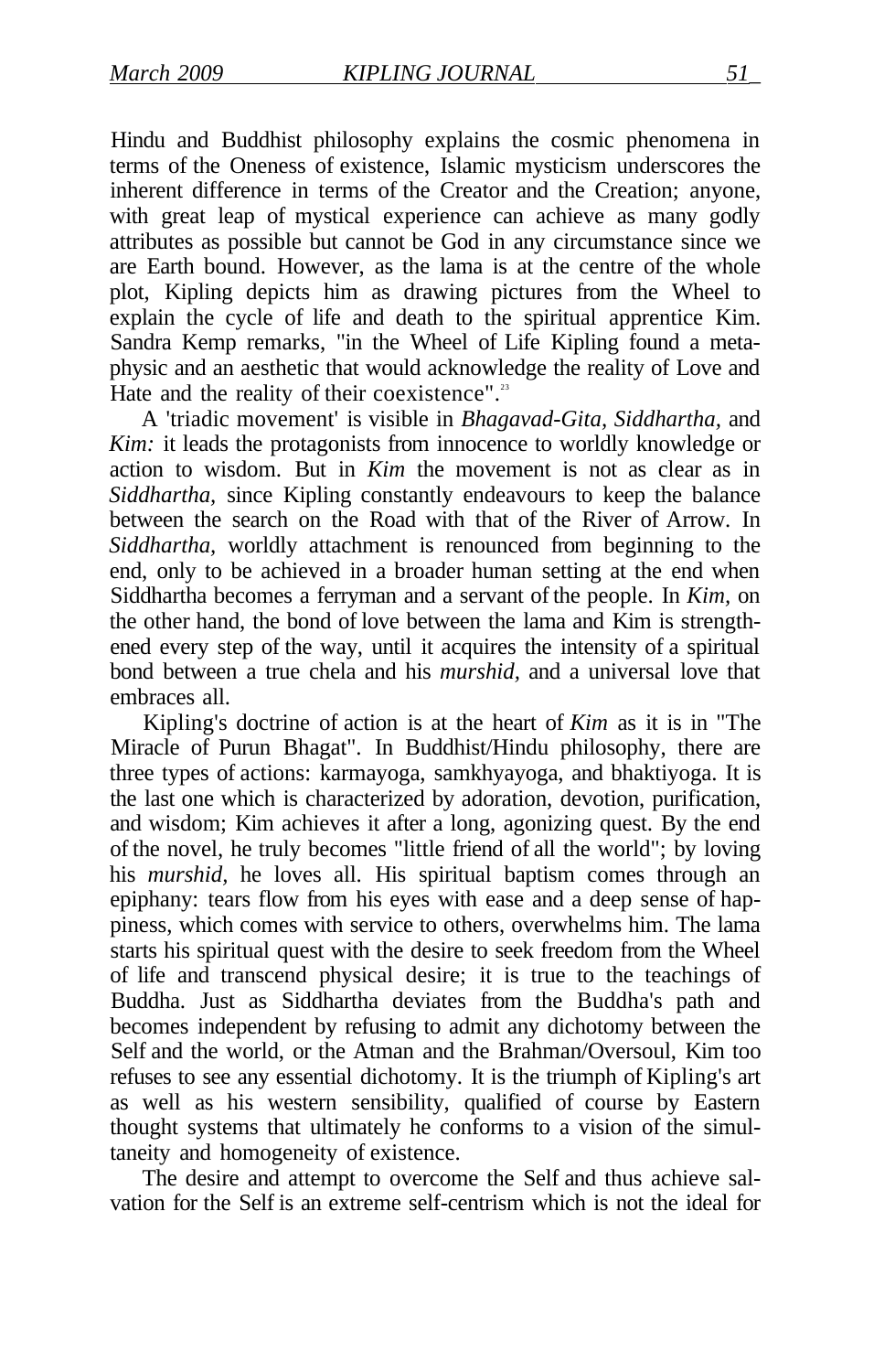Hindu and Buddhist philosophy explains the cosmic phenomena in terms of the Oneness of existence, Islamic mysticism underscores the inherent difference in terms of the Creator and the Creation; anyone, with great leap of mystical experience can achieve as many godly attributes as possible but cannot be God in any circumstance since we are Earth bound. However, as the lama is at the centre of the whole plot, Kipling depicts him as drawing pictures from the Wheel to explain the cycle of life and death to the spiritual apprentice Kim. Sandra Kemp remarks, "in the Wheel of Life Kipling found a metaphysic and an aesthetic that would acknowledge the reality of Love and Hate and the reality of their coexistence".<sup>23</sup>

A 'triadic movement' is visible in *Bhagavad-Gita, Siddhartha,* and *Kim*: it leads the protagonists from innocence to worldly knowledge or action to wisdom. But in *Kim* the movement is not as clear as in *Siddhartha,* since Kipling constantly endeavours to keep the balance between the search on the Road with that of the River of Arrow. In *Siddhartha,* worldly attachment is renounced from beginning to the end, only to be achieved in a broader human setting at the end when Siddhartha becomes a ferryman and a servant of the people. In *Kim,* on the other hand, the bond of love between the lama and Kim is strengthened every step of the way, until it acquires the intensity of a spiritual bond between a true chela and his *murshid,* and a universal love that embraces all.

Kipling's doctrine of action is at the heart of *Kim* as it is in "The Miracle of Purun Bhagat". In Buddhist/Hindu philosophy, there are three types of actions: karmayoga, samkhyayoga, and bhaktiyoga. It is the last one which is characterized by adoration, devotion, purification, and wisdom; Kim achieves it after a long, agonizing quest. By the end of the novel, he truly becomes "little friend of all the world"; by loving his *murshid,* he loves all. His spiritual baptism comes through an epiphany: tears flow from his eyes with ease and a deep sense of happiness, which comes with service to others, overwhelms him. The lama starts his spiritual quest with the desire to seek freedom from the Wheel of life and transcend physical desire; it is true to the teachings of Buddha. Just as Siddhartha deviates from the Buddha's path and becomes independent by refusing to admit any dichotomy between the Self and the world, or the Atman and the Brahman/Oversoul, Kim too refuses to see any essential dichotomy. It is the triumph of Kipling's art as well as his western sensibility, qualified of course by Eastern thought systems that ultimately he conforms to a vision of the simultaneity and homogeneity of existence.

The desire and attempt to overcome the Self and thus achieve salvation for the Self is an extreme self-centrism which is not the ideal for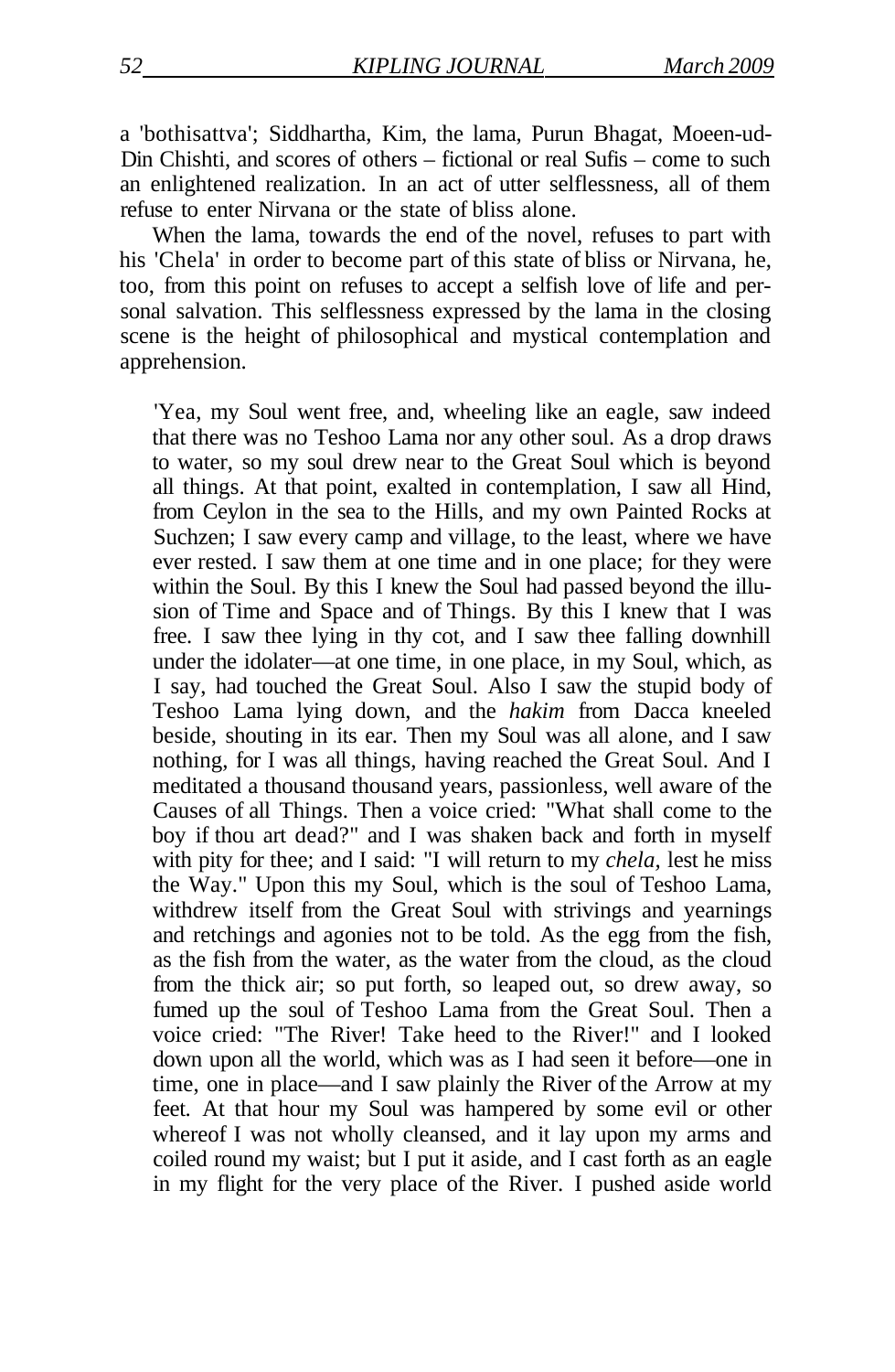a 'bothisattva'; Siddhartha, Kim, the lama, Purun Bhagat, Moeen-ud-Din Chishti, and scores of others – fictional or real Sufis – come to such an enlightened realization. In an act of utter selflessness, all of them refuse to enter Nirvana or the state of bliss alone.

When the lama, towards the end of the novel, refuses to part with his 'Chela' in order to become part of this state of bliss or Nirvana, he, too, from this point on refuses to accept a selfish love of life and personal salvation. This selflessness expressed by the lama in the closing scene is the height of philosophical and mystical contemplation and apprehension.

'Yea, my Soul went free, and, wheeling like an eagle, saw indeed that there was no Teshoo Lama nor any other soul. As a drop draws to water, so my soul drew near to the Great Soul which is beyond all things. At that point, exalted in contemplation, I saw all Hind, from Ceylon in the sea to the Hills, and my own Painted Rocks at Suchzen; I saw every camp and village, to the least, where we have ever rested. I saw them at one time and in one place; for they were within the Soul. By this I knew the Soul had passed beyond the illusion of Time and Space and of Things. By this I knew that I was free. I saw thee lying in thy cot, and I saw thee falling downhill under the idolater—at one time, in one place, in my Soul, which, as I say, had touched the Great Soul. Also I saw the stupid body of Teshoo Lama lying down, and the *hakim* from Dacca kneeled beside, shouting in its ear. Then my Soul was all alone, and I saw nothing, for I was all things, having reached the Great Soul. And I meditated a thousand thousand years, passionless, well aware of the Causes of all Things. Then a voice cried: "What shall come to the boy if thou art dead?" and I was shaken back and forth in myself with pity for thee; and I said: "I will return to my *chela,* lest he miss the Way." Upon this my Soul, which is the soul of Teshoo Lama, withdrew itself from the Great Soul with strivings and yearnings and retchings and agonies not to be told. As the egg from the fish, as the fish from the water, as the water from the cloud, as the cloud from the thick air; so put forth, so leaped out, so drew away, so fumed up the soul of Teshoo Lama from the Great Soul. Then a voice cried: "The River! Take heed to the River!" and I looked down upon all the world, which was as I had seen it before—one in time, one in place—and I saw plainly the River of the Arrow at my feet. At that hour my Soul was hampered by some evil or other whereof I was not wholly cleansed, and it lay upon my arms and coiled round my waist; but I put it aside, and I cast forth as an eagle in my flight for the very place of the River. I pushed aside world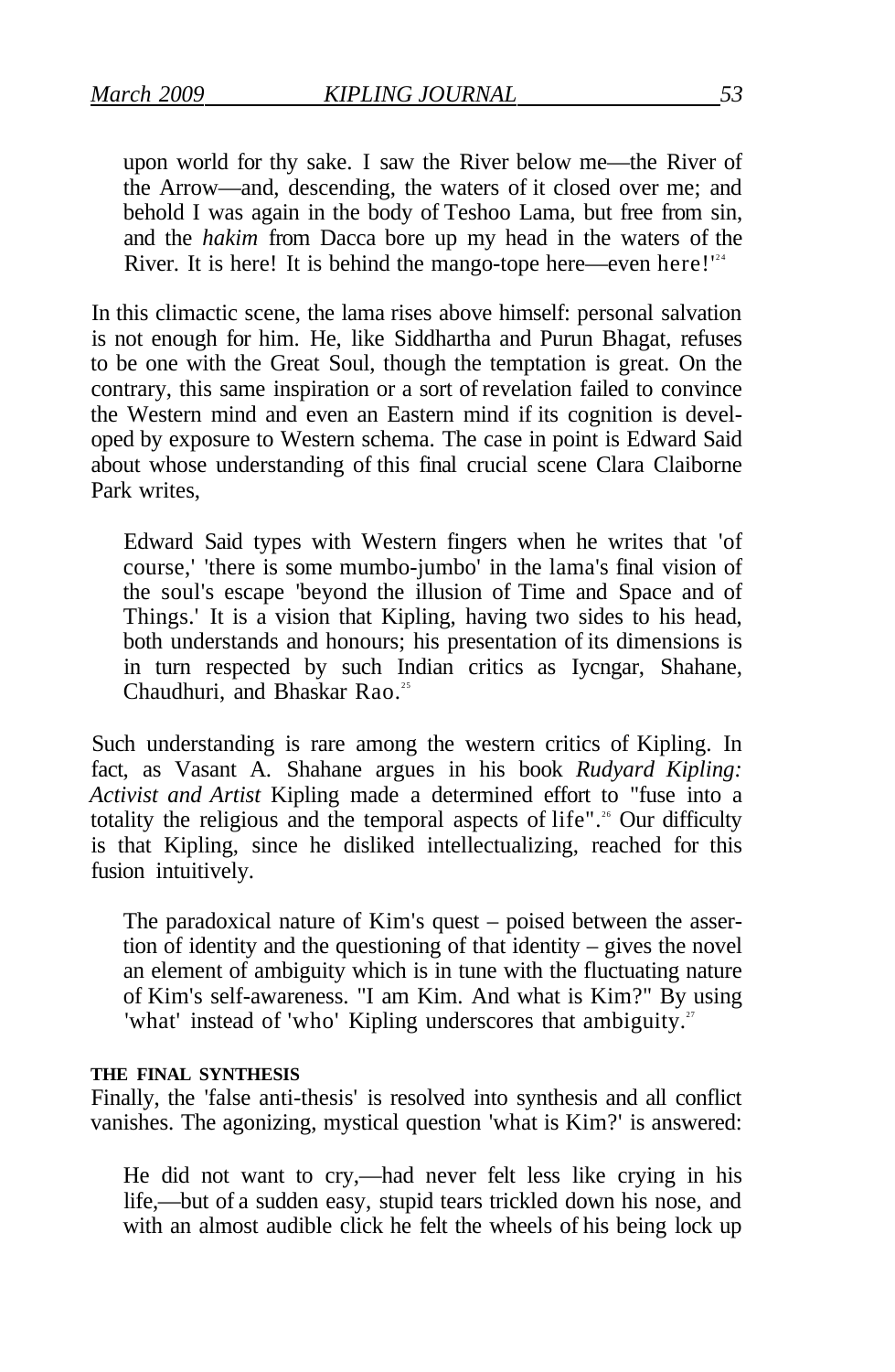upon world for thy sake. I saw the River below me—the River of the Arrow—and, descending, the waters of it closed over me; and behold I was again in the body of Teshoo Lama, but free from sin, and the *hakim* from Dacca bore up my head in the waters of the River. It is here! It is behind the mango-tope here—even here! $1^{24}$ 

In this climactic scene, the lama rises above himself: personal salvation is not enough for him. He, like Siddhartha and Purun Bhagat, refuses to be one with the Great Soul, though the temptation is great. On the contrary, this same inspiration or a sort of revelation failed to convince the Western mind and even an Eastern mind if its cognition is developed by exposure to Western schema. The case in point is Edward Said about whose understanding of this final crucial scene Clara Claiborne Park writes

Edward Said types with Western fingers when he writes that 'of course,' 'there is some mumbo-jumbo' in the lama's final vision of the soul's escape 'beyond the illusion of Time and Space and of Things.' It is a vision that Kipling, having two sides to his head, both understands and honours; his presentation of its dimensions is in turn respected by such Indian critics as Iycngar, Shahane, Chaudhuri, and Bhaskar Rao.<sup>25</sup>

Such understanding is rare among the western critics of Kipling. In fact, as Vasant A. Shahane argues in his book *Rudyard Kipling: Activist and Artist* Kipling made a determined effort to "fuse into a totality the religious and the temporal aspects of life".<sup>26</sup> Our difficulty is that Kipling, since he disliked intellectualizing, reached for this fusion intuitively.

The paradoxical nature of Kim's quest – poised between the assertion of identity and the questioning of that identity – gives the novel an element of ambiguity which is in tune with the fluctuating nature of Kim's self-awareness. "I am Kim. And what is Kim?" By using 'what' instead of 'who' Kipling underscores that ambiguity.<sup>27</sup>

#### **THE FINAL SYNTHESIS**

Finally, the 'false anti-thesis' is resolved into synthesis and all conflict vanishes. The agonizing, mystical question 'what is Kim?' is answered:

He did not want to cry,—had never felt less like crying in his life,—but of a sudden easy, stupid tears trickled down his nose, and with an almost audible click he felt the wheels of his being lock up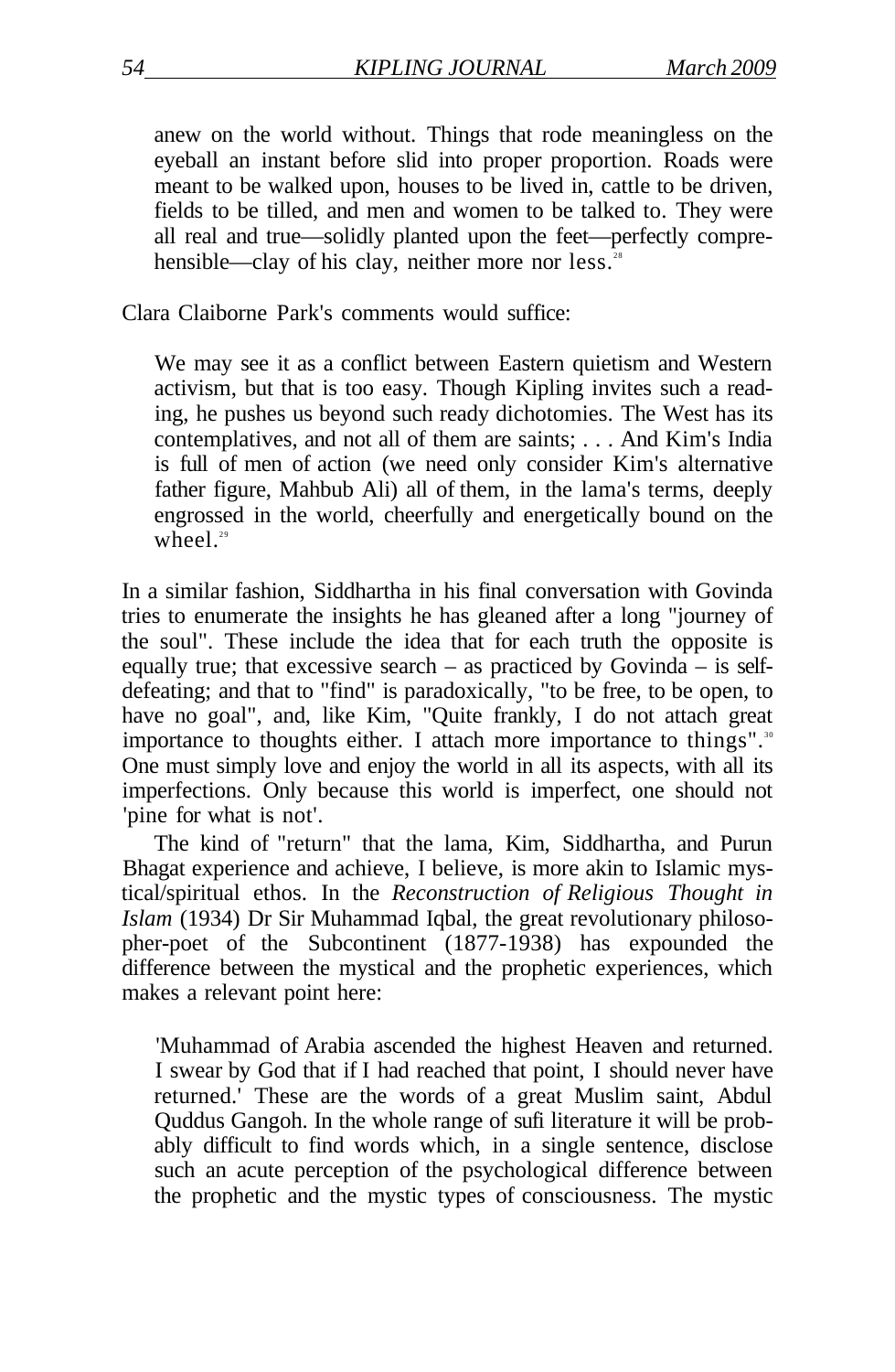anew on the world without. Things that rode meaningless on the eyeball an instant before slid into proper proportion. Roads were meant to be walked upon, houses to be lived in, cattle to be driven, fields to be tilled, and men and women to be talked to. They were all real and true—solidly planted upon the feet—perfectly comprehensible—clay of his clay, neither more nor less.<sup>28</sup>

Clara Claiborne Park's comments would suffice:

We may see it as a conflict between Eastern quietism and Western activism, but that is too easy. Though Kipling invites such a reading, he pushes us beyond such ready dichotomies. The West has its contemplatives, and not all of them are saints; . . . And Kim's India is full of men of action (we need only consider Kim's alternative father figure, Mahbub Ali) all of them, in the lama's terms, deeply engrossed in the world, cheerfully and energetically bound on the wheel $29$ 

In a similar fashion, Siddhartha in his final conversation with Govinda tries to enumerate the insights he has gleaned after a long "journey of the soul". These include the idea that for each truth the opposite is equally true; that excessive search – as practiced by Govinda – is selfdefeating; and that to "find" is paradoxically, "to be free, to be open, to have no goal", and, like Kim, "Quite frankly, I do not attach great importance to thoughts either. I attach more importance to things".<sup>30</sup> One must simply love and enjoy the world in all its aspects, with all its imperfections. Only because this world is imperfect, one should not 'pine for what is not'.

The kind of "return" that the lama, Kim, Siddhartha, and Purun Bhagat experience and achieve, I believe, is more akin to Islamic mystical/spiritual ethos. In the *Reconstruction of Religious Thought in Islam* (1934) Dr Sir Muhammad Iqbal, the great revolutionary philosopher-poet of the Subcontinent (1877-1938) has expounded the difference between the mystical and the prophetic experiences, which makes a relevant point here:

'Muhammad of Arabia ascended the highest Heaven and returned. I swear by God that if I had reached that point, I should never have returned.' These are the words of a great Muslim saint, Abdul Quddus Gangoh. In the whole range of sufi literature it will be probably difficult to find words which, in a single sentence, disclose such an acute perception of the psychological difference between the prophetic and the mystic types of consciousness. The mystic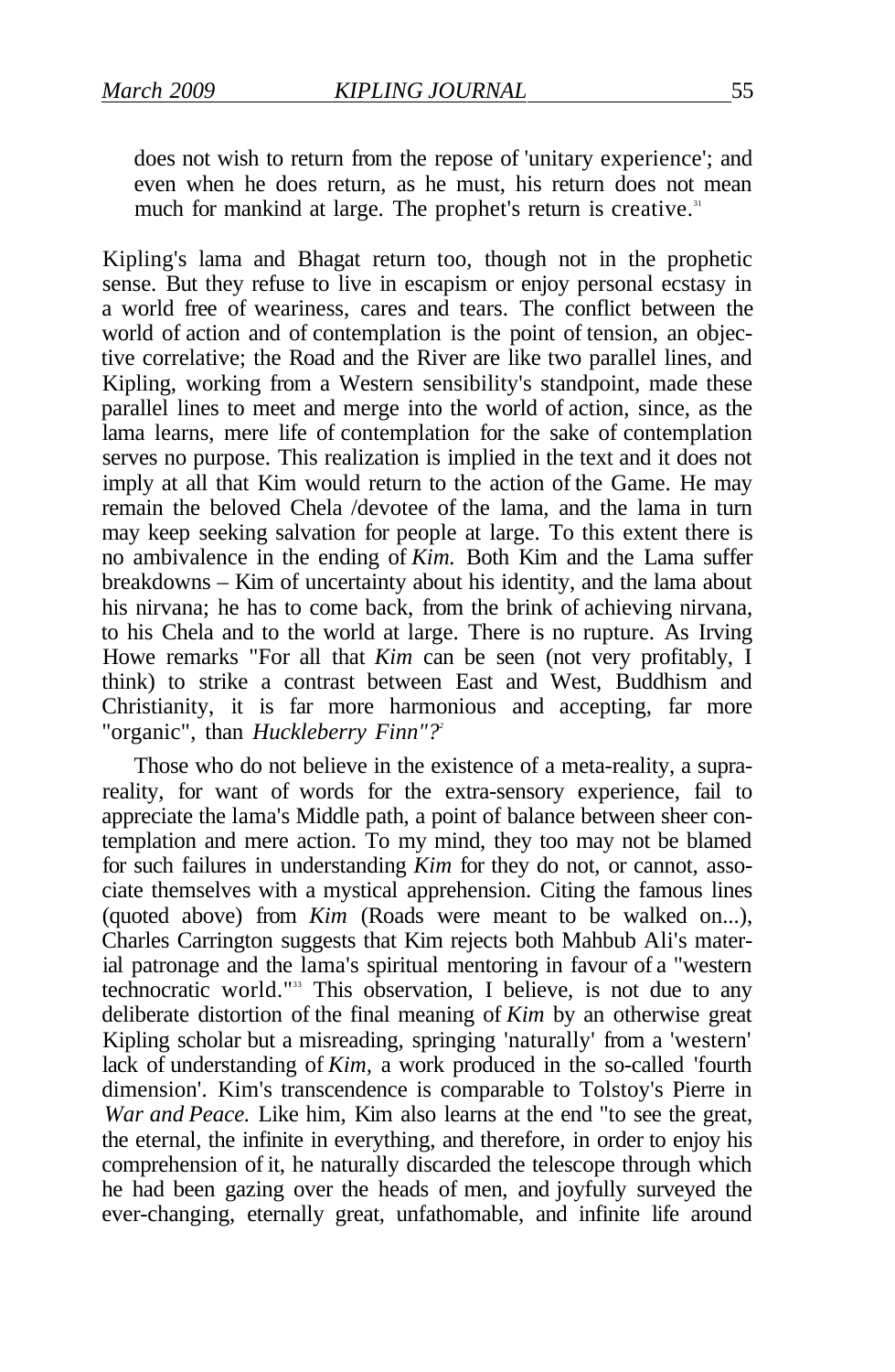much for mankind at large. The prophet's return is creative.<sup>31</sup>

does not wish to return from the repose of 'unitary experience'; and even when he does return, as he must, his return does not mean

Kipling's lama and Bhagat return too, though not in the prophetic sense. But they refuse to live in escapism or enjoy personal ecstasy in a world free of weariness, cares and tears. The conflict between the world of action and of contemplation is the point of tension, an objective correlative; the Road and the River are like two parallel lines, and Kipling, working from a Western sensibility's standpoint, made these parallel lines to meet and merge into the world of action, since, as the lama learns, mere life of contemplation for the sake of contemplation serves no purpose. This realization is implied in the text and it does not imply at all that Kim would return to the action of the Game. He may remain the beloved Chela /devotee of the lama, and the lama in turn may keep seeking salvation for people at large. To this extent there is no ambivalence in the ending of *Kim.* Both Kim and the Lama suffer breakdowns – Kim of uncertainty about his identity, and the lama about his nirvana; he has to come back, from the brink of achieving nirvana, to his Chela and to the world at large. There is no rupture. As Irving Howe remarks "For all that *Kim* can be seen (not very profitably, I think) to strike a contrast between East and West, Buddhism and Christianity, it is far more harmonious and accepting, far more "organic", than *Huckleberry Finn"?<sup>2</sup>*

Those who do not believe in the existence of a meta-reality, a suprareality, for want of words for the extra-sensory experience, fail to appreciate the lama's Middle path, a point of balance between sheer contemplation and mere action. To my mind, they too may not be blamed for such failures in understanding *Kim* for they do not, or cannot, associate themselves with a mystical apprehension. Citing the famous lines (quoted above) from *Kim* (Roads were meant to be walked on...), Charles Carrington suggests that Kim rejects both Mahbub Ali's material patronage and the lama's spiritual mentoring in favour of a "western technocratic world."<sup>33</sup> This observation, I believe, is not due to any deliberate distortion of the final meaning of *Kim* by an otherwise great Kipling scholar but a misreading, springing 'naturally' from a 'western' lack of understanding of *Kim,* a work produced in the so-called 'fourth dimension'. Kim's transcendence is comparable to Tolstoy's Pierre in *War and Peace.* Like him, Kim also learns at the end "to see the great, the eternal, the infinite in everything, and therefore, in order to enjoy his comprehension of it, he naturally discarded the telescope through which he had been gazing over the heads of men, and joyfully surveyed the ever-changing, eternally great, unfathomable, and infinite life around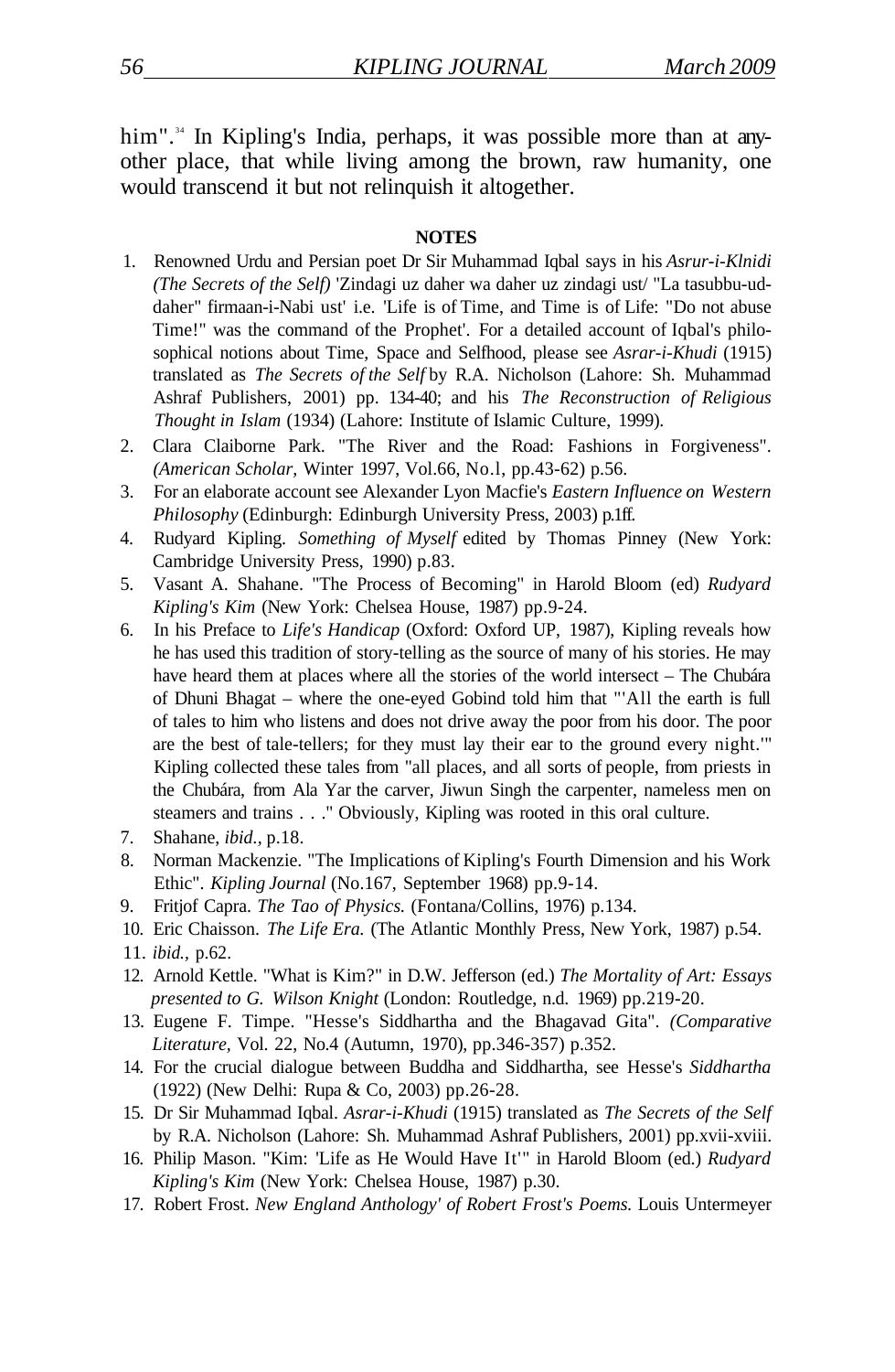him".<sup>34</sup> In Kipling's India, perhaps, it was possible more than at anyother place, that while living among the brown, raw humanity, one would transcend it but not relinquish it altogether.

#### **NOTES**

- 1. Renowned Urdu and Persian poet Dr Sir Muhammad Iqbal says in his *Asrur-i-Klnidi (The Secrets of the Self)* 'Zindagi uz daher wa daher uz zindagi ust/ "La tasubbu-uddaher" firmaan-i-Nabi ust' i.e. 'Life is of Time, and Time is of Life: "Do not abuse Time!" was the command of the Prophet'. For a detailed account of Iqbal's philosophical notions about Time, Space and Selfhood, please see *Asrar-i-Khudi* (1915) translated as *The Secrets of the Self* by R.A. Nicholson (Lahore: Sh. Muhammad Ashraf Publishers, 2001) pp. 134-40; and his *The Reconstruction of Religious Thought in Islam* (1934) (Lahore: Institute of Islamic Culture, 1999).
- 2. Clara Claiborne Park. "The River and the Road: Fashions in Forgiveness". *(American Scholar,* Winter 1997, Vol.66, No.l, pp.43-62) p.56.
- 3. For an elaborate account see Alexander Lyon Macfie's *Eastern Influence on Western Philosophy* (Edinburgh: Edinburgh University Press, 2003) p.1ff.
- 4. Rudyard Kipling. *Something of Myself* edited by Thomas Pinney (New York: Cambridge University Press, 1990) p.83.
- 5. Vasant A. Shahane. "The Process of Becoming" in Harold Bloom (ed) *Rudyard Kipling's Kim* (New York: Chelsea House, 1987) pp.9-24.
- 6. In his Preface to *Life's Handicap* (Oxford: Oxford UP, 1987), Kipling reveals how he has used this tradition of story-telling as the source of many of his stories. He may have heard them at places where all the stories of the world intersect – The Chubára of Dhuni Bhagat – where the one-eyed Gobind told him that "'All the earth is full of tales to him who listens and does not drive away the poor from his door. The poor are the best of tale-tellers; for they must lay their ear to the ground every night.'" Kipling collected these tales from "all places, and all sorts of people, from priests in the Chubára, from Ala Yar the carver, Jiwun Singh the carpenter, nameless men on steamers and trains . . ." Obviously, Kipling was rooted in this oral culture.
- 7. Shahane, *ibid.,* p.18.
- 8. Norman Mackenzie. "The Implications of Kipling's Fourth Dimension and his Work Ethic". *Kipling Journal* (No.167, September 1968) pp.9-14.
- 9. Fritjof Capra. *The Tao of Physics.* (Fontana/Collins, 1976) p.134.
- 10. Eric Chaisson. *The Life Era.* (The Atlantic Monthly Press, New York, 1987) p.54.
- 11. *ibid.,* p.62.
- 12. Arnold Kettle. "What is Kim?" in D.W. Jefferson (ed.) *The Mortality of Art: Essays presented to G. Wilson Knight* (London: Routledge, n.d. 1969) pp.219-20.
- 13. Eugene F. Timpe. "Hesse's Siddhartha and the Bhagavad Gita". *(Comparative Literature,* Vol. 22, No.4 (Autumn, 1970), pp.346-357) p.352.
- 14. For the crucial dialogue between Buddha and Siddhartha, see Hesse's *Siddhartha*  (1922) (New Delhi: Rupa & Co, 2003) pp.26-28.
- 15. Dr Sir Muhammad Iqbal. *Asrar-i-Khudi* (1915) translated as *The Secrets of the Self*  by R.A. Nicholson (Lahore: Sh. Muhammad Ashraf Publishers, 2001) pp.xvii-xviii.
- 16. Philip Mason. "Kim: 'Life as He Would Have It'" in Harold Bloom (ed.) *Rudyard Kipling's Kim* (New York: Chelsea House, 1987) p.30.
- 17. Robert Frost. *New England Anthology' of Robert Frost's Poems.* Louis Untermeyer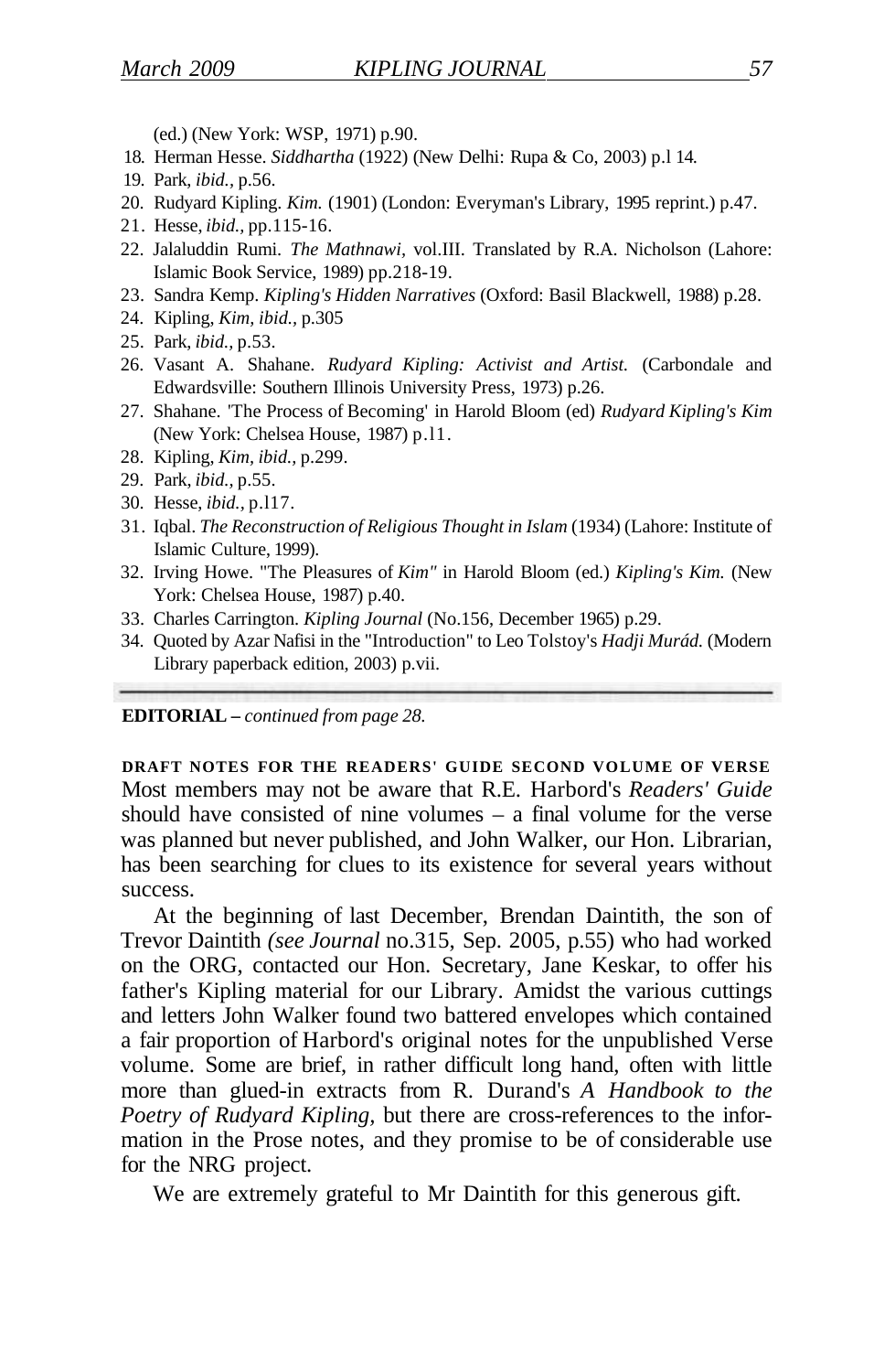(ed.) (New York: WSP, 1971) p.90.

- 18. Herman Hesse. *Siddhartha* (1922) (New Delhi: Rupa & Co, 2003) p.l 14.
- 19. Park, *ibid.,* p.56.
- 20. Rudyard Kipling. *Kim.* (1901) (London: Everyman's Library, 1995 reprint.) p.47.
- 21. Hesse, *ibid.,* pp.115-16.
- 22. Jalaluddin Rumi. *The Mathnawi,* vol.III. Translated by R.A. Nicholson (Lahore: Islamic Book Service, 1989) pp.218-19.
- 23. Sandra Kemp. *Kipling's Hidden Narratives* (Oxford: Basil Blackwell, 1988) p.28.
- 24. Kipling, *Kim, ibid.,* p.305
- 25. Park, *ibid.,* p.53.
- 26. Vasant A. Shahane. *Rudyard Kipling: Activist and Artist.* (Carbondale and Edwardsville: Southern Illinois University Press, 1973) p.26.
- 27. Shahane. 'The Process of Becoming' in Harold Bloom (ed) *Rudyard Kipling's Kim*  (New York: Chelsea House, 1987) p.l1.
- 28. Kipling, *Kim, ibid.,* p.299.
- 29. Park, *ibid.,* p.55.
- 30. Hesse, *ibid.,* p.l17.
- 31. Iqbal. *The Reconstruction of Religious Thought in Islam* (1934) (Lahore: Institute of Islamic Culture, 1999).
- 32. Irving Howe. "The Pleasures of *Kim"* in Harold Bloom (ed.) *Kipling's Kim.* (New York: Chelsea House, 1987) p.40.
- 33. Charles Carrington. *Kipling Journal* (No.156, December 1965) p.29.
- 34. Quoted by Azar Nafisi in the "Introduction" to Leo Tolstoy's *Hadji Murád.* (Modern Library paperback edition, 2003) p.vii.

#### **EDITORIAL –** *continued from page 28.*

**DRAFT NOTES FOR THE READERS' GUIDE SECOND VOLUME OF VERSE**  Most members may not be aware that R.E. Harbord's *Readers' Guide*  should have consisted of nine volumes – a final volume for the verse was planned but never published, and John Walker, our Hon. Librarian, has been searching for clues to its existence for several years without success.

At the beginning of last December, Brendan Daintith, the son of Trevor Daintith *(see Journal* no.315, Sep. 2005, p.55) who had worked on the ORG, contacted our Hon. Secretary, Jane Keskar, to offer his father's Kipling material for our Library. Amidst the various cuttings and letters John Walker found two battered envelopes which contained a fair proportion of Harbord's original notes for the unpublished Verse volume. Some are brief, in rather difficult long hand, often with little more than glued-in extracts from R. Durand's *A Handbook to the Poetry of Rudyard Kipling,* but there are cross-references to the information in the Prose notes, and they promise to be of considerable use for the NRG project.

We are extremely grateful to Mr Daintith for this generous gift.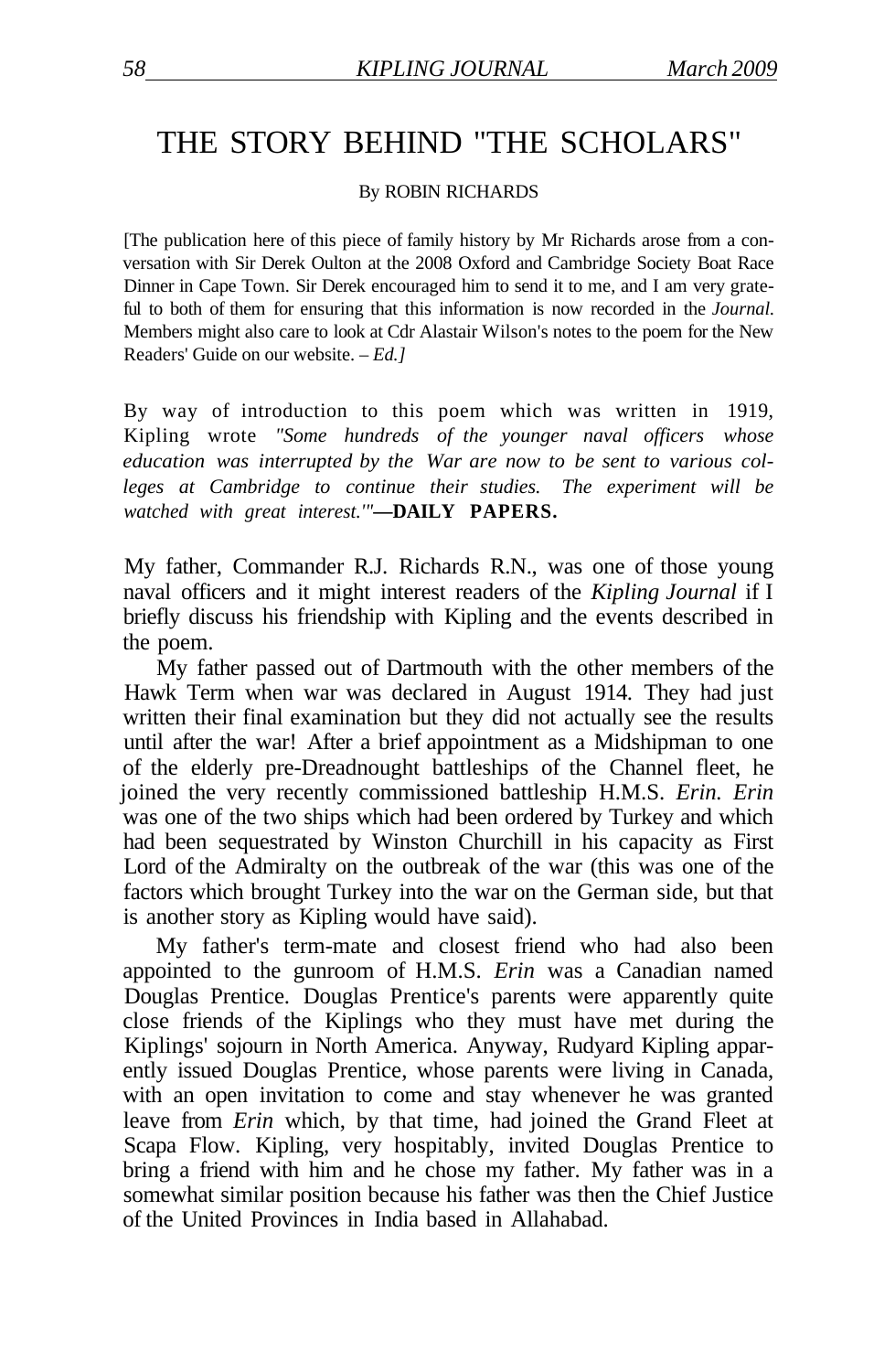## THE STORY BEHIND "THE SCHOLARS"

By ROBIN RICHARDS

[The publication here of this piece of family history by Mr Richards arose from a conversation with Sir Derek Oulton at the 2008 Oxford and Cambridge Society Boat Race Dinner in Cape Town. Sir Derek encouraged him to send it to me, and I am very grateful to both of them for ensuring that this information is now recorded in the *Journal.*  Members might also care to look at Cdr Alastair Wilson's notes to the poem for the New Readers' Guide on our website. – *Ed.]* 

By way of introduction to this poem which was written in 1919, Kipling wrote *"Some hundreds of the younger naval officers whose education was interrupted by the War are now to be sent to various colleges at Cambridge to continue their studies. The experiment will be watched with great interest.'"***—DAILY PAPERS.** 

My father, Commander R.J. Richards R.N., was one of those young naval officers and it might interest readers of the *Kipling Journal* if I briefly discuss his friendship with Kipling and the events described in the poem.

My father passed out of Dartmouth with the other members of the Hawk Term when war was declared in August 1914. They had just written their final examination but they did not actually see the results until after the war! After a brief appointment as a Midshipman to one of the elderly pre-Dreadnought battleships of the Channel fleet, he joined the very recently commissioned battleship H.M.S. *Erin. Erin*  was one of the two ships which had been ordered by Turkey and which had been sequestrated by Winston Churchill in his capacity as First Lord of the Admiralty on the outbreak of the war (this was one of the factors which brought Turkey into the war on the German side, but that is another story as Kipling would have said).

My father's term-mate and closest friend who had also been appointed to the gunroom of H.M.S. *Erin* was a Canadian named Douglas Prentice. Douglas Prentice's parents were apparently quite close friends of the Kiplings who they must have met during the Kiplings' sojourn in North America. Anyway, Rudyard Kipling apparently issued Douglas Prentice, whose parents were living in Canada, with an open invitation to come and stay whenever he was granted leave from *Erin* which, by that time, had joined the Grand Fleet at Scapa Flow. Kipling, very hospitably, invited Douglas Prentice to bring a friend with him and he chose my father. My father was in a somewhat similar position because his father was then the Chief Justice of the United Provinces in India based in Allahabad.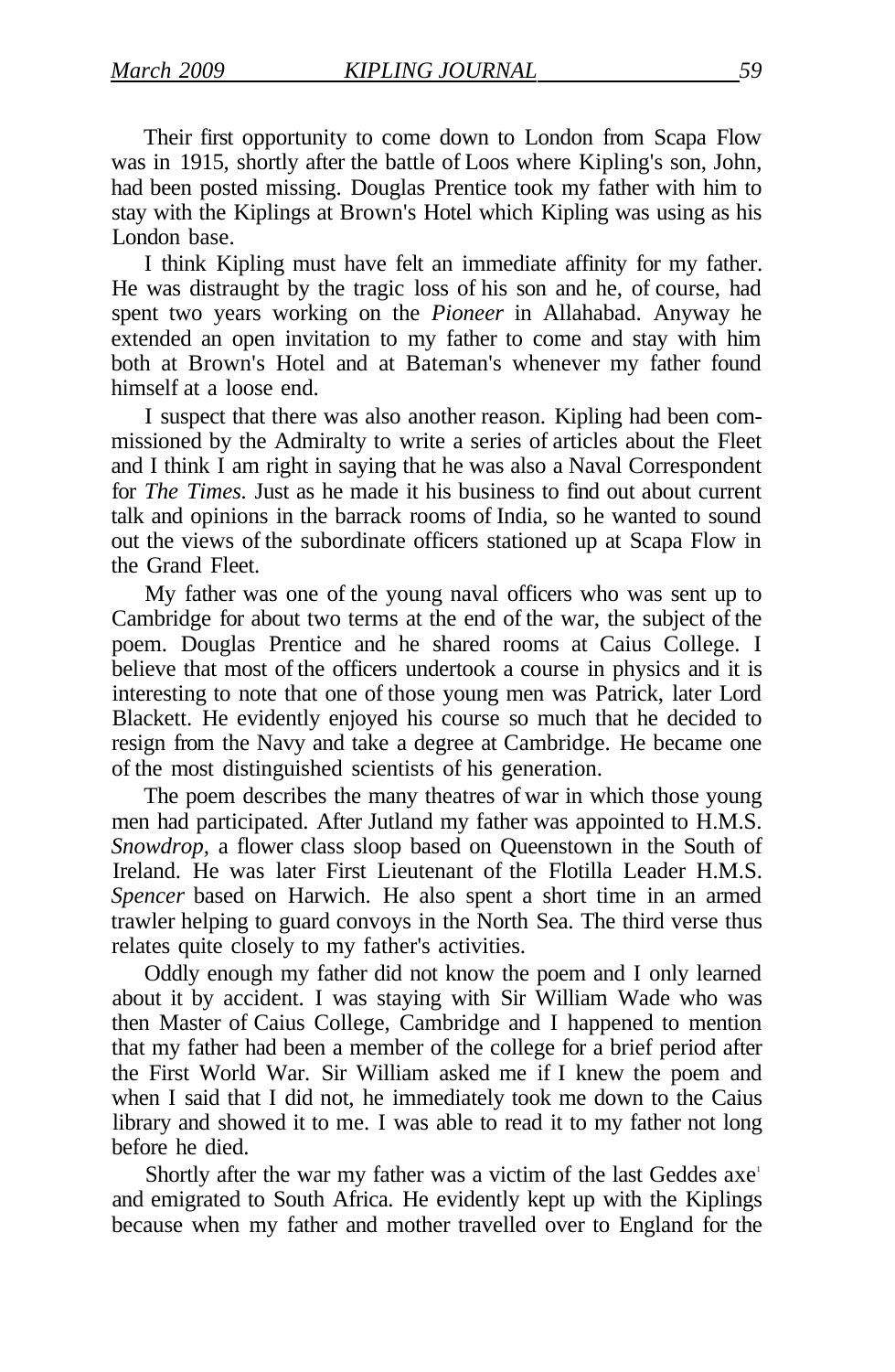Their first opportunity to come down to London from Scapa Flow was in 1915, shortly after the battle of Loos where Kipling's son, John, had been posted missing. Douglas Prentice took my father with him to stay with the Kiplings at Brown's Hotel which Kipling was using as his London base.

I think Kipling must have felt an immediate affinity for my father. He was distraught by the tragic loss of his son and he, of course, had spent two years working on the *Pioneer* in Allahabad. Anyway he extended an open invitation to my father to come and stay with him both at Brown's Hotel and at Bateman's whenever my father found himself at a loose end.

I suspect that there was also another reason. Kipling had been commissioned by the Admiralty to write a series of articles about the Fleet and I think I am right in saying that he was also a Naval Correspondent for *The Times.* Just as he made it his business to find out about current talk and opinions in the barrack rooms of India, so he wanted to sound out the views of the subordinate officers stationed up at Scapa Flow in the Grand Fleet.

My father was one of the young naval officers who was sent up to Cambridge for about two terms at the end of the war, the subject of the poem. Douglas Prentice and he shared rooms at Caius College. I believe that most of the officers undertook a course in physics and it is interesting to note that one of those young men was Patrick, later Lord Blackett. He evidently enjoyed his course so much that he decided to resign from the Navy and take a degree at Cambridge. He became one of the most distinguished scientists of his generation.

The poem describes the many theatres of war in which those young men had participated. After Jutland my father was appointed to H.M.S. *Snowdrop,* a flower class sloop based on Queenstown in the South of Ireland. He was later First Lieutenant of the Flotilla Leader H.M.S. *Spencer* based on Harwich. He also spent a short time in an armed trawler helping to guard convoys in the North Sea. The third verse thus relates quite closely to my father's activities.

Oddly enough my father did not know the poem and I only learned about it by accident. I was staying with Sir William Wade who was then Master of Caius College, Cambridge and I happened to mention that my father had been a member of the college for a brief period after the First World War. Sir William asked me if I knew the poem and when I said that I did not, he immediately took me down to the Caius library and showed it to me. I was able to read it to my father not long before he died.

Shortly after the war my father was a victim of the last Geddes axe<sup>1</sup> and emigrated to South Africa. He evidently kept up with the Kiplings because when my father and mother travelled over to England for the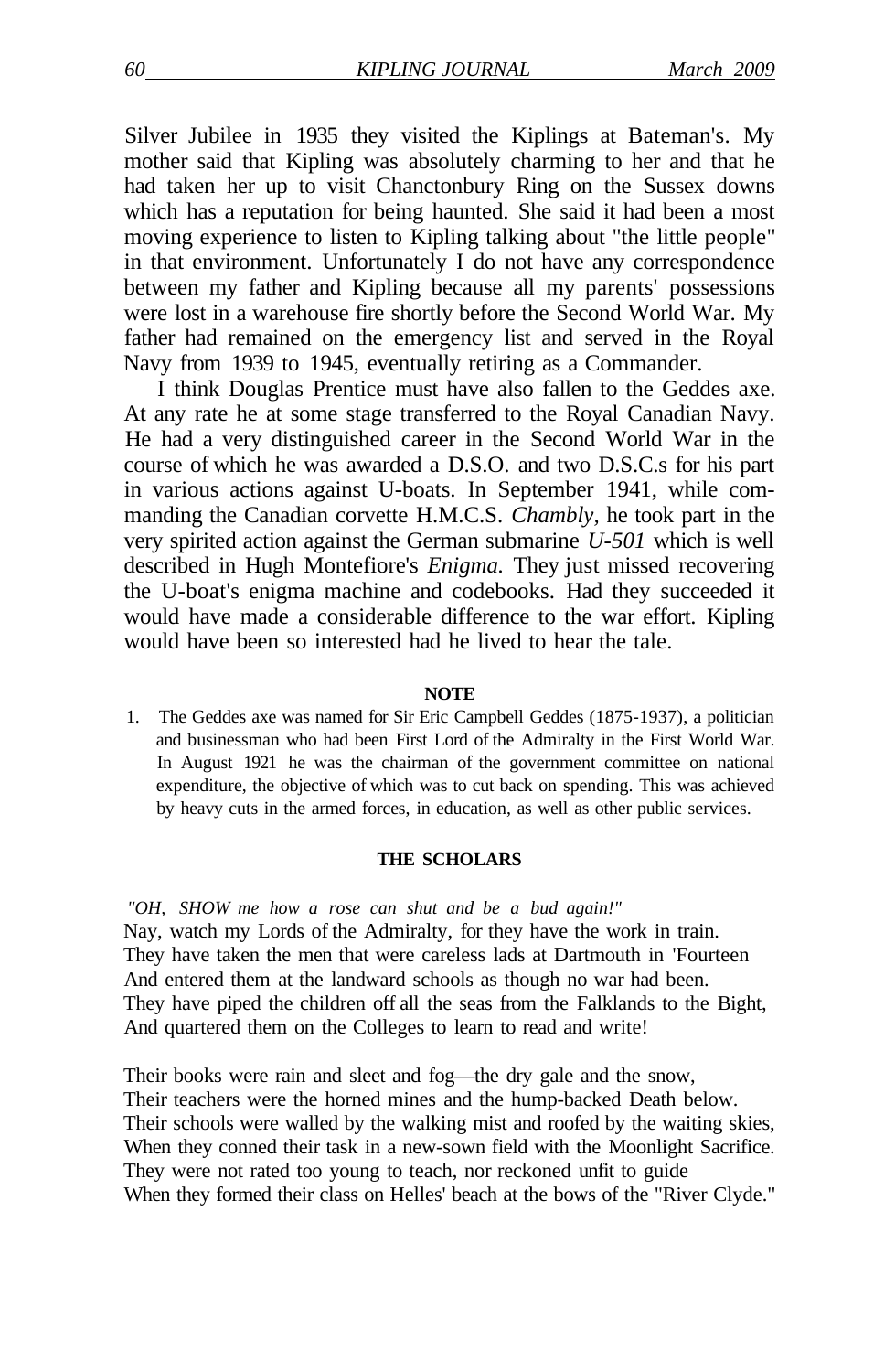Silver Jubilee in 1935 they visited the Kiplings at Bateman's. My mother said that Kipling was absolutely charming to her and that he had taken her up to visit Chanctonbury Ring on the Sussex downs which has a reputation for being haunted. She said it had been a most moving experience to listen to Kipling talking about "the little people" in that environment. Unfortunately I do not have any correspondence between my father and Kipling because all my parents' possessions were lost in a warehouse fire shortly before the Second World War. My father had remained on the emergency list and served in the Royal Navy from 1939 to 1945, eventually retiring as a Commander.

I think Douglas Prentice must have also fallen to the Geddes axe. At any rate he at some stage transferred to the Royal Canadian Navy. He had a very distinguished career in the Second World War in the course of which he was awarded a D.S.O. and two D.S.C.s for his part in various actions against U-boats. In September 1941, while commanding the Canadian corvette H.M.C.S. *Chambly,* he took part in the very spirited action against the German submarine *U-501* which is well described in Hugh Montefiore's *Enigma.* They just missed recovering the U-boat's enigma machine and codebooks. Had they succeeded it would have made a considerable difference to the war effort. Kipling would have been so interested had he lived to hear the tale.

#### **NOTE**

1. The Geddes axe was named for Sir Eric Campbell Geddes (1875-1937), a politician and businessman who had been First Lord of the Admiralty in the First World War. In August 1921 he was the chairman of the government committee on national expenditure, the objective of which was to cut back on spending. This was achieved by heavy cuts in the armed forces, in education, as well as other public services.

#### **THE SCHOLARS**

*"OH, SHOW me how a rose can shut and be a bud again!"*  Nay, watch my Lords of the Admiralty, for they have the work in train. They have taken the men that were careless lads at Dartmouth in 'Fourteen And entered them at the landward schools as though no war had been. They have piped the children off all the seas from the Falklands to the Bight, And quartered them on the Colleges to learn to read and write!

Their books were rain and sleet and fog—the dry gale and the snow, Their teachers were the horned mines and the hump-backed Death below. Their schools were walled by the walking mist and roofed by the waiting skies, When they conned their task in a new-sown field with the Moonlight Sacrifice. They were not rated too young to teach, nor reckoned unfit to guide When they formed their class on Helles' beach at the bows of the "River Clyde."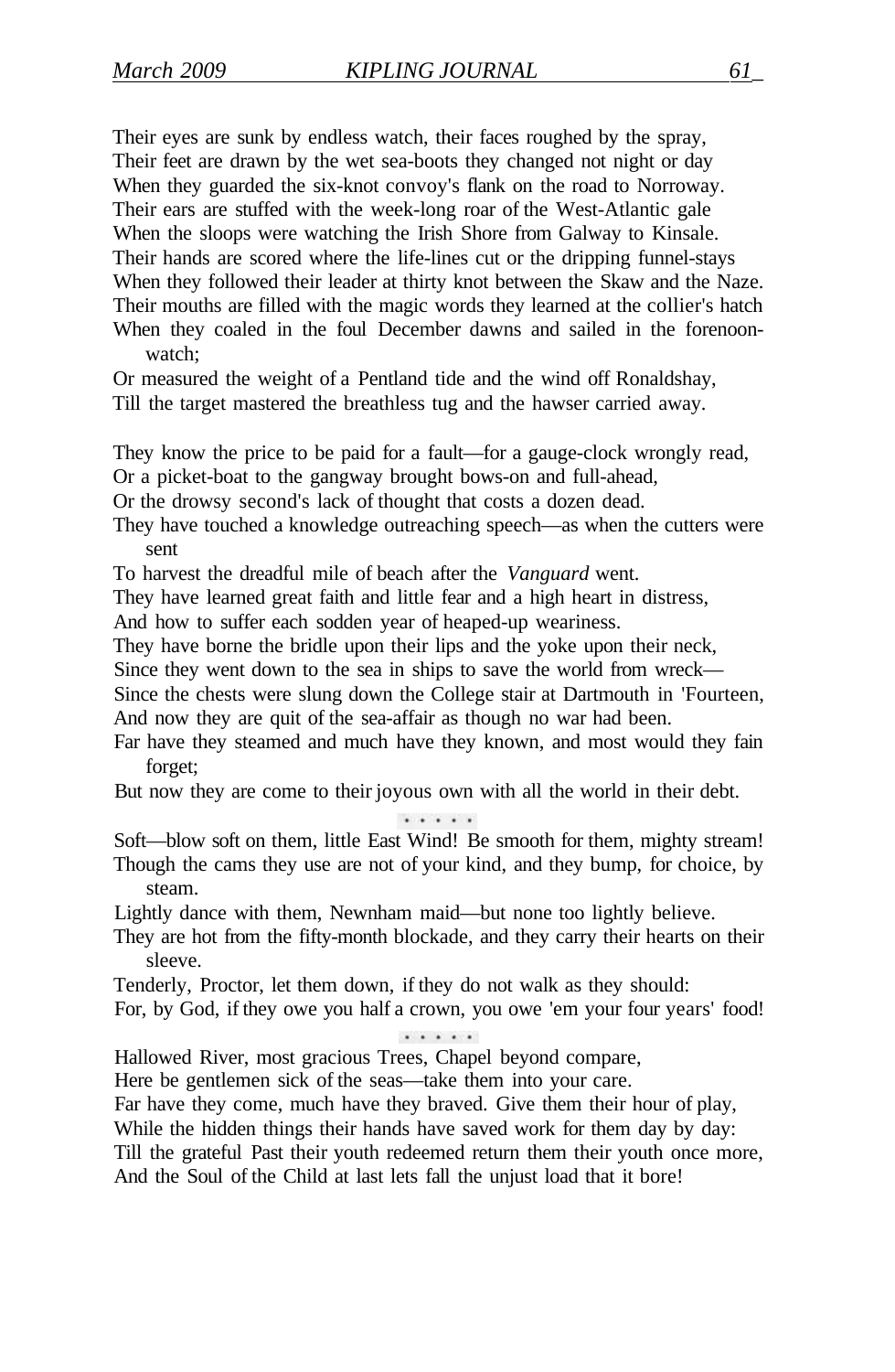Their eyes are sunk by endless watch, their faces roughed by the spray, Their feet are drawn by the wet sea-boots they changed not night or day When they guarded the six-knot convoy's flank on the road to Norroway. Their ears are stuffed with the week-long roar of the West-Atlantic gale When the sloops were watching the Irish Shore from Galway to Kinsale. Their hands are scored where the life-lines cut or the dripping funnel-stays When they followed their leader at thirty knot between the Skaw and the Naze. Their mouths are filled with the magic words they learned at the collier's hatch When they coaled in the foul December dawns and sailed in the forenoonwatch;

Or measured the weight of a Pentland tide and the wind off Ronaldshay, Till the target mastered the breathless tug and the hawser carried away.

They know the price to be paid for a fault—for a gauge-clock wrongly read, Or a picket-boat to the gangway brought bows-on and full-ahead,

Or the drowsy second's lack of thought that costs a dozen dead.

They have touched a knowledge outreaching speech—as when the cutters were sent

To harvest the dreadful mile of beach after the *Vanguard* went.

They have learned great faith and little fear and a high heart in distress,

And how to suffer each sodden year of heaped-up weariness.

They have borne the bridle upon their lips and the yoke upon their neck,

Since they went down to the sea in ships to save the world from wreck—

Since the chests were slung down the College stair at Dartmouth in 'Fourteen, And now they are quit of the sea-affair as though no war had been.

Far have they steamed and much have they known, and most would they fain forget;

But now they are come to their joyous own with all the world in their debt.

. . . . .

Soft—blow soft on them, little East Wind! Be smooth for them, mighty stream! Though the cams they use are not of your kind, and they bump, for choice, by steam.

Lightly dance with them, Newnham maid—but none too lightly believe.

They are hot from the fifty-month blockade, and they carry their hearts on their sleeve.

Tenderly, Proctor, let them down, if they do not walk as they should:

For, by God, if they owe you half a crown, you owe 'em your four years' food!

 $\cdots$ 

Hallowed River, most gracious Trees, Chapel beyond compare,

Here be gentlemen sick of the seas—take them into your care.

Far have they come, much have they braved. Give them their hour of play,

While the hidden things their hands have saved work for them day by day:

Till the grateful Past their youth redeemed return them their youth once more,

And the Soul of the Child at last lets fall the unjust load that it bore!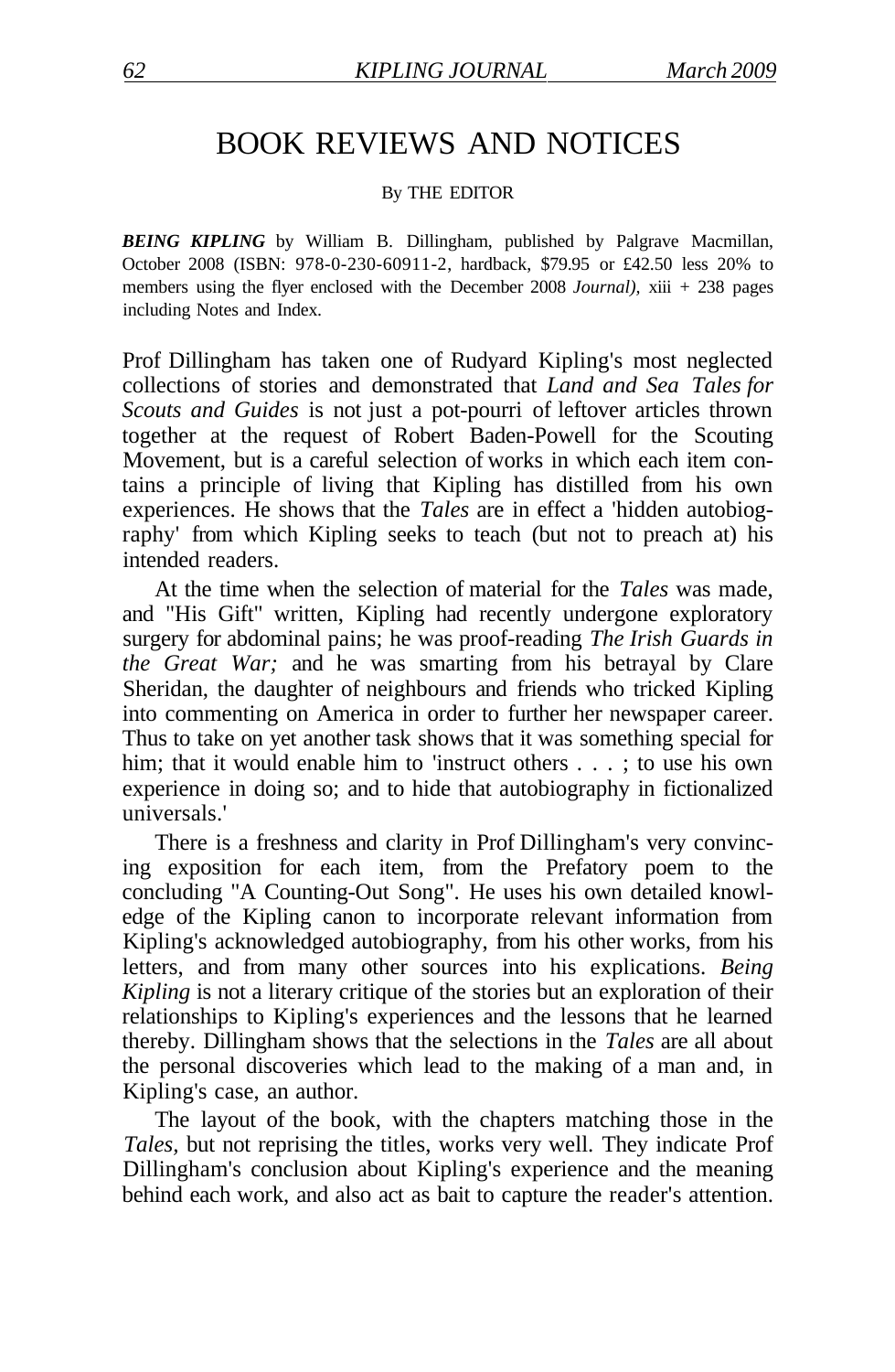## BOOK REVIEWS AND NOTICES

#### By THE EDITOR

*BEING KIPLING* by William B. Dillingham, published by Palgrave Macmillan, October 2008 (ISBN: 978-0-230-60911-2, hardback, \$79.95 or £42.50 less 20% to members using the flyer enclosed with the December 2008 *Journal),* xiii + 238 pages including Notes and Index.

Prof Dillingham has taken one of Rudyard Kipling's most neglected collections of stories and demonstrated that *Land and Sea Tales for Scouts and Guides* is not just a pot-pourri of leftover articles thrown together at the request of Robert Baden-Powell for the Scouting Movement, but is a careful selection of works in which each item contains a principle of living that Kipling has distilled from his own experiences. He shows that the *Tales* are in effect a 'hidden autobiography' from which Kipling seeks to teach (but not to preach at) his intended readers.

At the time when the selection of material for the *Tales* was made, and "His Gift" written, Kipling had recently undergone exploratory surgery for abdominal pains; he was proof-reading *The Irish Guards in the Great War;* and he was smarting from his betrayal by Clare Sheridan, the daughter of neighbours and friends who tricked Kipling into commenting on America in order to further her newspaper career. Thus to take on yet another task shows that it was something special for him; that it would enable him to 'instruct others . . . ; to use his own experience in doing so; and to hide that autobiography in fictionalized universals.'

There is a freshness and clarity in Prof Dillingham's very convincing exposition for each item, from the Prefatory poem to the concluding "A Counting-Out Song". He uses his own detailed knowledge of the Kipling canon to incorporate relevant information from Kipling's acknowledged autobiography, from his other works, from his letters, and from many other sources into his explications. *Being Kipling* is not a literary critique of the stories but an exploration of their relationships to Kipling's experiences and the lessons that he learned thereby. Dillingham shows that the selections in the *Tales* are all about the personal discoveries which lead to the making of a man and, in Kipling's case, an author.

The layout of the book, with the chapters matching those in the *Tales,* but not reprising the titles, works very well. They indicate Prof Dillingham's conclusion about Kipling's experience and the meaning behind each work, and also act as bait to capture the reader's attention.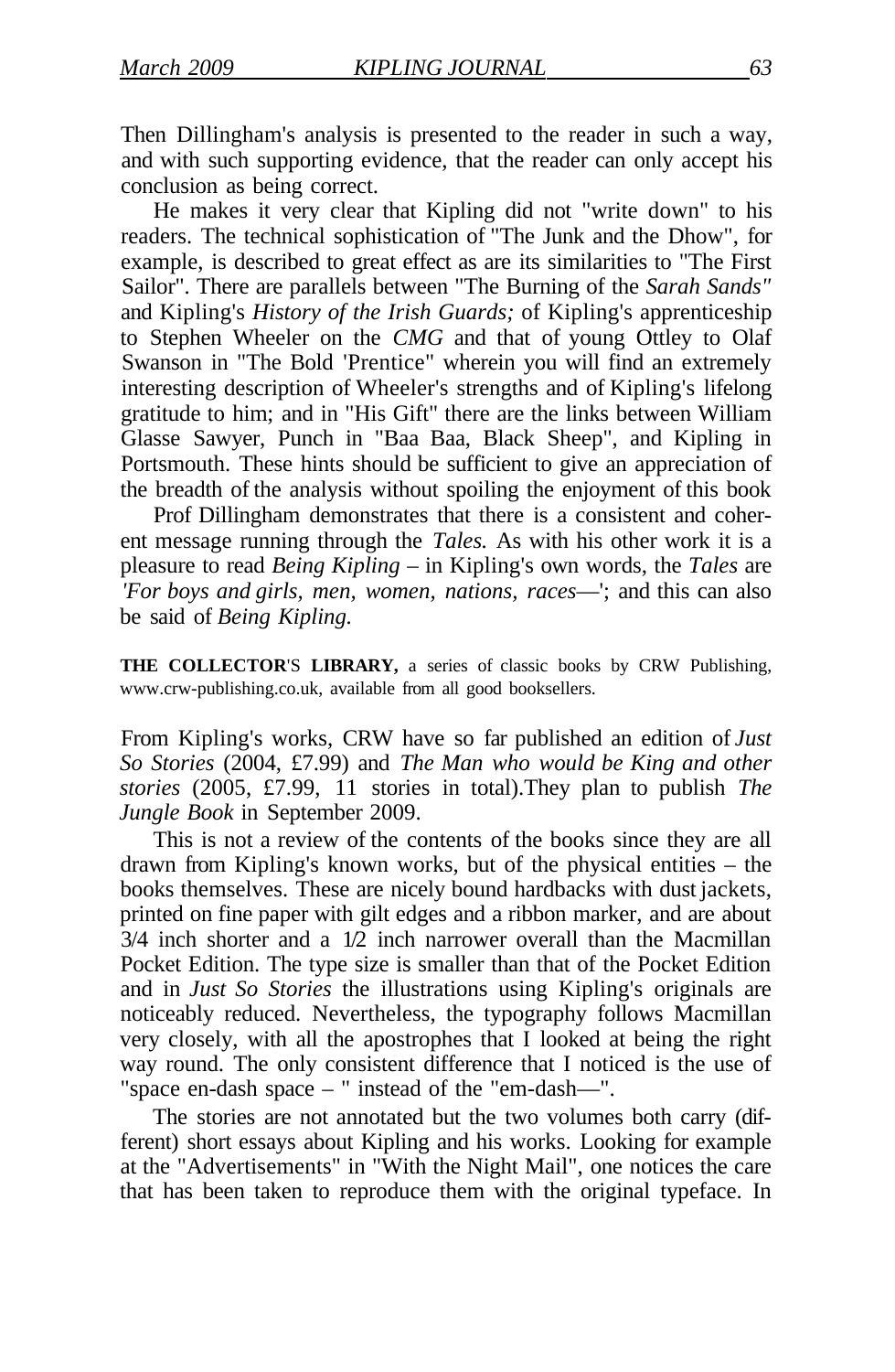Then Dillingham's analysis is presented to the reader in such a way, and with such supporting evidence, that the reader can only accept his conclusion as being correct.

He makes it very clear that Kipling did not "write down" to his readers. The technical sophistication of "The Junk and the Dhow", for example, is described to great effect as are its similarities to "The First Sailor". There are parallels between "The Burning of the *Sarah Sands"*  and Kipling's *History of the Irish Guards;* of Kipling's apprenticeship to Stephen Wheeler on the *CMG* and that of young Ottley to Olaf Swanson in "The Bold 'Prentice" wherein you will find an extremely interesting description of Wheeler's strengths and of Kipling's lifelong gratitude to him; and in "His Gift" there are the links between William Glasse Sawyer, Punch in "Baa Baa, Black Sheep", and Kipling in Portsmouth. These hints should be sufficient to give an appreciation of the breadth of the analysis without spoiling the enjoyment of this book

Prof Dillingham demonstrates that there is a consistent and coherent message running through the *Tales.* As with his other work it is a pleasure to read *Being Kipling –* in Kipling's own words, the *Tales* are *'For boys and girls, men, women, nations, races*—'; and this can also be said of *Being Kipling.* 

THE COLLECTOR'S LIBRARY, a series of classic books by CRW Publishing, www.crw-publishing.co.uk, available from all good booksellers.

From Kipling's works, CRW have so far published an edition of *Just So Stories* (2004, £7.99) and *The Man who would be King and other stories* (2005, £7.99, 11 stories in total).They plan to publish *The Jungle Book* in September 2009.

This is not a review of the contents of the books since they are all drawn from Kipling's known works, but of the physical entities – the books themselves. These are nicely bound hardbacks with dust jackets, printed on fine paper with gilt edges and a ribbon marker, and are about 3/4 inch shorter and a 1/2 inch narrower overall than the Macmillan Pocket Edition. The type size is smaller than that of the Pocket Edition and in *Just So Stories* the illustrations using Kipling's originals are noticeably reduced. Nevertheless, the typography follows Macmillan very closely, with all the apostrophes that I looked at being the right way round. The only consistent difference that I noticed is the use of "space en-dash space – " instead of the "em-dash—".

The stories are not annotated but the two volumes both carry (different) short essays about Kipling and his works. Looking for example at the "Advertisements" in "With the Night Mail", one notices the care that has been taken to reproduce them with the original typeface. In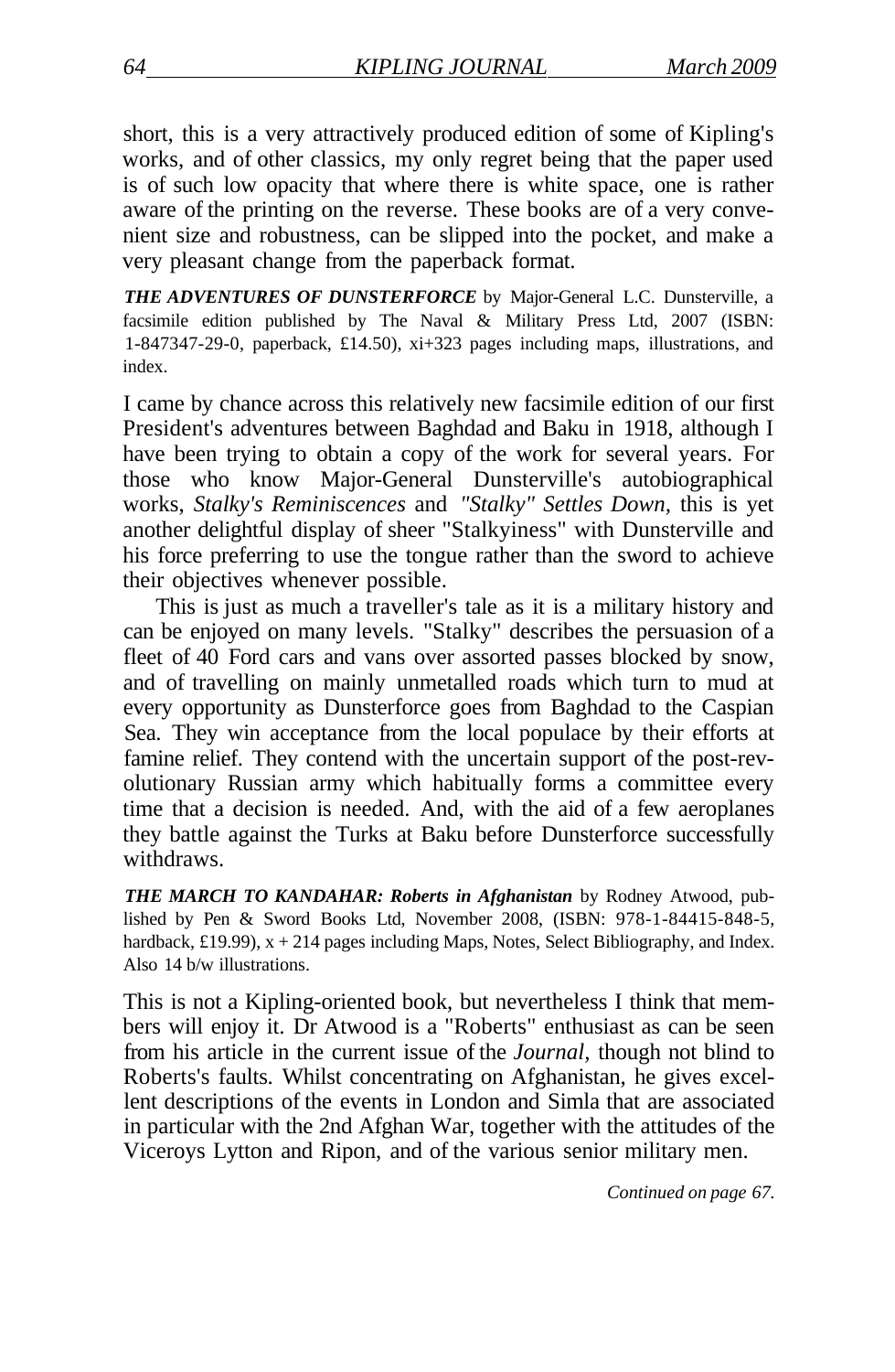short, this is a very attractively produced edition of some of Kipling's works, and of other classics, my only regret being that the paper used is of such low opacity that where there is white space, one is rather aware of the printing on the reverse. These books are of a very convenient size and robustness, can be slipped into the pocket, and make a very pleasant change from the paperback format.

*THE ADVENTURES OF DUNSTERFORCE* by Major-General L.C. Dunsterville, a facsimile edition published by The Naval & Military Press Ltd, 2007 (ISBN: 1-847347-29-0, paperback, £14.50), xi+323 pages including maps, illustrations, and index.

I came by chance across this relatively new facsimile edition of our first President's adventures between Baghdad and Baku in 1918, although I have been trying to obtain a copy of the work for several years. For those who know Major-General Dunsterville's autobiographical works, *Stalky's Reminiscences* and *"Stalky" Settles Down,* this is yet another delightful display of sheer "Stalkyiness" with Dunsterville and his force preferring to use the tongue rather than the sword to achieve their objectives whenever possible.

This is just as much a traveller's tale as it is a military history and can be enjoyed on many levels. "Stalky" describes the persuasion of a fleet of 40 Ford cars and vans over assorted passes blocked by snow, and of travelling on mainly unmetalled roads which turn to mud at every opportunity as Dunsterforce goes from Baghdad to the Caspian Sea. They win acceptance from the local populace by their efforts at famine relief. They contend with the uncertain support of the post-revolutionary Russian army which habitually forms a committee every time that a decision is needed. And, with the aid of a few aeroplanes they battle against the Turks at Baku before Dunsterforce successfully withdraws.

*THE MARCH TO KANDAHAR: Roberts in Afghanistan* by Rodney Atwood, published by Pen & Sword Books Ltd, November 2008, (ISBN: 978-1-84415-848-5, hardback, £19.99),  $x + 214$  pages including Maps, Notes, Select Bibliography, and Index. Also 14 b/w illustrations.

This is not a Kipling-oriented book, but nevertheless I think that members will enjoy it. Dr Atwood is a "Roberts" enthusiast as can be seen from his article in the current issue of the *Journal,* though not blind to Roberts's faults. Whilst concentrating on Afghanistan, he gives excellent descriptions of the events in London and Simla that are associated in particular with the 2nd Afghan War, together with the attitudes of the Viceroys Lytton and Ripon, and of the various senior military men.

*Continued on page 67.*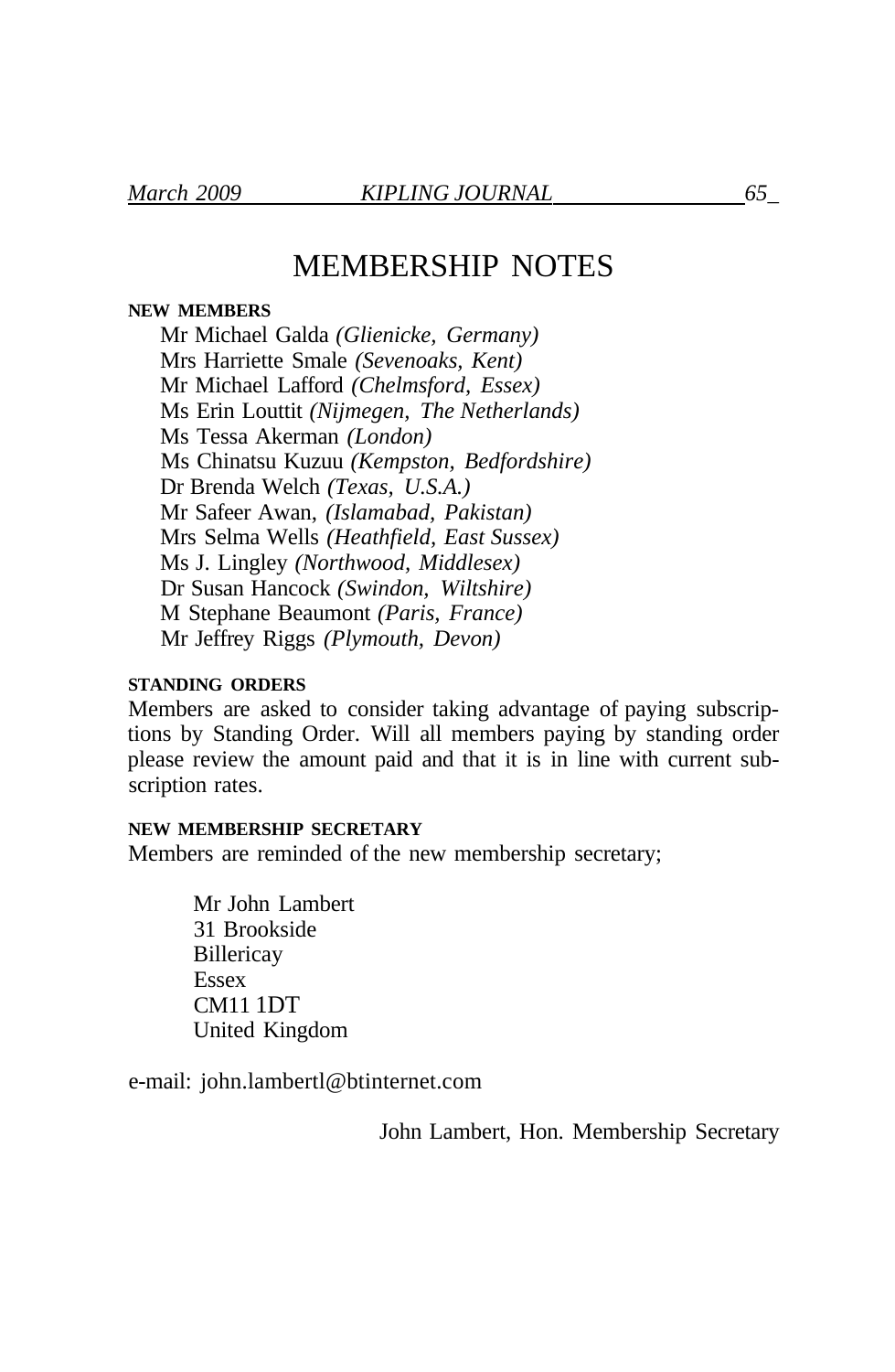## MEMBERSHIP NOTES

#### **NEW MEMBERS**

Mr Michael Galda *(Glienicke, Germany)*  Mrs Harriette Smale *(Sevenoaks, Kent)*  Mr Michael Lafford *(Chelmsford, Essex)*  Ms Erin Louttit *(Nijmegen, The Netherlands)*  Ms Tessa Akerman *(London)*  Ms Chinatsu Kuzuu *(Kempston, Bedfordshire)*  Dr Brenda Welch *(Texas, U.S.A.)*  Mr Safeer Awan, *(Islamabad, Pakistan)*  Mrs Selma Wells *(Heathfield, East Sussex)*  Ms J. Lingley *(Northwood, Middlesex)*  Dr Susan Hancock *(Swindon, Wiltshire)*  M Stephane Beaumont *(Paris, France)*  Mr Jeffrey Riggs *(Plymouth, Devon)* 

#### **STANDING ORDERS**

Members are asked to consider taking advantage of paying subscriptions by Standing Order. Will all members paying by standing order please review the amount paid and that it is in line with current subscription rates.

#### **NEW MEMBERSHIP SECRETARY**

Members are reminded of the new membership secretary;

Mr John Lambert 31 Brookside **Billericay** Essex CM11 1DT United Kingdom

e-mail: john.lambertl@btinternet.com

John Lambert, Hon. Membership Secretary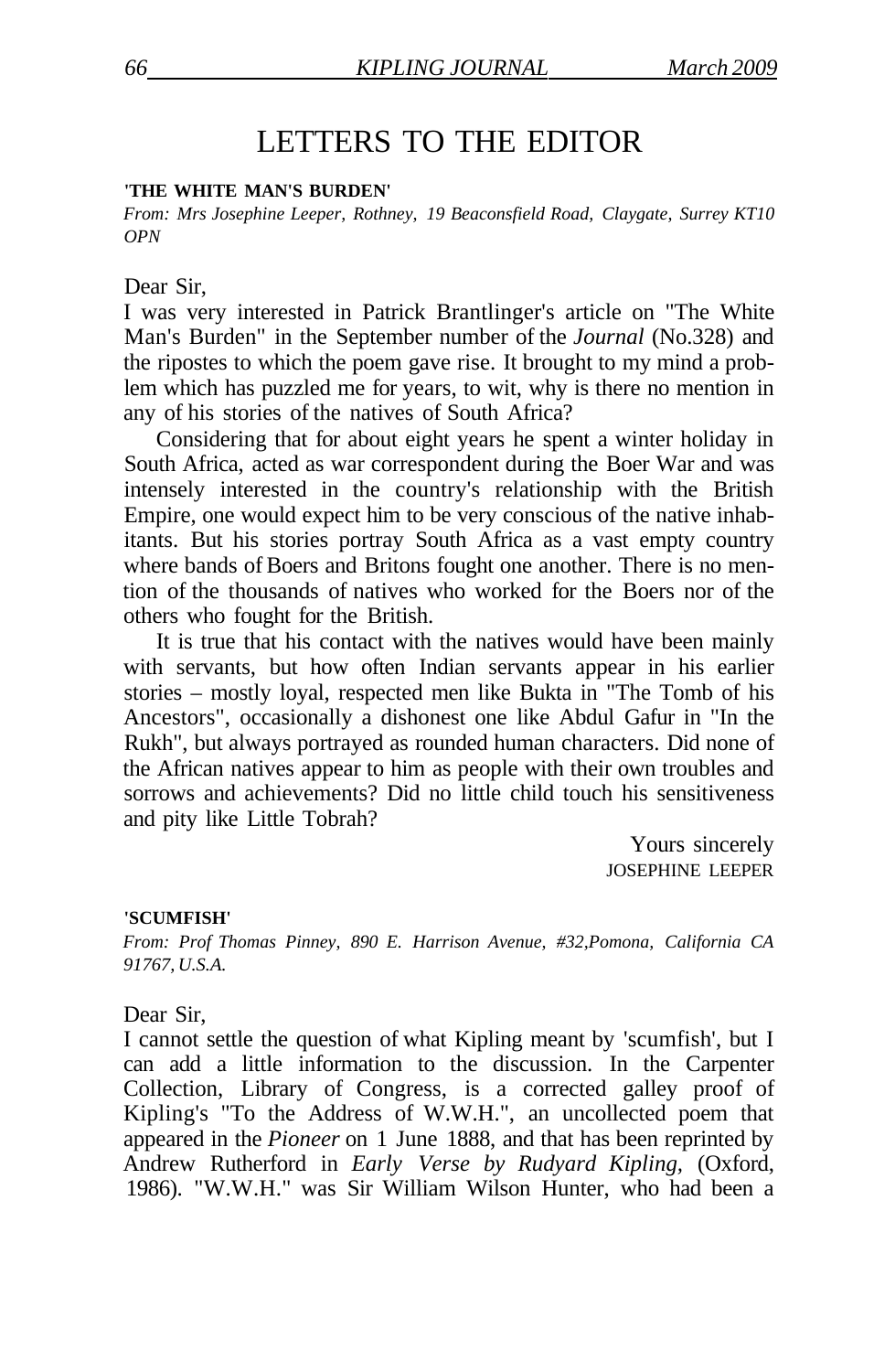## LETTERS TO THE EDITOR

#### **'THE WHITE MAN'S BURDEN'**

*From: Mrs Josephine Leeper, Rothney, 19 Beaconsfield Road, Claygate, Surrey KT10 OPN* 

#### Dear Sir,

I was very interested in Patrick Brantlinger's article on "The White Man's Burden" in the September number of the *Journal* (No.328) and the ripostes to which the poem gave rise. It brought to my mind a problem which has puzzled me for years, to wit, why is there no mention in any of his stories of the natives of South Africa?

Considering that for about eight years he spent a winter holiday in South Africa, acted as war correspondent during the Boer War and was intensely interested in the country's relationship with the British Empire, one would expect him to be very conscious of the native inhabitants. But his stories portray South Africa as a vast empty country where bands of Boers and Britons fought one another. There is no mention of the thousands of natives who worked for the Boers nor of the others who fought for the British.

It is true that his contact with the natives would have been mainly with servants, but how often Indian servants appear in his earlier stories – mostly loyal, respected men like Bukta in "The Tomb of his Ancestors", occasionally a dishonest one like Abdul Gafur in "In the Rukh", but always portrayed as rounded human characters. Did none of the African natives appear to him as people with their own troubles and sorrows and achievements? Did no little child touch his sensitiveness and pity like Little Tobrah?

> Yours sincerely JOSEPHINE LEEPER

#### **'SCUMFISH'**

*From: Prof Thomas Pinney, 890 E. Harrison Avenue, #32,Pomona, California CA 91767, U.S.A.* 

#### Dear Sir,

I cannot settle the question of what Kipling meant by 'scumfish', but I can add a little information to the discussion. In the Carpenter Collection, Library of Congress, is a corrected galley proof of Kipling's "To the Address of W.W.H.", an uncollected poem that appeared in the *Pioneer* on 1 June 1888, and that has been reprinted by Andrew Rutherford in *Early Verse by Rudyard Kipling,* (Oxford, 1986). "W.W.H." was Sir William Wilson Hunter, who had been a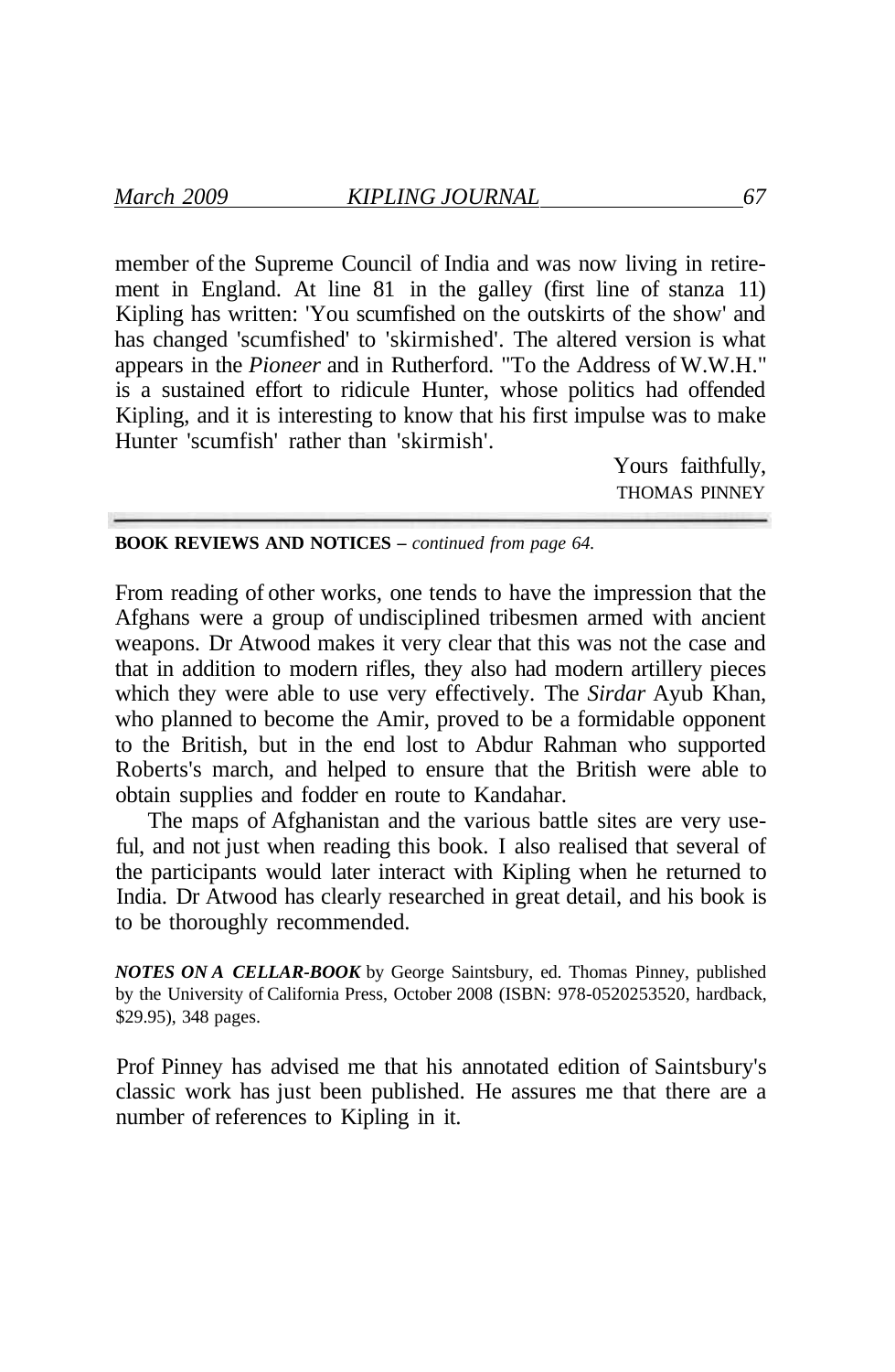member of the Supreme Council of India and was now living in retirement in England. At line 81 in the galley (first line of stanza 11) Kipling has written: 'You scumfished on the outskirts of the show' and has changed 'scumfished' to 'skirmished'. The altered version is what appears in the *Pioneer* and in Rutherford. "To the Address of W.W.H." is a sustained effort to ridicule Hunter, whose politics had offended Kipling, and it is interesting to know that his first impulse was to make Hunter 'scumfish' rather than 'skirmish'.

> Yours faithfully, THOMAS PINNEY

**BOOK REVIEWS AND NOTICES –** *continued from page 64.* 

From reading of other works, one tends to have the impression that the Afghans were a group of undisciplined tribesmen armed with ancient weapons. Dr Atwood makes it very clear that this was not the case and that in addition to modern rifles, they also had modern artillery pieces which they were able to use very effectively. The *Sirdar* Ayub Khan, who planned to become the Amir, proved to be a formidable opponent to the British, but in the end lost to Abdur Rahman who supported Roberts's march, and helped to ensure that the British were able to obtain supplies and fodder en route to Kandahar.

The maps of Afghanistan and the various battle sites are very useful, and not just when reading this book. I also realised that several of the participants would later interact with Kipling when he returned to India. Dr Atwood has clearly researched in great detail, and his book is to be thoroughly recommended.

*NOTES ON A CELLAR-BOOK* by George Saintsbury, ed. Thomas Pinney, published by the University of California Press, October 2008 (ISBN: 978-0520253520, hardback, \$29.95), 348 pages.

Prof Pinney has advised me that his annotated edition of Saintsbury's classic work has just been published. He assures me that there are a number of references to Kipling in it.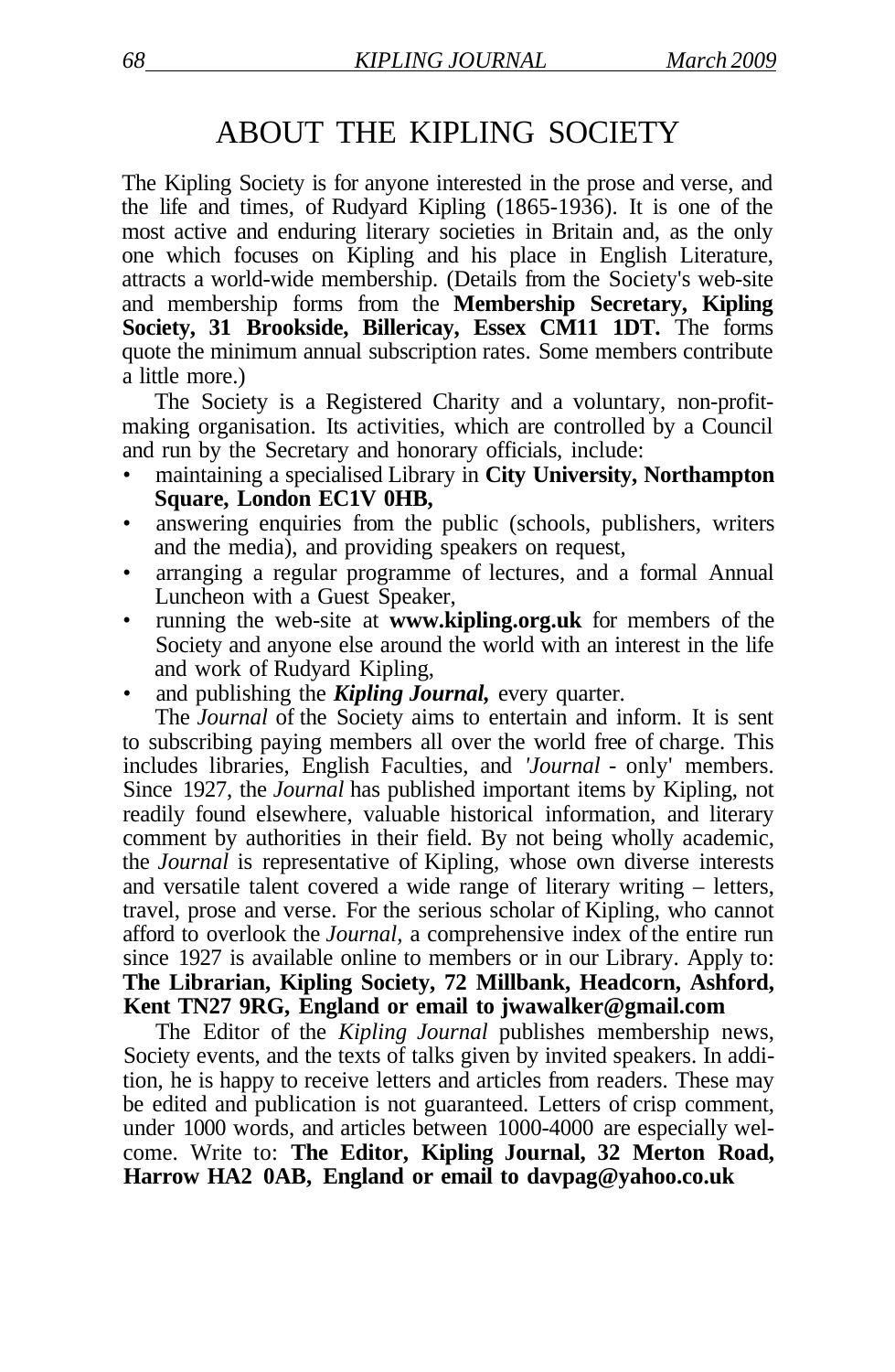### ABOUT THE KIPLING SOCIETY

The Kipling Society is for anyone interested in the prose and verse, and the life and times, of Rudyard Kipling (1865-1936). It is one of the most active and enduring literary societies in Britain and, as the only one which focuses on Kipling and his place in English Literature, attracts a world-wide membership. (Details from the Society's web-site and membership forms from the **Membership Secretary, Kipling Society, 31 Brookside, Billericay, Essex CM11 1DT.** The forms quote the minimum annual subscription rates. Some members contribute a little more.)

The Society is a Registered Charity and a voluntary, non-profitmaking organisation. Its activities, which are controlled by a Council and run by the Secretary and honorary officials, include:

- maintaining a specialised Library in **City University, Northampton Square, London EC1V 0HB,**
- answering enquiries from the public (schools, publishers, writers) and the media), and providing speakers on request,
- arranging a regular programme of lectures, and a formal Annual Luncheon with a Guest Speaker,
- running the web-site at **www.kipling.org.uk** for members of the Society and anyone else around the world with an interest in the life and work of Rudyard Kipling,
- and publishing the **Kipling Journal**, every quarter.

The *Journal* of the Society aims to entertain and inform. It is sent to subscribing paying members all over the world free of charge. This includes libraries, English Faculties, and *'Journal* - only' members. Since 1927, the *Journal* has published important items by Kipling, not readily found elsewhere, valuable historical information, and literary comment by authorities in their field. By not being wholly academic, the *Journal* is representative of Kipling, whose own diverse interests and versatile talent covered a wide range of literary writing – letters, travel, prose and verse. For the serious scholar of Kipling, who cannot afford to overlook the *Journal,* a comprehensive index of the entire run since 1927 is available online to members or in our Library. Apply to: **The Librarian, Kipling Society, 72 Millbank, Headcorn, Ashford, Kent TN27 9RG, England or email to jwawalker@gmail.com** 

The Editor of the *Kipling Journal* publishes membership news, Society events, and the texts of talks given by invited speakers. In addition, he is happy to receive letters and articles from readers. These may be edited and publication is not guaranteed. Letters of crisp comment, under 1000 words, and articles between 1000-4000 are especially welcome. Write to: **The Editor, Kipling Journal, 32 Merton Road, Harrow HA2 0AB, England or email to davpag@yahoo.co.uk**